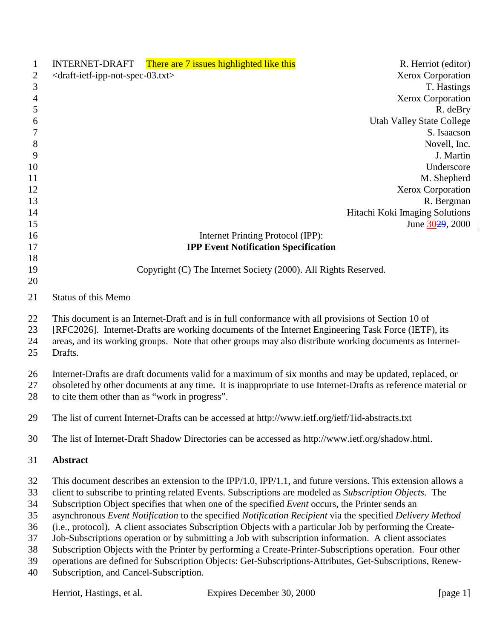| $\mathbf{1}$   |                                                                   | INTERNET-DRAFT There are 7 issues highlighted like this                                                       | R. Herriot (editor)              |
|----------------|-------------------------------------------------------------------|---------------------------------------------------------------------------------------------------------------|----------------------------------|
| 2              | <draft-ietf-ipp-not-spec-03.txt></draft-ietf-ipp-not-spec-03.txt> |                                                                                                               | <b>Xerox Corporation</b>         |
| 3              |                                                                   |                                                                                                               | T. Hastings                      |
| $\overline{4}$ |                                                                   |                                                                                                               | <b>Xerox Corporation</b>         |
| $\mathfrak{S}$ |                                                                   |                                                                                                               | R. deBry                         |
| 6              |                                                                   |                                                                                                               | <b>Utah Valley State College</b> |
| 7              |                                                                   |                                                                                                               | S. Isaacson                      |
| $8\,$          |                                                                   |                                                                                                               | Novell, Inc.                     |
| 9              |                                                                   |                                                                                                               | J. Martin                        |
| 10             |                                                                   |                                                                                                               | Underscore                       |
| 11             |                                                                   |                                                                                                               | M. Shepherd                      |
| 12             |                                                                   |                                                                                                               | <b>Xerox Corporation</b>         |
| 13             |                                                                   |                                                                                                               | R. Bergman                       |
| 14             |                                                                   |                                                                                                               | Hitachi Koki Imaging Solutions   |
| 15             |                                                                   |                                                                                                               | June 3029, 2000                  |
| 16             |                                                                   | Internet Printing Protocol (IPP):                                                                             |                                  |
| 17             |                                                                   | <b>IPP Event Notification Specification</b>                                                                   |                                  |
| 18<br>19       |                                                                   | Copyright (C) The Internet Society (2000). All Rights Reserved.                                               |                                  |
| 20             |                                                                   |                                                                                                               |                                  |
| 21             | <b>Status of this Memo</b>                                        |                                                                                                               |                                  |
|                |                                                                   |                                                                                                               |                                  |
| 22             |                                                                   | This document is an Internet-Draft and is in full conformance with all provisions of Section 10 of            |                                  |
| 23             |                                                                   | [RFC2026]. Internet-Drafts are working documents of the Internet Engineering Task Force (IETF), its           |                                  |
| 24             |                                                                   | areas, and its working groups. Note that other groups may also distribute working documents as Internet-      |                                  |
| 25             | Drafts.                                                           |                                                                                                               |                                  |
| 26             |                                                                   | Internet-Drafts are draft documents valid for a maximum of six months and may be updated, replaced, or        |                                  |
| 27             |                                                                   | obsoleted by other documents at any time. It is inappropriate to use Internet-Drafts as reference material or |                                  |
| 28             | to cite them other than as "work in progress".                    |                                                                                                               |                                  |
| 29             |                                                                   | The list of current Internet-Drafts can be accessed at http://www.ietf.org/ietf/1id-abstracts.txt             |                                  |
| 30             |                                                                   | The list of Internet-Draft Shadow Directories can be accessed as http://www.ietf.org/shadow.html.             |                                  |
| 31             | Abstract                                                          |                                                                                                               |                                  |
| 32             |                                                                   | This document describes an extension to the IPP/1.0, IPP/1.1, and future versions. This extension allows a    |                                  |
| 33             |                                                                   | client to subscribe to printing related Events. Subscriptions are modeled as Subscription Objects. The        |                                  |
| 34             |                                                                   | Subscription Object specifies that when one of the specified Event occurs, the Printer sends an               |                                  |
| 35             |                                                                   | asynchronous Event Notification to the specified Notification Recipient via the specified Delivery Method     |                                  |
| 36             |                                                                   | (i.e., protocol). A client associates Subscription Objects with a particular Job by performing the Create-    |                                  |
| 37             |                                                                   | Job-Subscriptions operation or by submitting a Job with subscription information. A client associates         |                                  |
| 38             |                                                                   | Subscription Objects with the Printer by performing a Create-Printer-Subscriptions operation. Four other      |                                  |
| 39             |                                                                   | operations are defined for Subscription Objects: Get-Subscriptions-Attributes, Get-Subscriptions, Renew-      |                                  |
| 40             | Subscription, and Cancel-Subscription.                            |                                                                                                               |                                  |
|                |                                                                   |                                                                                                               |                                  |
|                | Herriot, Hastings, et al.                                         | Expires December 30, 2000                                                                                     | [page 1]                         |

 $\overline{\phantom{a}}$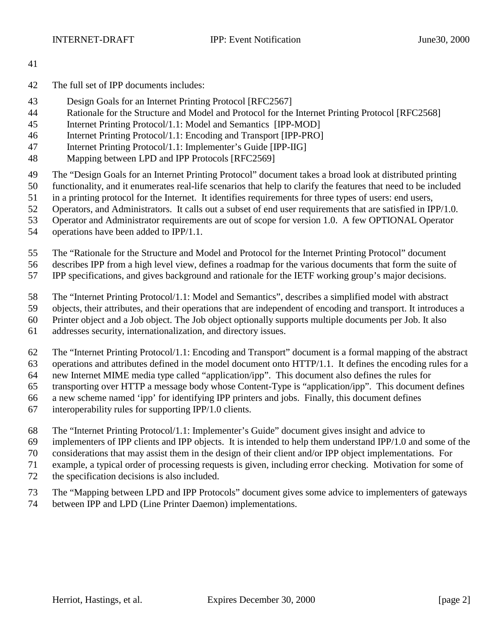- 
- The full set of IPP documents includes:
- Design Goals for an Internet Printing Protocol [RFC2567]
- Rationale for the Structure and Model and Protocol for the Internet Printing Protocol [RFC2568]
- Internet Printing Protocol/1.1: Model and Semantics [IPP-MOD]
- Internet Printing Protocol/1.1: Encoding and Transport [IPP-PRO]
- Internet Printing Protocol/1.1: Implementer's Guide [IPP-IIG]
- Mapping between LPD and IPP Protocols [RFC2569]
- The "Design Goals for an Internet Printing Protocol" document takes a broad look at distributed printing
- functionality, and it enumerates real-life scenarios that help to clarify the features that need to be included
- in a printing protocol for the Internet. It identifies requirements for three types of users: end users,
- Operators, and Administrators. It calls out a subset of end user requirements that are satisfied in IPP/1.0.
- Operator and Administrator requirements are out of scope for version 1.0. A few OPTIONAL Operator
- operations have been added to IPP/1.1.
- The "Rationale for the Structure and Model and Protocol for the Internet Printing Protocol" document
- describes IPP from a high level view, defines a roadmap for the various documents that form the suite of
- IPP specifications, and gives background and rationale for the IETF working group's major decisions.
- The "Internet Printing Protocol/1.1: Model and Semantics", describes a simplified model with abstract
- objects, their attributes, and their operations that are independent of encoding and transport. It introduces a
- Printer object and a Job object. The Job object optionally supports multiple documents per Job. It also
- addresses security, internationalization, and directory issues.
- The "Internet Printing Protocol/1.1: Encoding and Transport" document is a formal mapping of the abstract operations and attributes defined in the model document onto HTTP/1.1. It defines the encoding rules for a
- new Internet MIME media type called "application/ipp". This document also defines the rules for
- transporting over HTTP a message body whose Content-Type is "application/ipp". This document defines
- a new scheme named 'ipp' for identifying IPP printers and jobs. Finally, this document defines
- 
- interoperability rules for supporting IPP/1.0 clients.
- The "Internet Printing Protocol/1.1: Implementer's Guide" document gives insight and advice to
- implementers of IPP clients and IPP objects. It is intended to help them understand IPP/1.0 and some of the
- considerations that may assist them in the design of their client and/or IPP object implementations. For
- example, a typical order of processing requests is given, including error checking. Motivation for some of
- the specification decisions is also included.
- The "Mapping between LPD and IPP Protocols" document gives some advice to implementers of gateways
- between IPP and LPD (Line Printer Daemon) implementations.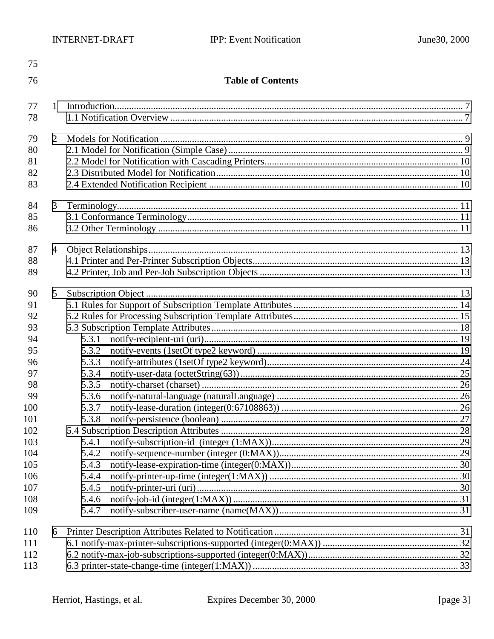| 75  |                |                          |  |
|-----|----------------|--------------------------|--|
| 76  |                | <b>Table of Contents</b> |  |
| 77  | 1              |                          |  |
| 78  |                |                          |  |
| 79  | 2              |                          |  |
| 80  |                |                          |  |
| 81  |                |                          |  |
| 82  |                |                          |  |
| 83  |                |                          |  |
| 84  | 3              |                          |  |
| 85  |                |                          |  |
| 86  |                |                          |  |
| 87  | $\overline{4}$ |                          |  |
| 88  |                |                          |  |
| 89  |                |                          |  |
| 90  | 5              |                          |  |
| 91  |                |                          |  |
| 92  |                |                          |  |
| 93  |                |                          |  |
| 94  |                | 5.3.1                    |  |
| 95  |                | 5.3.2                    |  |
| 96  |                | 5.3.3                    |  |
| 97  |                | 5.3.4                    |  |
| 98  |                | 5.3.5                    |  |
| 99  |                | 5.3.6                    |  |
| 100 |                | 5.3.7                    |  |
| 101 |                | 5.3.8                    |  |
| 102 |                |                          |  |
| 103 |                | 5.4.1                    |  |
| 104 |                | 5.4.2                    |  |
| 105 |                | 5.4.3                    |  |
| 106 |                | 5.4.4                    |  |
| 107 |                | 5.4.5                    |  |
| 108 |                | 5.4.6                    |  |
| 109 |                | 5.4.7                    |  |
| 110 | 6              |                          |  |
| 111 |                |                          |  |
| 112 |                |                          |  |
| 113 |                |                          |  |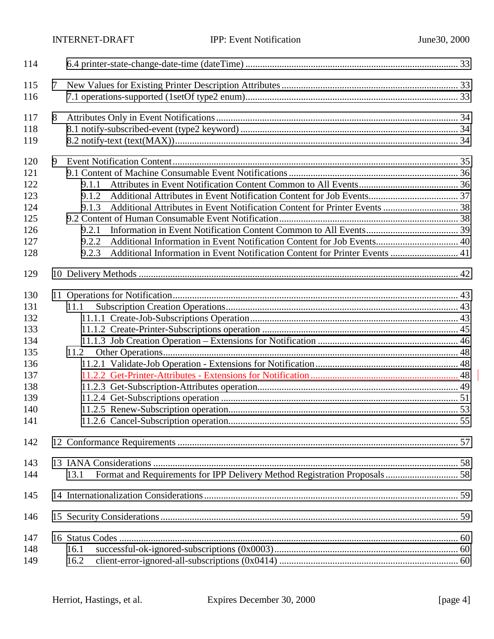| 114 |   |                                                                                      |  |
|-----|---|--------------------------------------------------------------------------------------|--|
| 115 | 7 |                                                                                      |  |
| 116 |   |                                                                                      |  |
| 117 | 8 |                                                                                      |  |
| 118 |   |                                                                                      |  |
| 119 |   |                                                                                      |  |
| 120 | 9 |                                                                                      |  |
| 121 |   |                                                                                      |  |
| 122 |   | 9.1.1                                                                                |  |
| 123 |   | 9.1.2                                                                                |  |
| 124 |   | 9.1.3                                                                                |  |
| 125 |   |                                                                                      |  |
| 126 |   | 9.2.1                                                                                |  |
| 127 |   | 9.2.2                                                                                |  |
| 128 |   | Additional Information in Event Notification Content for Printer Events  41<br>9.2.3 |  |
| 129 |   |                                                                                      |  |
|     |   |                                                                                      |  |
| 130 |   |                                                                                      |  |
| 131 |   | 11.1                                                                                 |  |
| 132 |   |                                                                                      |  |
| 133 |   |                                                                                      |  |
| 134 |   |                                                                                      |  |
| 135 |   | 11.2                                                                                 |  |
| 136 |   |                                                                                      |  |
| 137 |   |                                                                                      |  |
| 138 |   |                                                                                      |  |
| 139 |   |                                                                                      |  |
| 140 |   |                                                                                      |  |
| 141 |   |                                                                                      |  |
| 142 |   |                                                                                      |  |
| 143 |   |                                                                                      |  |
| 144 |   | 13.1                                                                                 |  |
| 145 |   |                                                                                      |  |
| 146 |   |                                                                                      |  |
| 147 |   |                                                                                      |  |
| 148 |   | 16.1                                                                                 |  |
| 149 |   | 16.2                                                                                 |  |

 $\Bigg\vert% \begin{array}{cc} \vspace{0.8cm} \vspace{0.8cm} \vspace{0.8cm} \vspace{0.8cm} \vspace{0.8cm} \vspace{0.8cm} \vspace{0.8cm} \vspace{0.8cm} \vspace{0.8cm} \vspace{0.8cm} \vspace{0.8cm} \vspace{0.8cm} \vspace{0.8cm} \vspace{0.8cm} \vspace{0.8cm} \vspace{0.8cm} \vspace{0.8cm} \vspace{0.8cm} \vspace{0.8cm} \vspace{0.8cm} \vspace{0.8cm} \vspace{0.8cm} \vspace{0.8cm}$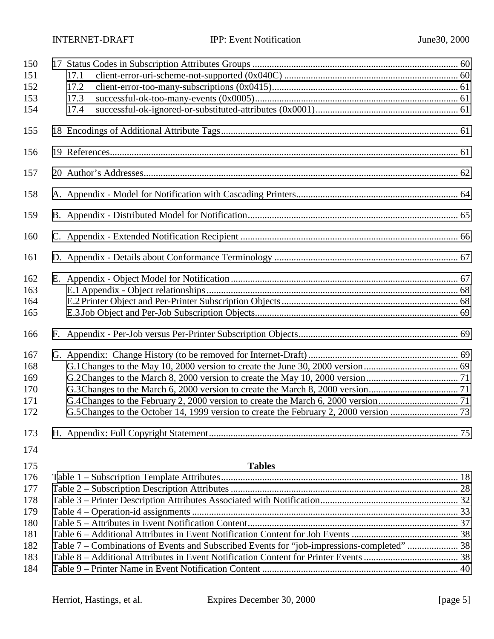| 150 |                                                                                            |  |
|-----|--------------------------------------------------------------------------------------------|--|
| 151 | 17.1                                                                                       |  |
| 152 | 17.2                                                                                       |  |
| 153 | 17.3                                                                                       |  |
| 154 | 17.4                                                                                       |  |
| 155 |                                                                                            |  |
| 156 |                                                                                            |  |
| 157 |                                                                                            |  |
| 158 |                                                                                            |  |
| 159 |                                                                                            |  |
| 160 |                                                                                            |  |
| 161 |                                                                                            |  |
| 162 |                                                                                            |  |
| 163 |                                                                                            |  |
| 164 |                                                                                            |  |
| 165 |                                                                                            |  |
| 166 |                                                                                            |  |
| 167 |                                                                                            |  |
| 168 |                                                                                            |  |
| 169 |                                                                                            |  |
| 170 |                                                                                            |  |
| 171 |                                                                                            |  |
| 172 |                                                                                            |  |
| 173 |                                                                                            |  |
| 174 |                                                                                            |  |
| 175 | <b>Tables</b>                                                                              |  |
| 176 |                                                                                            |  |
| 177 |                                                                                            |  |
| 178 |                                                                                            |  |
| 179 |                                                                                            |  |
| 180 |                                                                                            |  |
| 181 |                                                                                            |  |
| 182 | Table 7 - Combinations of Events and Subscribed Events for "job-impressions-completed"  38 |  |
| 183 |                                                                                            |  |
| 184 |                                                                                            |  |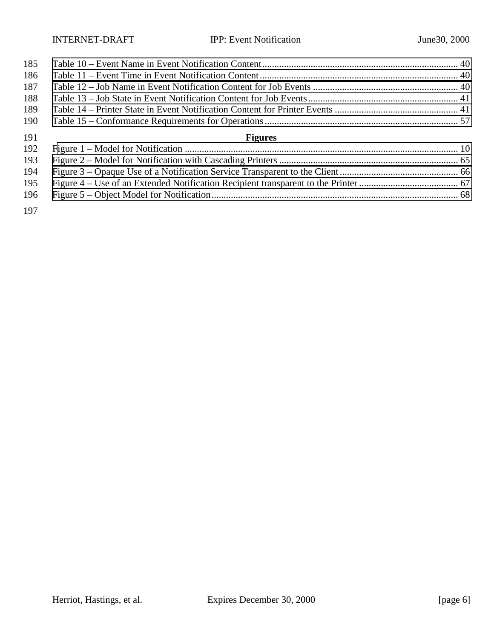| 185 |                |  |
|-----|----------------|--|
| 186 |                |  |
| 187 |                |  |
| 188 |                |  |
| 189 |                |  |
| 190 |                |  |
| 191 | <b>Figures</b> |  |
| 192 |                |  |
| 193 |                |  |
| 194 |                |  |
|     |                |  |
| 195 |                |  |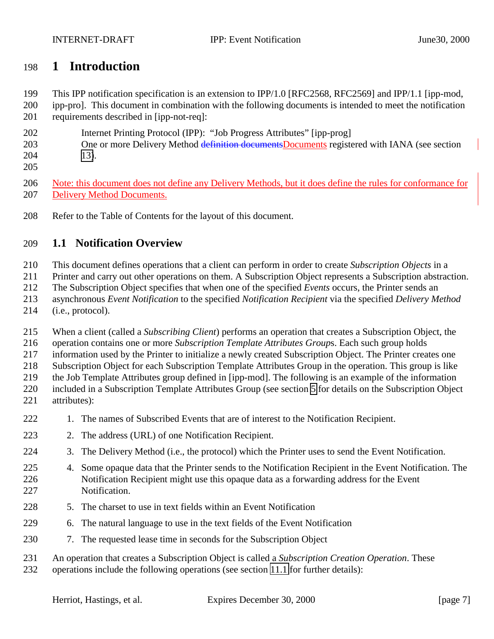# **1 Introduction**

This IPP notification specification is an extension to IPP/1.0 [RFC2568, RFC2569] and IPP/1.1 [ipp-mod,

 ipp-pro]. This document in combination with the following documents is intended to meet the notification requirements described in [ipp-not-req]:

- Internet Printing Protocol (IPP): "Job Progress Attributes" [ipp-prog]
- 203 One or more Delivery Method definition documents Documents registered with IANA (see section [13\)](#page-57-0).
- 

 Note: this document does not define any Delivery Methods, but it does define the rules for conformance for Delivery Method Documents.

Refer to the Table of Contents for the layout of this document.

# **1.1 Notification Overview**

This document defines operations that a client can perform in order to create *Subscription Objects* in a

Printer and carry out other operations on them. A Subscription Object represents a Subscription abstraction.

The Subscription Object specifies that when one of the specified *Events* occurs, the Printer sends an

asynchronous *Event Notification* to the specified *Notification Recipient* via the specified *Delivery Method*

(i.e., protocol).

When a client (called a *Subscribing Client*) performs an operation that creates a Subscription Object, the

operation contains one or more *Subscription Template Attributes Group*s. Each such group holds

information used by the Printer to initialize a newly created Subscription Object. The Printer creates one

Subscription Object for each Subscription Template Attributes Group in the operation. This group is like

the Job Template Attributes group defined in [ipp-mod]. The following is an example of the information

 included in a Subscription Template Attributes Group (see section [5](#page-12-0) for details on the Subscription Object attributes):

- 1. The names of Subscribed Events that are of interest to the Notification Recipient.
- 2. The address (URL) of one Notification Recipient.
- 3. The Delivery Method (i.e., the protocol) which the Printer uses to send the Event Notification.
- 4. Some opaque data that the Printer sends to the Notification Recipient in the Event Notification. The Notification Recipient might use this opaque data as a forwarding address for the Event Notification.
- 5. The charset to use in text fields within an Event Notification
- 6. The natural language to use in the text fields of the Event Notification
- 7. The requested lease time in seconds for the Subscription Object
- An operation that creates a Subscription Object is called a *Subscription Creation Operation*. These
- operations include the following operations (see section [11.1](#page-42-0) for further details):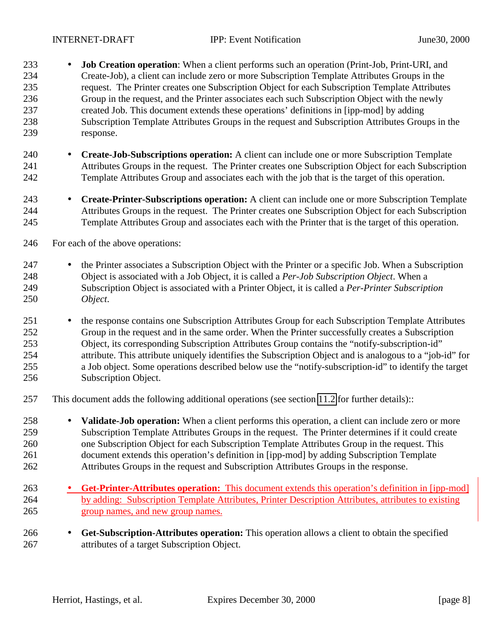- **Job Creation operation**: When a client performs such an operation (Print-Job, Print-URI, and Create-Job), a client can include zero or more Subscription Template Attributes Groups in the request. The Printer creates one Subscription Object for each Subscription Template Attributes Group in the request, and the Printer associates each such Subscription Object with the newly created Job. This document extends these operations' definitions in [ipp-mod] by adding Subscription Template Attributes Groups in the request and Subscription Attributes Groups in the response.
- **Create-Job-Subscriptions operation:** A client can include one or more Subscription Template Attributes Groups in the request. The Printer creates one Subscription Object for each Subscription Template Attributes Group and associates each with the job that is the target of this operation.
- **Create-Printer-Subscriptions operation:** A client can include one or more Subscription Template Attributes Groups in the request. The Printer creates one Subscription Object for each Subscription Template Attributes Group and associates each with the Printer that is the target of this operation.
- For each of the above operations:
- 247 the Printer associates a Subscription Object with the Printer or a specific Job. When a Subscription Object is associated with a Job Object, it is called a *Per-Job Subscription Object*. When a Subscription Object is associated with a Printer Object, it is called a *Per-Printer Subscription Object*.
- 251 the response contains one Subscription Attributes Group for each Subscription Template Attributes Group in the request and in the same order. When the Printer successfully creates a Subscription Object, its corresponding Subscription Attributes Group contains the "notify-subscription-id" attribute. This attribute uniquely identifies the Subscription Object and is analogous to a "job-id" for a Job object. Some operations described below use the "notify-subscription-id" to identify the target Subscription Object.
- This document adds the following additional operations (see section [11.2](#page-47-0) for further details)::
- **Validate-Job operation:** When a client performs this operation, a client can include zero or more Subscription Template Attributes Groups in the request. The Printer determines if it could create one Subscription Object for each Subscription Template Attributes Group in the request. This document extends this operation's definition in [ipp-mod] by adding Subscription Template Attributes Groups in the request and Subscription Attributes Groups in the response.
- **Get-Printer-Attributes operation:** This document extends this operation's definition in [ipp-mod] by adding: Subscription Template Attributes, Printer Description Attributes, attributes to existing group names, and new group names.
- **Get-Subscription-Attributes operation:** This operation allows a client to obtain the specified attributes of a target Subscription Object.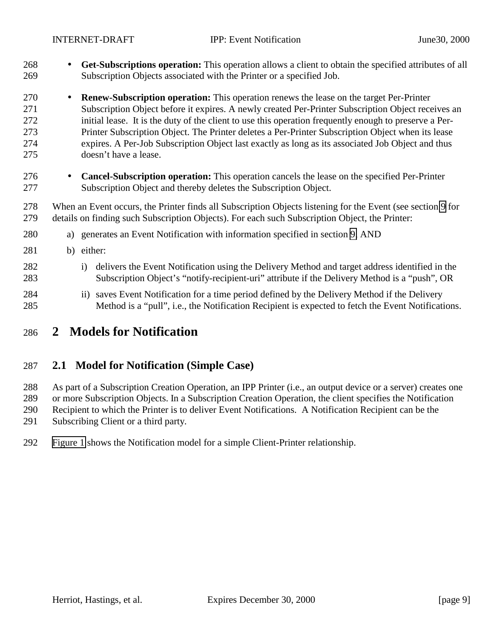<span id="page-8-0"></span>

- **Get-Subscriptions operation:** This operation allows a client to obtain the specified attributes of all Subscription Objects associated with the Printer or a specified Job.
- **Renew-Subscription operation:** This operation renews the lease on the target Per-Printer Subscription Object before it expires. A newly created Per-Printer Subscription Object receives an initial lease. It is the duty of the client to use this operation frequently enough to preserve a Per- Printer Subscription Object. The Printer deletes a Per-Printer Subscription Object when its lease expires. A Per-Job Subscription Object last exactly as long as its associated Job Object and thus doesn't have a lease.
- **Cancel-Subscription operation:** This operation cancels the lease on the specified Per-Printer Subscription Object and thereby deletes the Subscription Object.
- When an Event occurs, the Printer finds all Subscription Objects listening for the Event (see section [9](#page-34-0) for details on finding such Subscription Objects). For each such Subscription Object, the Printer:
- a) generates an Event Notification with information specified in section [9,](#page-34-0) AND
- b) either:
- 282 i) delivers the Event Notification using the Delivery Method and target address identified in the Subscription Object's "notify-recipient-uri" attribute if the Delivery Method is a "push", OR
- ii) saves Event Notification for a time period defined by the Delivery Method if the Delivery Method is a "pull", i.e., the Notification Recipient is expected to fetch the Event Notifications.

# **2 Models for Notification**

### **2.1 Model for Notification (Simple Case)**

 As part of a Subscription Creation Operation, an IPP Printer (i.e., an output device or a server) creates one or more Subscription Objects. In a Subscription Creation Operation, the client specifies the Notification Recipient to which the Printer is to deliver Event Notifications. A Notification Recipient can be the Subscribing Client or a third party.

[Figure 1](#page-9-0) shows the Notification model for a simple Client-Printer relationship.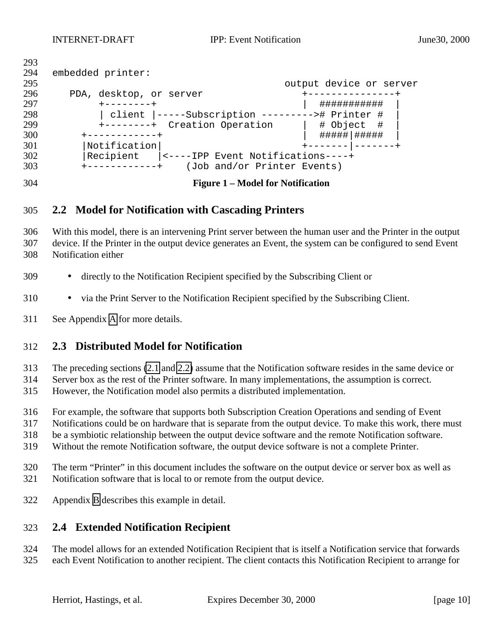<span id="page-9-0"></span>

| 293 |                                                 |  |
|-----|-------------------------------------------------|--|
| 294 | embedded printer:                               |  |
| 295 | output device or server                         |  |
| 296 | PDA, desktop, or server                         |  |
| 297 | ###########<br>$+ - - - - - - - +$              |  |
| 298 | client  -----Subscription ---------># Printer # |  |
| 299 | +--------+ Creation Operation<br># Object #     |  |
| 300 | #####   #####<br>$+ - - - - - - - - - - +$      |  |
| 301 | Notification                                    |  |
| 302 | Recipient<br> <----IPP Event Notifications----+ |  |
| 303 | (Job and/or Printer Events)                     |  |

**Figure 1 – Model for Notification**

### **2.2 Model for Notification with Cascading Printers**

 With this model, there is an intervening Print server between the human user and the Printer in the output device. If the Printer in the output device generates an Event, the system can be configured to send Event Notification either

- directly to the Notification Recipient specified by the Subscribing Client or
- via the Print Server to the Notification Recipient specified by the Subscribing Client.
- See Appendix [A](#page-63-0) for more details.

### **2.3 Distributed Model for Notification**

The preceding sections [\(2.1](#page-8-0) and 2.2) assume that the Notification software resides in the same device or

Server box as the rest of the Printer software. In many implementations, the assumption is correct.

However, the Notification model also permits a distributed implementation.

For example, the software that supports both Subscription Creation Operations and sending of Event

Notifications could be on hardware that is separate from the output device. To make this work, there must

be a symbiotic relationship between the output device software and the remote Notification software.

Without the remote Notification software, the output device software is not a complete Printer.

- The term "Printer" in this document includes the software on the output device or server box as well as Notification software that is local to or remote from the output device.
- Appendix [B](#page-64-0) describes this example in detail.

### **2.4 Extended Notification Recipient**

 The model allows for an extended Notification Recipient that is itself a Notification service that forwards each Event Notification to another recipient. The client contacts this Notification Recipient to arrange for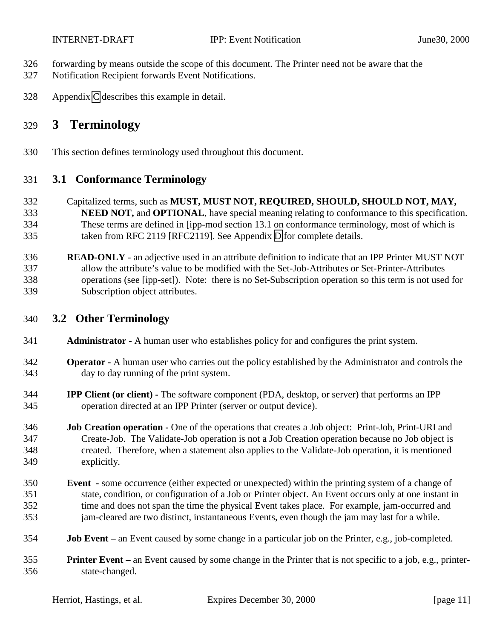<span id="page-10-0"></span>

- forwarding by means outside the scope of this document. The Printer need not be aware that the
- Notification Recipient forwards Event Notifications.
- Appendix [C](#page-65-0) describes this example in detail.

# **3 Terminology**

This section defines terminology used throughout this document.

## **3.1 Conformance Terminology**

- Capitalized terms, such as **MUST, MUST NOT, REQUIRED, SHOULD, SHOULD NOT, MAY, NEED NOT, and OPTIONAL**, have special meaning relating to conformance to this specification. These terms are defined in [ipp-mod section 13.1 on conformance terminology, most of which is taken from RFC 2119 [RFC2119]. See Appendix [D](#page-66-0) for complete details.
- **READ-ONLY** an adjective used in an attribute definition to indicate that an IPP Printer MUST NOT allow the attribute's value to be modified with the Set-Job-Attributes or Set-Printer-Attributes operations (see [ipp-set]). Note: there is no Set-Subscription operation so this term is not used for Subscription object attributes.

# **3.2 Other Terminology**

- **Administrator**  A human user who establishes policy for and configures the print system.
- **Operator** A human user who carries out the policy established by the Administrator and controls the day to day running of the print system.
- **IPP Client (or client)** The software component (PDA, desktop, or server) that performs an IPP operation directed at an IPP Printer (server or output device).
- **Job Creation operation** One of the operations that creates a Job object: Print-Job, Print-URI and Create-Job. The Validate-Job operation is not a Job Creation operation because no Job object is created. Therefore, when a statement also applies to the Validate-Job operation, it is mentioned explicitly.
- **Event** some occurrence (either expected or unexpected) within the printing system of a change of state, condition, or configuration of a Job or Printer object. An Event occurs only at one instant in time and does not span the time the physical Event takes place. For example, jam-occurred and jam-cleared are two distinct, instantaneous Events, even though the jam may last for a while.
- **Job Event** an Event caused by some change in a particular job on the Printer, e.g., job-completed.
- **Printer Event** an Event caused by some change in the Printer that is not specific to a job, e.g., printer-state-changed.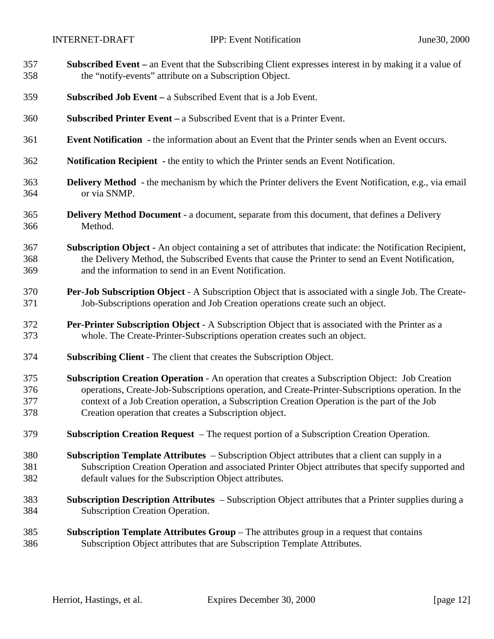| 357 | <b>Subscribed Event</b> – an Event that the Subscribing Client expresses interest in by making it a value of     |
|-----|------------------------------------------------------------------------------------------------------------------|
| 358 | the "notify-events" attribute on a Subscription Object.                                                          |
| 359 | <b>Subscribed Job Event</b> – a Subscribed Event that is a Job Event.                                            |
| 360 | <b>Subscribed Printer Event</b> – a Subscribed Event that is a Printer Event.                                    |
| 361 | <b>Event Notification</b> - the information about an Event that the Printer sends when an Event occurs.          |
| 362 | <b>Notification Recipient</b> - the entity to which the Printer sends an Event Notification.                     |
| 363 | <b>Delivery Method</b> - the mechanism by which the Printer delivers the Event Notification, e.g., via email     |
| 364 | or via SNMP.                                                                                                     |
| 365 | <b>Delivery Method Document - a document, separate from this document, that defines a Delivery</b>               |
| 366 | Method.                                                                                                          |
| 367 | <b>Subscription Object</b> - An object containing a set of attributes that indicate: the Notification Recipient, |
| 368 | the Delivery Method, the Subscribed Events that cause the Printer to send an Event Notification,                 |
| 369 | and the information to send in an Event Notification.                                                            |
| 370 | <b>Per-Job Subscription Object</b> - A Subscription Object that is associated with a single Job. The Create-     |
| 371 | Job-Subscriptions operation and Job Creation operations create such an object.                                   |
| 372 | Per-Printer Subscription Object - A Subscription Object that is associated with the Printer as a                 |
| 373 | whole. The Create-Printer-Subscriptions operation creates such an object.                                        |
| 374 | <b>Subscribing Client - The client that creates the Subscription Object.</b>                                     |
| 375 | <b>Subscription Creation Operation - An operation that creates a Subscription Object: Job Creation</b>           |
| 376 | operations, Create-Job-Subscriptions operation, and Create-Printer-Subscriptions operation. In the               |
| 377 | context of a Job Creation operation, a Subscription Creation Operation is the part of the Job                    |
| 378 | Creation operation that creates a Subscription object.                                                           |
| 379 | <b>Subscription Creation Request</b> – The request portion of a Subscription Creation Operation.                 |
| 380 | <b>Subscription Template Attributes</b> – Subscription Object attributes that a client can supply in a           |
| 381 | Subscription Creation Operation and associated Printer Object attributes that specify supported and              |
| 382 | default values for the Subscription Object attributes.                                                           |
| 383 | Subscription Description Attributes – Subscription Object attributes that a Printer supplies during a            |
| 384 | <b>Subscription Creation Operation.</b>                                                                          |
| 385 | <b>Subscription Template Attributes Group</b> – The attributes group in a request that contains                  |
| 386 | Subscription Object attributes that are Subscription Template Attributes.                                        |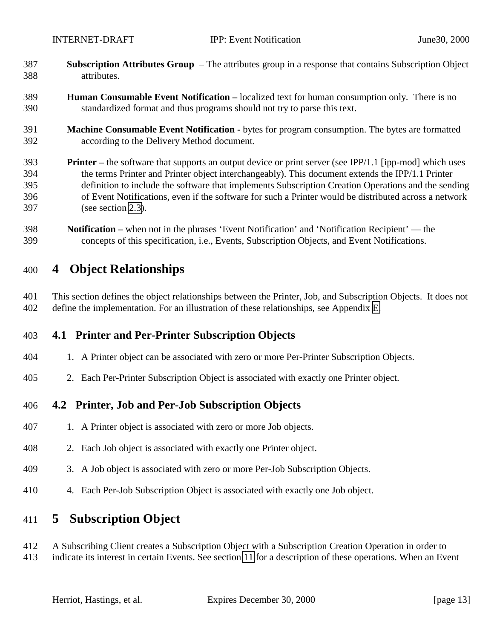- <span id="page-12-0"></span> **Subscription Attributes Group** – The attributes group in a response that contains Subscription Object attributes.
- **Human Consumable Event Notification** localized text for human consumption only. There is no standardized format and thus programs should not try to parse this text.
- **Machine Consumable Event Notification** bytes for program consumption. The bytes are formatted according to the Delivery Method document.
- **Printer** the software that supports an output device or print server (see IPP/1.1 [ipp-mod] which uses the terms Printer and Printer object interchangeably). This document extends the IPP/1.1 Printer definition to include the software that implements Subscription Creation Operations and the sending of Event Notifications, even if the software for such a Printer would be distributed across a network (see section [2.3\)](#page-9-0).
- **Notification –** when not in the phrases 'Event Notification' and 'Notification Recipient' the concepts of this specification, i.e., Events, Subscription Objects, and Event Notifications.

# **4 Object Relationships**

 This section defines the object relationships between the Printer, Job, and Subscription Objects. It does not define the implementation. For an illustration of these relationships, see Appendix [E.](#page-66-0)

### **4.1 Printer and Per-Printer Subscription Objects**

- 1. A Printer object can be associated with zero or more Per-Printer Subscription Objects.
- 2. Each Per-Printer Subscription Object is associated with exactly one Printer object.

### **4.2 Printer, Job and Per-Job Subscription Objects**

- 1. A Printer object is associated with zero or more Job objects.
- 2. Each Job object is associated with exactly one Printer object.
- 3. A Job object is associated with zero or more Per-Job Subscription Objects.
- 4. Each Per-Job Subscription Object is associated with exactly one Job object.

# **5 Subscription Object**

- A Subscribing Client creates a Subscription Object with a Subscription Creation Operation in order to
- indicate its interest in certain Events. See section [11](#page-42-0) for a description of these operations. When an Event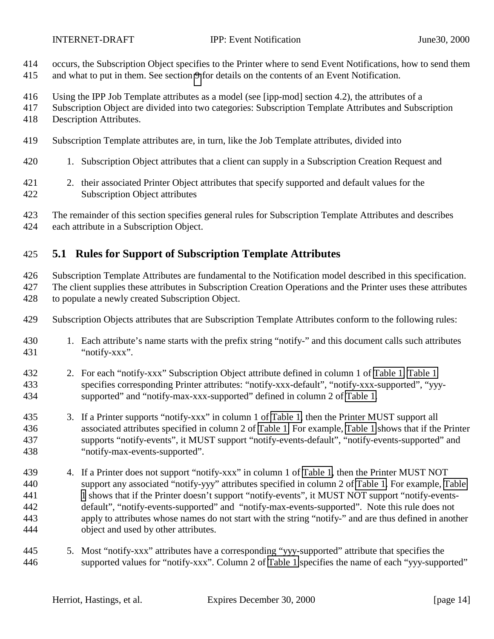<span id="page-13-0"></span>

- occurs, the Subscription Object specifies to the Printer where to send Event Notifications, how to send them
- and what to put in them. See section [9](#page-34-0) for details on the contents of an Event Notification.
- Using the IPP Job Template attributes as a model (see [ipp-mod] section 4.2), the attributes of a
- Subscription Object are divided into two categories: Subscription Template Attributes and Subscription
- Description Attributes.
- Subscription Template attributes are, in turn, like the Job Template attributes, divided into
- 1. Subscription Object attributes that a client can supply in a Subscription Creation Request and
- 2. their associated Printer Object attributes that specify supported and default values for the Subscription Object attributes
- The remainder of this section specifies general rules for Subscription Template Attributes and describes each attribute in a Subscription Object.

# **5.1 Rules for Support of Subscription Template Attributes**

 Subscription Template Attributes are fundamental to the Notification model described in this specification. 427 The client supplies these attributes in Subscription Creation Operations and the Printer uses these attributes to populate a newly created Subscription Object.

- Subscription Objects attributes that are Subscription Template Attributes conform to the following rules:
- 1. Each attribute's name starts with the prefix string "notify-" and this document calls such attributes "notify-xxx".
- 2. For each "notify-xxx" Subscription Object attribute defined in column 1 of [Table 1, Table 1](#page-17-0) specifies corresponding Printer attributes: "notify-xxx-default", "notify-xxx-supported", "yyy-supported" and "notify-max-xxx-supported" defined in column 2 of [Table 1.](#page-17-0)
- 3. If a Printer supports "notify-xxx" in column 1 of [Table 1,](#page-17-0) then the Printer MUST support all associated attributes specified in column 2 of [Table 1.](#page-17-0) For example, [Table 1](#page-17-0) shows that if the Printer supports "notify-events", it MUST support "notify-events-default", "notify-events-supported" and "notify-max-events-supported".
- 4. If a Printer does not support "notify-xxx" in column 1 of [Table 1,](#page-17-0) then the Printer MUST NOT support any associated "notify-yyy" attributes specified in column 2 of [Table 1.](#page-17-0) For example, [Table](#page-17-0) [1](#page-17-0) 1 shows that if the Printer doesn't support "notify-events", it MUST NOT support "notify-events- default", "notify-events-supported" and "notify-max-events-supported". Note this rule does not apply to attributes whose names do not start with the string "notify-" and are thus defined in another object and used by other attributes.
- 5. Most "notify-xxx" attributes have a corresponding "yyy-supported" attribute that specifies the supported values for "notify-xxx". Column 2 of [Table 1](#page-17-0) specifies the name of each "yyy-supported"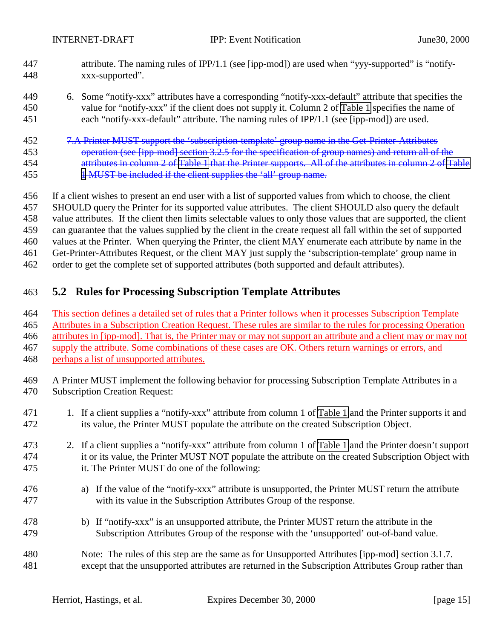<span id="page-14-0"></span>

- attribute. The naming rules of IPP/1.1 (see [ipp-mod]) are used when "yyy-supported" is "notify-xxx-supported".
- 6. Some "notify-xxx" attributes have a corresponding "notify-xxx-default" attribute that specifies the value for "notify-xxx" if the client does not supply it. Column 2 of [Table 1](#page-17-0) specifies the name of each "notify-xxx-default" attribute. The naming rules of IPP/1.1 (see [ipp-mod]) are used.
- 7.A Printer MUST support the 'subscription-template' group name in the Get-Printer-Attributes 453 operation (see [ipp-mod] section  $3.2.5$  for the specification of group names) and return all of the attributes in column 2 of [Table 1](#page-17-0) that the Printer supports. All of the attributes in column 2 of [Table](#page-17-0) 455 455 **[1](#page-17-0) MUST** be included if the client supplies the 'all' group name.
- If a client wishes to present an end user with a list of supported values from which to choose, the client SHOULD query the Printer for its supported value attributes. The client SHOULD also query the default
- value attributes. If the client then limits selectable values to only those values that are supported, the client
- can guarantee that the values supplied by the client in the create request all fall within the set of supported
- values at the Printer. When querying the Printer, the client MAY enumerate each attribute by name in the
- Get-Printer-Attributes Request, or the client MAY just supply the 'subscription-template' group name in
- order to get the complete set of supported attributes (both supported and default attributes).

# **5.2 Rules for Processing Subscription Template Attributes**

- This section defines a detailed set of rules that a Printer follows when it processes Subscription Template Attributes in a Subscription Creation Request. These rules are similar to the rules for processing Operation attributes in [ipp-mod]. That is, the Printer may or may not support an attribute and a client may or may not
- supply the attribute. Some combinations of these cases are OK. Others return warnings or errors, and
- perhaps a list of unsupported attributes.
- A Printer MUST implement the following behavior for processing Subscription Template Attributes in a Subscription Creation Request:
- 1. If a client supplies a "notify-xxx" attribute from column 1 of [Table 1](#page-17-0) and the Printer supports it and its value, the Printer MUST populate the attribute on the created Subscription Object.
- 2. If a client supplies a "notify-xxx" attribute from column 1 of [Table 1](#page-17-0) and the Printer doesn't support it or its value, the Printer MUST NOT populate the attribute on the created Subscription Object with it. The Printer MUST do one of the following:
- a) If the value of the "notify-xxx" attribute is unsupported, the Printer MUST return the attribute with its value in the Subscription Attributes Group of the response.
- b) If "notify-xxx" is an unsupported attribute, the Printer MUST return the attribute in the Subscription Attributes Group of the response with the 'unsupported' out-of-band value.
- Note: The rules of this step are the same as for Unsupported Attributes [ipp-mod] section 3.1.7. except that the unsupported attributes are returned in the Subscription Attributes Group rather than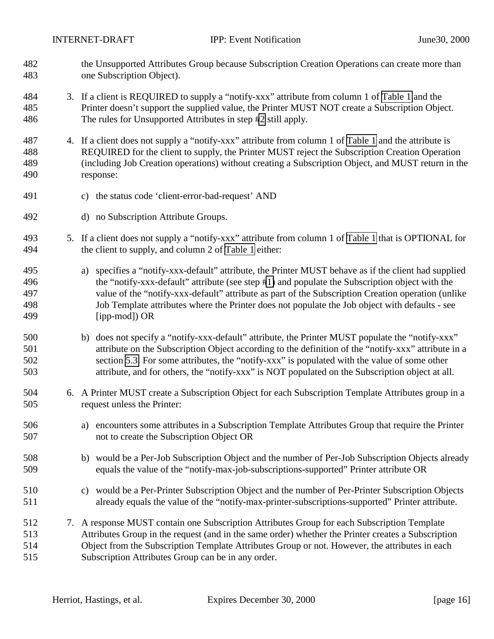<span id="page-15-0"></span>

- the Unsupported Attributes Group because Subscription Creation Operations can create more than one Subscription Object).
- 3. If a client is REQUIRED to supply a "notify-xxx" attribute from column 1 of [Table 1](#page-17-0) and the Printer doesn't support the supplied value, the Printer MUST NOT create a Subscription Object. The rules for Unsupported Attributes in step [#2](#page-14-0) still apply.
- 4. If a client does not supply a "notify-xxx" attribute from column 1 of [Table 1](#page-17-0) and the attribute is REQUIRED for the client to supply, the Printer MUST reject the Subscription Creation Operation (including Job Creation operations) without creating a Subscription Object, and MUST return in the response:
- c) the status code 'client-error-bad-request' AND
- d) no Subscription Attribute Groups.
- 5. If a client does not supply a "notify-xxx" attribute from column 1 of [Table 1](#page-17-0) that is OPTIONAL for the client to supply, and column 2 of [Table 1](#page-17-0) either:
- a) specifies a "notify-xxx-default" attribute, the Printer MUST behave as if the client had supplied the "notify-xxx-default" attribute (see step [#1\)](#page-14-0) and populate the Subscription object with the value of the "notify-xxx-default" attribute as part of the Subscription Creation operation (unlike Job Template attributes where the Printer does not populate the Job object with defaults - see [ipp-mod]) OR
- b) does not specify a "notify-xxx-default" attribute, the Printer MUST populate the "notify-xxx" attribute on the Subscription Object according to the definition of the "notify-xxx" attribute in a section [5.3.](#page-17-0) For some attributes, the "notify-xxx" is populated with the value of some other attribute, and for others, the "notify-xxx" is NOT populated on the Subscription object at all.
- 6. A Printer MUST create a Subscription Object for each Subscription Template Attributes group in a request unless the Printer:
- a) encounters some attributes in a Subscription Template Attributes Group that require the Printer not to create the Subscription Object OR
- b) would be a Per-Job Subscription Object and the number of Per-Job Subscription Objects already equals the value of the "notify-max-job-subscriptions-supported" Printer attribute OR
- c) would be a Per-Printer Subscription Object and the number of Per-Printer Subscription Objects already equals the value of the "notify-max-printer-subscriptions-supported" Printer attribute.
- 7. A response MUST contain one Subscription Attributes Group for each Subscription Template Attributes Group in the request (and in the same order) whether the Printer creates a Subscription Object from the Subscription Template Attributes Group or not. However, the attributes in each Subscription Attributes Group can be in any order.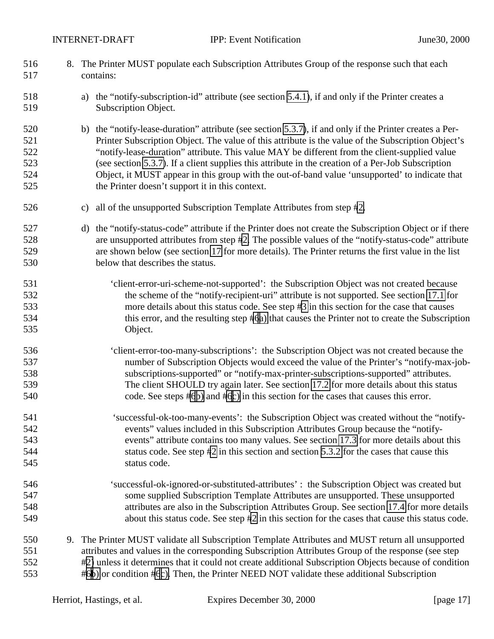| 516<br>517                             |               | 8. The Printer MUST populate each Subscription Attributes Group of the response such that each<br>contains:                                                                                                                                                                                                                                                                                                                                                                                                                                                               |
|----------------------------------------|---------------|---------------------------------------------------------------------------------------------------------------------------------------------------------------------------------------------------------------------------------------------------------------------------------------------------------------------------------------------------------------------------------------------------------------------------------------------------------------------------------------------------------------------------------------------------------------------------|
| 518<br>519                             |               | a) the "notify-subscription-id" attribute (see section 5.4.1), if and only if the Printer creates a<br>Subscription Object.                                                                                                                                                                                                                                                                                                                                                                                                                                               |
| 520<br>521<br>522<br>523<br>524<br>525 |               | b) the "notify-lease-duration" attribute (see section 5.3.7), if and only if the Printer creates a Per-<br>Printer Subscription Object. The value of this attribute is the value of the Subscription Object's<br>"notify-lease-duration" attribute. This value MAY be different from the client-supplied value<br>(see section 5.3.7). If a client supplies this attribute in the creation of a Per-Job Subscription<br>Object, it MUST appear in this group with the out-of-band value 'unsupported' to indicate that<br>the Printer doesn't support it in this context. |
| 526                                    | $\mathbf{c})$ | all of the unsupported Subscription Template Attributes from step #2.                                                                                                                                                                                                                                                                                                                                                                                                                                                                                                     |
| 527<br>528<br>529<br>530               |               | d) the "notify-status-code" attribute if the Printer does not create the Subscription Object or if there<br>are unsupported attributes from step #2. The possible values of the "notify-status-code" attribute<br>are shown below (see section 17 for more details). The Printer returns the first value in the list<br>below that describes the status.                                                                                                                                                                                                                  |
| 531<br>532<br>533<br>534<br>535        |               | 'client-error-uri-scheme-not-supported': the Subscription Object was not created because<br>the scheme of the "notify-recipient-uri" attribute is not supported. See section 17.1 for<br>more details about this status code. See step #3 in this section for the case that causes<br>this error, and the resulting step #6a) that causes the Printer not to create the Subscription<br>Object.                                                                                                                                                                           |
| 536<br>537<br>538<br>539<br>540        |               | 'client-error-too-many-subscriptions': the Subscription Object was not created because the<br>number of Subscription Objects would exceed the value of the Printer's "notify-max-job-<br>subscriptions-supported" or "notify-max-printer-subscriptions-supported" attributes.<br>The client SHOULD try again later. See section 17.2 for more details about this status<br>code. See steps #6b) and #6c) in this section for the cases that causes this error.                                                                                                            |
| 541<br>542<br>543<br>544<br>545        |               | 'successful-ok-too-many-events': the Subscription Object was created without the "notify-<br>events" values included in this Subscription Attributes Group because the "notify-<br>events" attribute contains too many values. See section 17.3 for more details about this<br>status code. See step #2 in this section and section 5.3.2 for the cases that cause this<br>status code.                                                                                                                                                                                   |
| 546<br>547<br>548<br>549               |               | 'successful-ok-ignored-or-substituted-attributes': the Subscription Object was created but<br>some supplied Subscription Template Attributes are unsupported. These unsupported<br>attributes are also in the Subscription Attributes Group. See section 17.4 for more details<br>about this status code. See step #2 in this section for the cases that cause this status code.                                                                                                                                                                                          |
| 550<br>551<br>552<br>553               |               | 9. The Printer MUST validate all Subscription Template Attributes and MUST return all unsupported<br>attributes and values in the corresponding Subscription Attributes Group of the response (see step<br>#2) unless it determines that it could not create additional Subscription Objects because of condition<br>#6b) or condition #6c). Then, the Printer NEED NOT validate these additional Subscription                                                                                                                                                            |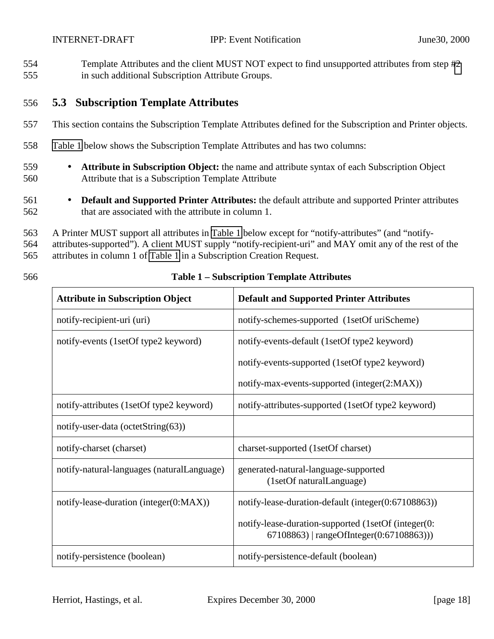<span id="page-17-0"></span>554 Template Attributes and the client MUST NOT expect to find unsupported attributes from step [#2](#page-14-0) 555 in such additional Subscription Attribute Groups.

### 556 **5.3 Subscription Template Attributes**

- 557 This section contains the Subscription Template Attributes defined for the Subscription and Printer objects.
- 558 Table 1 below shows the Subscription Template Attributes and has two columns:
- 559 **Attribute in Subscription Object:** the name and attribute syntax of each Subscription Object 560 Attribute that is a Subscription Template Attribute
- 561 **Default and Supported Printer Attributes:** the default attribute and supported Printer attributes 562 that are associated with the attribute in column 1.
- 563 A Printer MUST support all attributes in Table 1 below except for "notify-attributes" (and "notify-
- 564 attributes-supported"). A client MUST supply "notify-recipient-uri" and MAY omit any of the rest of the

565 attributes in column 1 of Table 1 in a Subscription Creation Request.

| 566 | <b>Table 1 – Subscription Template Attributes</b> |
|-----|---------------------------------------------------|
|     |                                                   |

| <b>Attribute in Subscription Object</b>    | <b>Default and Supported Printer Attributes</b>                                                  |  |
|--------------------------------------------|--------------------------------------------------------------------------------------------------|--|
| notify-recipient-uri (uri)                 | notify-schemes-supported (1setOf uriScheme)                                                      |  |
| notify-events (1setOf type2 keyword)       | notify-events-default (1setOf type2 keyword)                                                     |  |
|                                            | notify-events-supported (1setOf type2 keyword)                                                   |  |
|                                            | notify-max-events-supported (integer(2:MAX))                                                     |  |
| notify-attributes (1setOf type2 keyword)   | notify-attributes-supported (1setOf type2 keyword)                                               |  |
| notify-user-data (octetString $(63)$ )     |                                                                                                  |  |
| notify-charset (charset)                   | charset-supported (1setOf charset)                                                               |  |
| notify-natural-languages (naturalLanguage) | generated-natural-language-supported<br>(1setOf naturalLanguage)                                 |  |
| notify-lease-duration (integer(0:MAX))     | notify-lease-duration-default (integer(0:67108863))                                              |  |
|                                            | notify-lease-duration-supported (1setOf (integer(0:<br>$67108863$   rangeOfInteger(0:67108863))) |  |
| notify-persistence (boolean)               | notify-persistence-default (boolean)                                                             |  |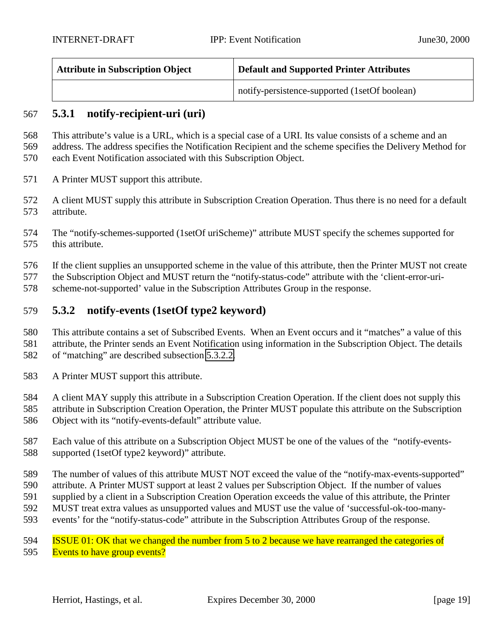| <b>Attribute in Subscription Object</b> | <sup>1</sup> Default and Supported Printer Attributes |  |
|-----------------------------------------|-------------------------------------------------------|--|
|                                         | notify-persistence-supported (1setOf boolean)         |  |

### **5.3.1 notify-recipient-uri (uri)**

 This attribute's value is a URL, which is a special case of a URI. Its value consists of a scheme and an address. The address specifies the Notification Recipient and the scheme specifies the Delivery Method for each Event Notification associated with this Subscription Object.

- A Printer MUST support this attribute.
- A client MUST supply this attribute in Subscription Creation Operation. Thus there is no need for a default attribute.
- The "notify-schemes-supported (1setOf uriScheme)" attribute MUST specify the schemes supported for this attribute.
- If the client supplies an unsupported scheme in the value of this attribute, then the Printer MUST not create
- the Subscription Object and MUST return the "notify-status-code" attribute with the 'client-error-uri-
- scheme-not-supported' value in the Subscription Attributes Group in the response.

### **5.3.2 notify-events (1setOf type2 keyword)**

- This attribute contains a set of Subscribed Events. When an Event occurs and it "matches" a value of this
- attribute, the Printer sends an Event Notification using information in the Subscription Object. The details
- of "matching" are described subsection [5.3.2.2.](#page-22-0)
- A Printer MUST support this attribute.
- A client MAY supply this attribute in a Subscription Creation Operation. If the client does not supply this
- attribute in Subscription Creation Operation, the Printer MUST populate this attribute on the Subscription Object with its "notify-events-default" attribute value.
- Each value of this attribute on a Subscription Object MUST be one of the values of the "notify-events-supported (1setOf type2 keyword)" attribute.
- The number of values of this attribute MUST NOT exceed the value of the "notify-max-events-supported"
- attribute. A Printer MUST support at least 2 values per Subscription Object. If the number of values
- supplied by a client in a Subscription Creation Operation exceeds the value of this attribute, the Printer
- MUST treat extra values as unsupported values and MUST use the value of 'successful-ok-too-many-
- events' for the "notify-status-code" attribute in the Subscription Attributes Group of the response.
- **ISSUE 01: OK that we changed the number from 5 to 2 because we have rearranged the categories of**
- 595 Events to have group events?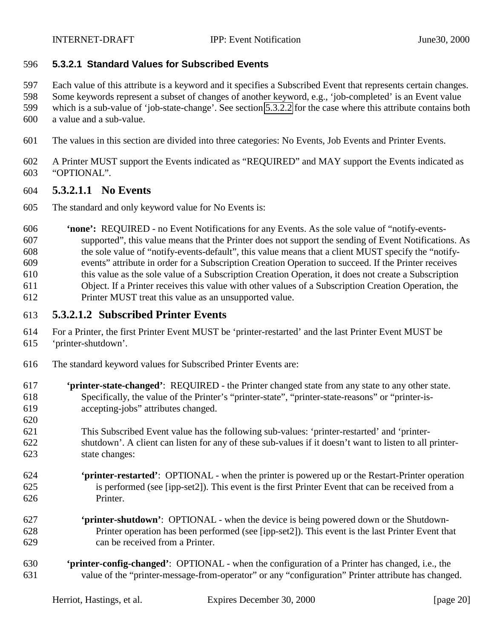#### **5.3.2.1 Standard Values for Subscribed Events**

- Each value of this attribute is a keyword and it specifies a Subscribed Event that represents certain changes.
- Some keywords represent a subset of changes of another keyword, e.g., 'job-completed' is an Event value
- which is a sub-value of 'job-state-change'. See section [5.3.2.2](#page-22-0) for the case where this attribute contains both
- a value and a sub-value.
- The values in this section are divided into three categories: No Events, Job Events and Printer Events.
- A Printer MUST support the Events indicated as "REQUIRED" and MAY support the Events indicated as "OPTIONAL".

### **5.3.2.1.1 No Events**

- The standard and only keyword value for No Events is:
- **'none':** REQUIRED no Event Notifications for any Events. As the sole value of "notify-events- supported", this value means that the Printer does not support the sending of Event Notifications. As the sole value of "notify-events-default", this value means that a client MUST specify the "notify- events" attribute in order for a Subscription Creation Operation to succeed. If the Printer receives this value as the sole value of a Subscription Creation Operation, it does not create a Subscription Object. If a Printer receives this value with other values of a Subscription Creation Operation, the Printer MUST treat this value as an unsupported value.

## **5.3.2.1.2 Subscribed Printer Events**

- For a Printer, the first Printer Event MUST be 'printer-restarted' and the last Printer Event MUST be 'printer-shutdown'.
- The standard keyword values for Subscribed Printer Events are:
- **'printer-state-changed'**: REQUIRED the Printer changed state from any state to any other state. Specifically, the value of the Printer's "printer-state", "printer-state-reasons" or "printer-is-accepting-jobs" attributes changed.
- This Subscribed Event value has the following sub-values: 'printer-restarted' and 'printer- shutdown'. A client can listen for any of these sub-values if it doesn't want to listen to all printer-state changes:
- **'printer-restarted'**: OPTIONAL when the printer is powered up or the Restart-Printer operation is performed (see [ipp-set2]). This event is the first Printer Event that can be received from a Printer.
- **'printer-shutdown'**: OPTIONAL when the device is being powered down or the Shutdown- Printer operation has been performed (see [ipp-set2]). This event is the last Printer Event that can be received from a Printer.
- **'printer-config-changed'**:OPTIONAL when the configuration of a Printer has changed, i.e., the value of the "printer-message-from-operator" or any "configuration" Printer attribute has changed.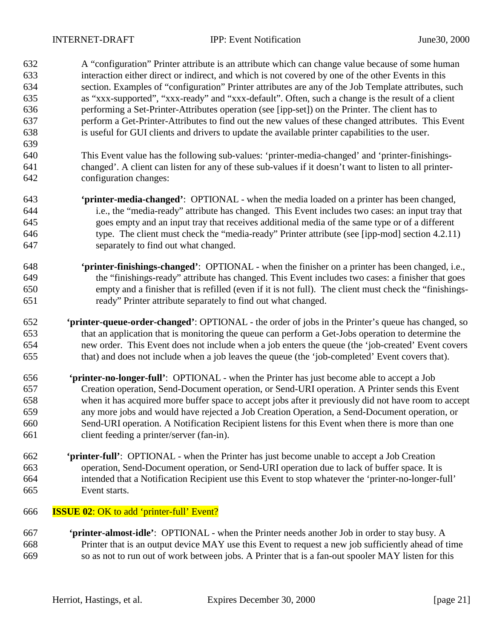A "configuration" Printer attribute is an attribute which can change value because of some human interaction either direct or indirect, and which is not covered by one of the other Events in this section. Examples of "configuration" Printer attributes are any of the Job Template attributes, such as "xxx-supported", "xxx-ready" and "xxx-default". Often, such a change is the result of a client performing a Set-Printer-Attributes operation (see [ipp-set]) on the Printer. The client has to perform a Get-Printer-Attributes to find out the new values of these changed attributes. This Event is useful for GUI clients and drivers to update the available printer capabilities to the user.

- This Event value has the following sub-values: 'printer-media-changed' and 'printer-finishings- changed'. A client can listen for any of these sub-values if it doesn't want to listen to all printer-configuration changes:
- **'printer-media-changed'**:OPTIONAL when the media loaded on a printer has been changed, i.e., the "media-ready" attribute has changed. This Event includes two cases: an input tray that goes empty and an input tray that receives additional media of the same type or of a different type. The client must check the "media-ready" Printer attribute (see [ipp-mod] section 4.2.11) separately to find out what changed.
- **'printer-finishings-changed'**:OPTIONAL when the finisher on a printer has been changed, i.e., the "finishings-ready" attribute has changed. This Event includes two cases: a finisher that goes empty and a finisher that is refilled (even if it is not full). The client must check the "finishings-ready" Printer attribute separately to find out what changed.
- **'printer-queue-order-changed'**: OPTIONAL the order of jobs in the Printer's queue has changed, so that an application that is monitoring the queue can perform a Get-Jobs operation to determine the new order. This Event does not include when a job enters the queue (the 'job-created' Event covers that) and does not include when a job leaves the queue (the 'job-completed' Event covers that).
- **'printer-no-longer-full'**: OPTIONAL when the Printer has just become able to accept a Job Creation operation, Send-Document operation, or Send-URI operation. A Printer sends this Event when it has acquired more buffer space to accept jobs after it previously did not have room to accept any more jobs and would have rejected a Job Creation Operation, a Send-Document operation, or Send-URI operation. A Notification Recipient listens for this Event when there is more than one client feeding a printer/server (fan-in).
- **'printer-full'**: OPTIONAL when the Printer has just become unable to accept a Job Creation operation, Send-Document operation, or Send-URI operation due to lack of buffer space. It is intended that a Notification Recipient use this Event to stop whatever the 'printer-no-longer-full' Event starts.
- **ISSUE 02**: OK to add 'printer-full' Event?
- **'printer-almost-idle'**:OPTIONAL when the Printer needs another Job in order to stay busy. A Printer that is an output device MAY use this Event to request a new job sufficiently ahead of time so as not to run out of work between jobs. A Printer that is a fan-out spooler MAY listen for this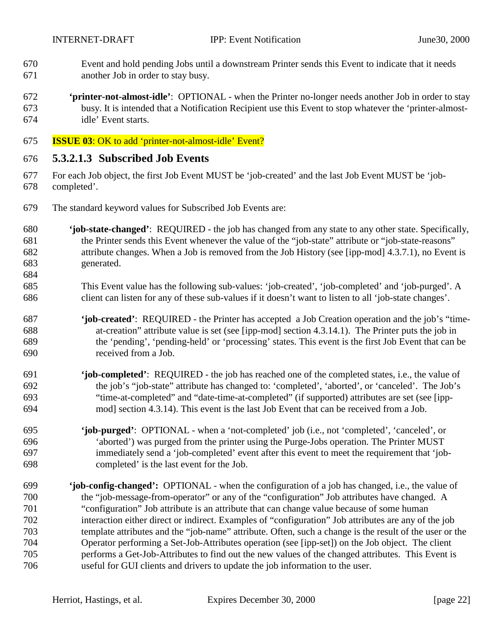- Event and hold pending Jobs until a downstream Printer sends this Event to indicate that it needs another Job in order to stay busy.
- **'printer-not-almost-idle'**:OPTIONAL when the Printer no-longer needs another Job in order to stay busy. It is intended that a Notification Recipient use this Event to stop whatever the 'printer-almost-idle' Event starts.
- **ISSUE 03**: OK to add 'printer-not-almost-idle' Event?

# **5.3.2.1.3 Subscribed Job Events**

- For each Job object, the first Job Event MUST be 'job-created' and the last Job Event MUST be 'job-completed'.
- The standard keyword values for Subscribed Job Events are:
- **'job-state-changed'**: REQUIRED the job has changed from any state to any other state. Specifically, the Printer sends this Event whenever the value of the "job-state" attribute or "job-state-reasons" attribute changes. When a Job is removed from the Job History (see [ipp-mod] 4.3.7.1), no Event is generated.
- This Event value has the following sub-values: 'job-created', 'job-completed' and 'job-purged'. A client can listen for any of these sub-values if it doesn't want to listen to all 'job-state changes'.
- **'job-created'**: REQUIRED the Printer has accepted a Job Creation operation and the job's "time- at-creation" attribute value is set (see [ipp-mod] section 4.3.14.1). The Printer puts the job in the 'pending', 'pending-held' or 'processing' states. This event is the first Job Event that can be received from a Job.
- **'job-completed'**: REQUIRED the job has reached one of the completed states, i.e., the value of the job's "job-state" attribute has changed to: 'completed', 'aborted', or 'canceled'. The Job's "time-at-completed" and "date-time-at-completed" (if supported) attributes are set (see [ipp-mod] section 4.3.14). This event is the last Job Event that can be received from a Job.
- **'job-purged'**: OPTIONAL when a 'not-completed' job (i.e., not 'completed', 'canceled', or 'aborted') was purged from the printer using the Purge-Jobs operation. The Printer MUST immediately send a 'job-completed' event after this event to meet the requirement that 'job-completed' is the last event for the Job.
- **'job-config-changed':** OPTIONAL when the configuration of a job has changed, i.e., the value of the "job-message-from-operator" or any of the "configuration" Job attributes have changed. A "configuration" Job attribute is an attribute that can change value because of some human interaction either direct or indirect. Examples of "configuration" Job attributes are any of the job template attributes and the "job-name" attribute. Often, such a change is the result of the user or the Operator performing a Set-Job-Attributes operation (see [ipp-set]) on the Job object. The client performs a Get-Job-Attributes to find out the new values of the changed attributes. This Event is useful for GUI clients and drivers to update the job information to the user.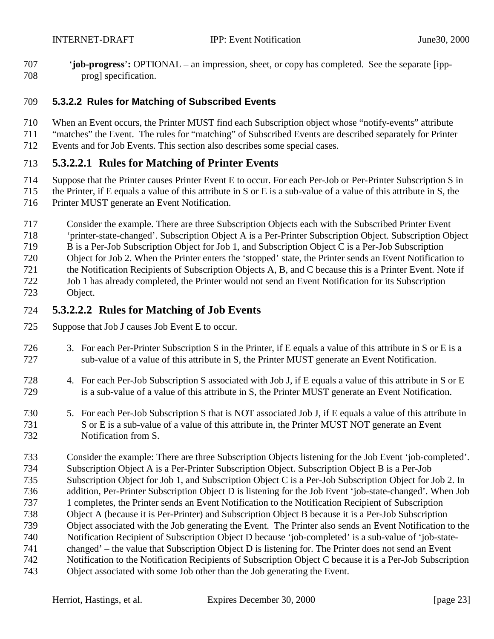<span id="page-22-0"></span>707 '**job-progress**'**:** OPTIONAL – an impression, sheet, or copy has completed. See the separate [ipp-prog] specification.

#### **5.3.2.2 Rules for Matching of Subscribed Events**

- When an Event occurs, the Printer MUST find each Subscription object whose "notify-events" attribute
- "matches" the Event. The rules for "matching" of Subscribed Events are described separately for Printer
- Events and for Job Events. This section also describes some special cases.

# **5.3.2.2.1 Rules for Matching of Printer Events**

- Suppose that the Printer causes Printer Event E to occur. For each Per-Job or Per-Printer Subscription S in
- the Printer, if E equals a value of this attribute in S or E is a sub-value of a value of this attribute in S, the
- Printer MUST generate an Event Notification.
- Consider the example. There are three Subscription Objects each with the Subscribed Printer Event
- 'printer-state-changed'. Subscription Object A is a Per-Printer Subscription Object. Subscription Object
- B is a Per-Job Subscription Object for Job 1, and Subscription Object C is a Per-Job Subscription
- Object for Job 2. When the Printer enters the 'stopped' state, the Printer sends an Event Notification to
- the Notification Recipients of Subscription Objects A, B, and C because this is a Printer Event. Note if Job 1 has already completed, the Printer would not send an Event Notification for its Subscription
- Object.

# **5.3.2.2.2 Rules for Matching of Job Events**

- Suppose that Job J causes Job Event E to occur.
- 3. For each Per-Printer Subscription S in the Printer, if E equals a value of this attribute in S or E is a sub-value of a value of this attribute in S, the Printer MUST generate an Event Notification.
- 4. For each Per-Job Subscription S associated with Job J, if E equals a value of this attribute in S or E is a sub-value of a value of this attribute in S, the Printer MUST generate an Event Notification.
- 5. For each Per-Job Subscription S that is NOT associated Job J, if E equals a value of this attribute in 731 S or E is a sub-value of a value of this attribute in, the Printer MUST NOT generate an Event Notification from S.
- Consider the example: There are three Subscription Objects listening for the Job Event 'job-completed'. Subscription Object A is a Per-Printer Subscription Object. Subscription Object B is a Per-Job Subscription Object for Job 1, and Subscription Object C is a Per-Job Subscription Object for Job 2. In addition, Per-Printer Subscription Object D is listening for the Job Event 'job-state-changed'. When Job 1 completes, the Printer sends an Event Notification to the Notification Recipient of Subscription Object A (because it is Per-Printer) and Subscription Object B because it is a Per-Job Subscription Object associated with the Job generating the Event. The Printer also sends an Event Notification to the Notification Recipient of Subscription Object D because 'job-completed' is a sub-value of 'job-state- changed' – the value that Subscription Object D is listening for. The Printer does not send an Event Notification to the Notification Recipients of Subscription Object C because it is a Per-Job Subscription Object associated with some Job other than the Job generating the Event.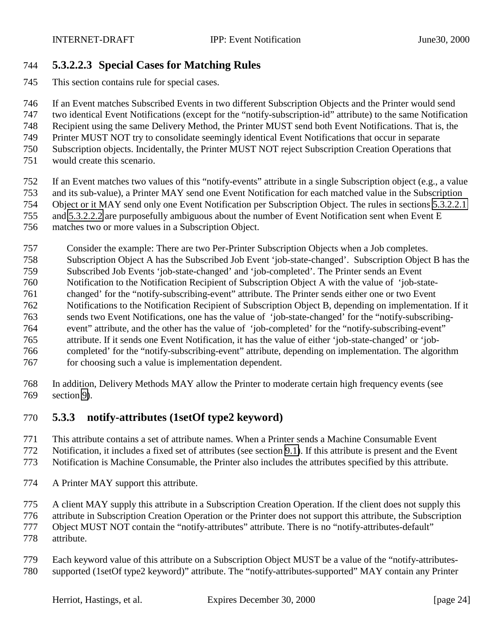# <span id="page-23-0"></span>**5.3.2.2.3 Special Cases for Matching Rules**

This section contains rule for special cases.

If an Event matches Subscribed Events in two different Subscription Objects and the Printer would send

two identical Event Notifications (except for the "notify-subscription-id" attribute) to the same Notification

Recipient using the same Delivery Method, the Printer MUST send both Event Notifications. That is, the

- Printer MUST NOT try to consolidate seemingly identical Event Notifications that occur in separate Subscription objects. Incidentally, the Printer MUST NOT reject Subscription Creation Operations that
- 
- would create this scenario.
- If an Event matches two values of this "notify-events" attribute in a single Subscription object (e.g., a value
- and its sub-value), a Printer MAY send one Event Notification for each matched value in the Subscription
- Object or it MAY send only one Event Notification per Subscription Object. The rules in sections [5.3.2.2.1](#page-22-0) and [5.3.2.2.2](#page-22-0) are purposefully ambiguous about the number of Event Notification sent when Event E
- 
- matches two or more values in a Subscription Object.
- Consider the example: There are two Per-Printer Subscription Objects when a Job completes.
- Subscription Object A has the Subscribed Job Event 'job-state-changed'. Subscription Object B has the
- Subscribed Job Events 'job-state-changed' and 'job-completed'. The Printer sends an Event
- Notification to the Notification Recipient of Subscription Object A with the value of 'job-state-changed' for the "notify-subscribing-event" attribute. The Printer sends either one or two Event
- Notifications to the Notification Recipient of Subscription Object B, depending on implementation. If it
- sends two Event Notifications, one has the value of 'job-state-changed' for the "notify-subscribing-
- event" attribute, and the other has the value of 'job-completed' for the "notify-subscribing-event"
- attribute. If it sends one Event Notification, it has the value of either 'job-state-changed' or 'job-
- completed' for the "notify-subscribing-event" attribute, depending on implementation. The algorithm
- for choosing such a value is implementation dependent.
- In addition, Delivery Methods MAY allow the Printer to moderate certain high frequency events (see section [9\)](#page-34-0).

# **5.3.3 notify-attributes (1setOf type2 keyword)**

- This attribute contains a set of attribute names. When a Printer sends a Machine Consumable Event
- Notification, it includes a fixed set of attributes (see section [9.1\)](#page-35-0). If this attribute is present and the Event
- Notification is Machine Consumable, the Printer also includes the attributes specified by this attribute.
- A Printer MAY support this attribute.
- A client MAY supply this attribute in a Subscription Creation Operation. If the client does not supply this
- attribute in Subscription Creation Operation or the Printer does not support this attribute, the Subscription
- Object MUST NOT contain the "notify-attributes" attribute. There is no "notify-attributes-default"
- attribute.
- Each keyword value of this attribute on a Subscription Object MUST be a value of the "notify-attributes-supported (1setOf type2 keyword)" attribute. The "notify-attributes-supported" MAY contain any Printer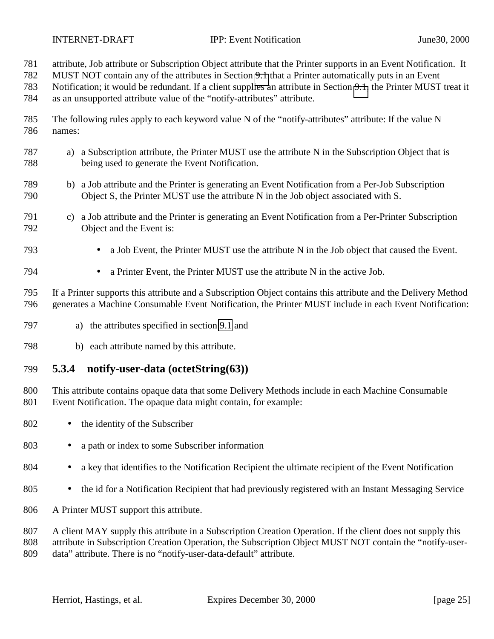<span id="page-24-0"></span>

- attribute, Job attribute or Subscription Object attribute that the Printer supports in an Event Notification. It
- MUST NOT contain any of the attributes in Section [9.1](#page-35-0) that a Printer automatically puts in an Event
- Notification; it would be redundant. If a client supplies an attribute in Section [9.1,](#page-35-0) the Printer MUST treat it as an unsupported attribute value of the "notify-attributes" attribute.
- The following rules apply to each keyword value N of the "notify-attributes" attribute: If the value N names:
- a) a Subscription attribute, the Printer MUST use the attribute N in the Subscription Object that is being used to generate the Event Notification.
- b) a Job attribute and the Printer is generating an Event Notification from a Per-Job Subscription Object S, the Printer MUST use the attribute N in the Job object associated with S.
- c) a Job attribute and the Printer is generating an Event Notification from a Per-Printer Subscription Object and the Event is:
- a Job Event, the Printer MUST use the attribute N in the Job object that caused the Event.
- a Printer Event, the Printer MUST use the attribute N in the active Job.
- If a Printer supports this attribute and a Subscription Object contains this attribute and the Delivery Method generates a Machine Consumable Event Notification, the Printer MUST include in each Event Notification:
- a) the attributes specified in section [9.1](#page-35-0) and
- b) each attribute named by this attribute.

### **5.3.4 notify-user-data (octetString(63))**

- This attribute contains opaque data that some Delivery Methods include in each Machine Consumable Event Notification. The opaque data might contain, for example:
- 802 the identity of the Subscriber
- a path or index to some Subscriber information
- 804 a key that identifies to the Notification Recipient the ultimate recipient of the Event Notification
- the id for a Notification Recipient that had previously registered with an Instant Messaging Service
- A Printer MUST support this attribute.
- 807 A client MAY supply this attribute in a Subscription Creation Operation. If the client does not supply this
- attribute in Subscription Creation Operation, the Subscription Object MUST NOT contain the "notify-user-data" attribute. There is no "notify-user-data-default" attribute.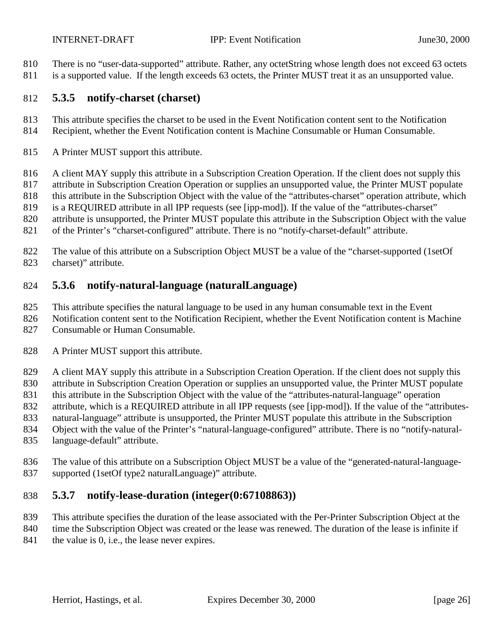- <span id="page-25-0"></span>810 There is no "user-data-supported" attribute. Rather, any octetString whose length does not exceed 63 octets
- 811 is a supported value. If the length exceeds 63 octets, the Printer MUST treat it as an unsupported value.

#### **5.3.5 notify-charset (charset)**

- This attribute specifies the charset to be used in the Event Notification content sent to the Notification
- Recipient, whether the Event Notification content is Machine Consumable or Human Consumable.
- A Printer MUST support this attribute.
- 816 A client MAY supply this attribute in a Subscription Creation Operation. If the client does not supply this
- attribute in Subscription Creation Operation or supplies an unsupported value, the Printer MUST populate
- 818 this attribute in the Subscription Object with the value of the "attributes-charset" operation attribute, which
- is a REQUIRED attribute in all IPP requests (see [ipp-mod]). If the value of the "attributes-charset"
- attribute is unsupported, the Printer MUST populate this attribute in the Subscription Object with the value
- 821 of the Printer's "charset-configured" attribute. There is no "notify-charset-default" attribute.
- The value of this attribute on a Subscription Object MUST be a value of the "charset-supported (1setOf charset)" attribute.

# **5.3.6 notify-natural-language (naturalLanguage)**

- This attribute specifies the natural language to be used in any human consumable text in the Event
- Notification content sent to the Notification Recipient, whether the Event Notification content is Machine
- Consumable or Human Consumable.
- 828 A Printer MUST support this attribute.
- 829 A client MAY supply this attribute in a Subscription Creation Operation. If the client does not supply this
- attribute in Subscription Creation Operation or supplies an unsupported value, the Printer MUST populate
- this attribute in the Subscription Object with the value of the "attributes-natural-language" operation
- attribute, which is a REQUIRED attribute in all IPP requests (see [ipp-mod]). If the value of the "attributes-
- natural-language" attribute is unsupported, the Printer MUST populate this attribute in the Subscription Object with the value of the Printer's "natural-language-configured" attribute. There is no "notify-natural-
- language-default" attribute.
- The value of this attribute on a Subscription Object MUST be a value of the "generated-natural-language-
- supported (1setOf type2 naturalLanguage)" attribute.

# **5.3.7 notify-lease-duration (integer(0:67108863))**

- This attribute specifies the duration of the lease associated with the Per-Printer Subscription Object at the
- 840 time the Subscription Object was created or the lease was renewed. The duration of the lease is infinite if
- 841 the value is 0, i.e., the lease never expires.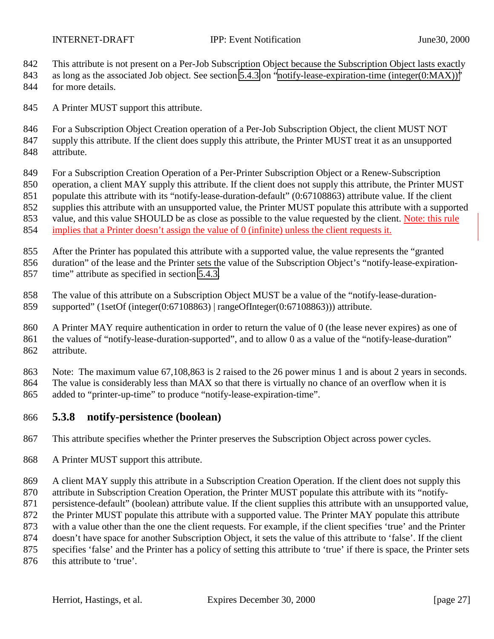<span id="page-26-0"></span>

- 842 This attribute is not present on a Per-Job Subscription Object because the Subscription Object lasts exactly
- 843 as long as the associated Job object. See section [5.4.3](#page-29-0) on ["notify-lease-expiration-time \(integer\(0:MAX\)\)"](#page-29-0)
- for more details.
- 845 A Printer MUST support this attribute.
- 846 For a Subscription Object Creation operation of a Per-Job Subscription Object, the client MUST NOT
- supply this attribute. If the client does supply this attribute, the Printer MUST treat it as an unsupported attribute.
- For a Subscription Creation Operation of a Per-Printer Subscription Object or a Renew-Subscription
- operation, a client MAY supply this attribute. If the client does not supply this attribute, the Printer MUST
- populate this attribute with its "notify-lease-duration-default" (0:67108863) attribute value. If the client
- 852 supplies this attribute with an unsupported value, the Printer MUST populate this attribute with a supported
- 853 value, and this value SHOULD be as close as possible to the value requested by the client. Note: this rule
- implies that a Printer doesn't assign the value of 0 (infinite) unless the client requests it.
- After the Printer has populated this attribute with a supported value, the value represents the "granted
- duration" of the lease and the Printer sets the value of the Subscription Object's "notify-lease-expiration-time" attribute as specified in section [5.4.3.](#page-29-0)
- The value of this attribute on a Subscription Object MUST be a value of the "notify-lease-duration-supported" (1setOf (integer(0:67108863) | rangeOfInteger(0:67108863))) attribute.
- A Printer MAY require authentication in order to return the value of 0 (the lease never expires) as one of the values of "notify-lease-duration-supported", and to allow 0 as a value of the "notify-lease-duration" attribute.
- Note: The maximum value 67,108,863 is 2 raised to the 26 power minus 1 and is about 2 years in seconds.
- The value is considerably less than MAX so that there is virtually no chance of an overflow when it is added to "printer-up-time" to produce "notify-lease-expiration-time".
- **5.3.8 notify-persistence (boolean)**
- This attribute specifies whether the Printer preserves the Subscription Object across power cycles.
- A Printer MUST support this attribute.
- 869 A client MAY supply this attribute in a Subscription Creation Operation. If the client does not supply this
- attribute in Subscription Creation Operation, the Printer MUST populate this attribute with its "notify-
- persistence-default" (boolean) attribute value. If the client supplies this attribute with an unsupported value,
- 872 the Printer MUST populate this attribute with a supported value. The Printer MAY populate this attribute
- with a value other than the one the client requests. For example, if the client specifies 'true' and the Printer
- doesn't have space for another Subscription Object, it sets the value of this attribute to 'false'. If the client
- specifies 'false' and the Printer has a policy of setting this attribute to 'true' if there is space, the Printer sets 876 this attribute to 'true'.
	-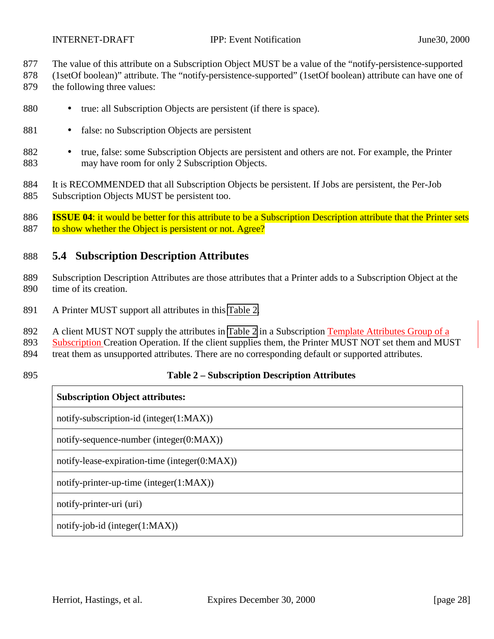<span id="page-27-0"></span>

- 877 The value of this attribute on a Subscription Object MUST be a value of the "notify-persistence-supported
- 878 (1setOf boolean)" attribute. The "notify-persistence-supported" (1setOf boolean) attribute can have one of
- 879 the following three values:
- 880 true: all Subscription Objects are persistent (if there is space).
- 881 false: no Subscription Objects are persistent
- 882 true, false: some Subscription Objects are persistent and others are not. For example, the Printer 883 may have room for only 2 Subscription Objects.
- 884 It is RECOMMENDED that all Subscription Objects be persistent. If Jobs are persistent, the Per-Job
- 885 Subscription Objects MUST be persistent too.

886 **ISSUE 04**: it would be better for this attribute to be a Subscription Description attribute that the Printer sets 887 to show whether the Object is persistent or not. Agree?

## 888 **5.4 Subscription Description Attributes**

- 889 Subscription Description Attributes are those attributes that a Printer adds to a Subscription Object at the 890 time of its creation.
- 891 A Printer MUST support all attributes in this Table 2.
- 892 A client MUST NOT supply the attributes in Table 2 in a Subscription Template Attributes Group of a
- 893 Subscription Creation Operation. If the client supplies them, the Printer MUST NOT set them and MUST
- 894 treat them as unsupported attributes. There are no corresponding default or supported attributes.
- 

### 895 **Table 2 – Subscription Description Attributes**

### **Subscription Object attributes:**

notify-subscription-id (integer(1:MAX))

notify-sequence-number (integer(0:MAX))

notify-lease-expiration-time (integer(0:MAX))

notify-printer-up-time (integer(1:MAX))

notify-printer-uri (uri)

notify-job-id (integer(1:MAX))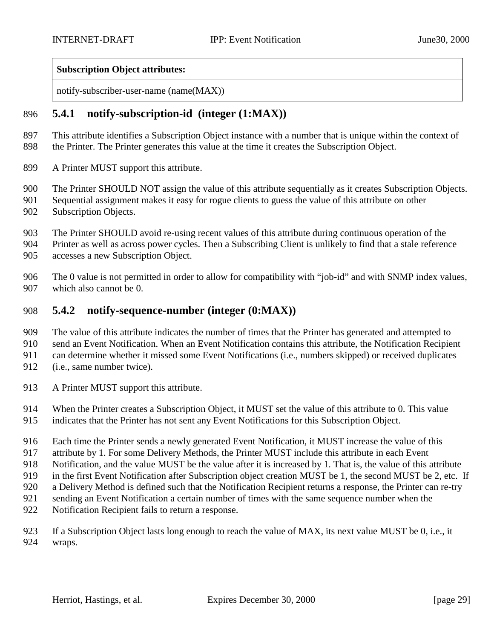#### <span id="page-28-0"></span>**Subscription Object attributes:**

notify-subscriber-user-name (name(MAX))

### **5.4.1 notify-subscription-id (integer (1:MAX))**

- This attribute identifies a Subscription Object instance with a number that is unique within the context of the Printer. The Printer generates this value at the time it creates the Subscription Object.
- A Printer MUST support this attribute.
- The Printer SHOULD NOT assign the value of this attribute sequentially as it creates Subscription Objects.
- Sequential assignment makes it easy for rogue clients to guess the value of this attribute on other Subscription Objects.
- - The Printer SHOULD avoid re-using recent values of this attribute during continuous operation of the
	- Printer as well as across power cycles. Then a Subscribing Client is unlikely to find that a stale reference
	- accesses a new Subscription Object.
	- The 0 value is not permitted in order to allow for compatibility with "job-id" and with SNMP index values, which also cannot be 0.

### **5.4.2 notify-sequence-number (integer (0:MAX))**

- The value of this attribute indicates the number of times that the Printer has generated and attempted to
- send an Event Notification. When an Event Notification contains this attribute, the Notification Recipient
- can determine whether it missed some Event Notifications (i.e., numbers skipped) or received duplicates
- (i.e., same number twice).
- 913 A Printer MUST support this attribute.
- When the Printer creates a Subscription Object, it MUST set the value of this attribute to 0. This value
- indicates that the Printer has not sent any Event Notifications for this Subscription Object.
- Each time the Printer sends a newly generated Event Notification, it MUST increase the value of this
- attribute by 1. For some Delivery Methods, the Printer MUST include this attribute in each Event
- Notification, and the value MUST be the value after it is increased by 1. That is, the value of this attribute
- 919 in the first Event Notification after Subscription object creation MUST be 1, the second MUST be 2, etc. If
- a Delivery Method is defined such that the Notification Recipient returns a response, the Printer can re-try
- sending an Event Notification a certain number of times with the same sequence number when the
- Notification Recipient fails to return a response.

 If a Subscription Object lasts long enough to reach the value of MAX, its next value MUST be 0, i.e., it wraps.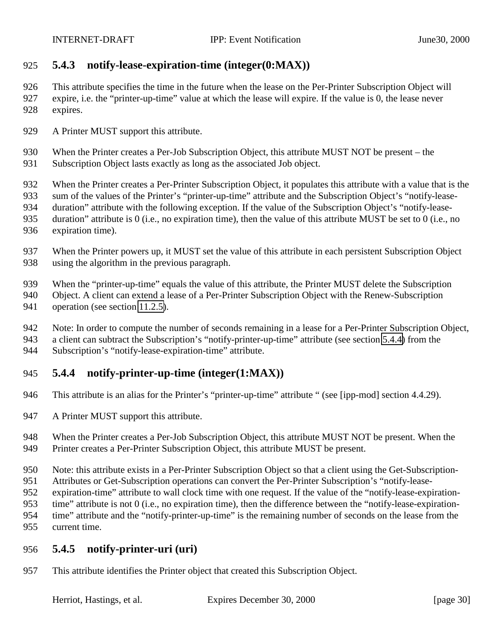# <span id="page-29-0"></span>**5.4.3 notify-lease-expiration-time (integer(0:MAX))**

 This attribute specifies the time in the future when the lease on the Per-Printer Subscription Object will expire, i.e. the "printer-up-time" value at which the lease will expire. If the value is 0, the lease never expires.

- 929 A Printer MUST support this attribute.
- When the Printer creates a Per-Job Subscription Object, this attribute MUST NOT be present the Subscription Object lasts exactly as long as the associated Job object.
- When the Printer creates a Per-Printer Subscription Object, it populates this attribute with a value that is the
- sum of the values of the Printer's "printer-up-time" attribute and the Subscription Object's "notify-lease-
- duration" attribute with the following exception. If the value of the Subscription Object's "notify-lease-
- duration" attribute is 0 (i.e., no expiration time), then the value of this attribute MUST be set to 0 (i.e., no
- expiration time).
- When the Printer powers up, it MUST set the value of this attribute in each persistent Subscription Object using the algorithm in the previous paragraph.
- When the "printer-up-time" equals the value of this attribute, the Printer MUST delete the Subscription
- Object. A client can extend a lease of a Per-Printer Subscription Object with the Renew-Subscription
- 941 operation (see section [11.2.5\)](#page-52-0).
- Note: In order to compute the number of seconds remaining in a lease for a Per-Printer Subscription Object,
- a client can subtract the Subscription's "notify-printer-up-time" attribute (see section 5.4.4) from the
- Subscription's "notify-lease-expiration-time" attribute.

# **5.4.4 notify-printer-up-time (integer(1:MAX))**

- This attribute is an alias for the Printer's "printer-up-time" attribute " (see [ipp-mod] section 4.4.29).
- 947 A Printer MUST support this attribute.
- When the Printer creates a Per-Job Subscription Object, this attribute MUST NOT be present. When the
- Printer creates a Per-Printer Subscription Object, this attribute MUST be present.
- Note: this attribute exists in a Per-Printer Subscription Object so that a client using the Get-Subscription-
- Attributes or Get-Subscription operations can convert the Per-Printer Subscription's "notify-lease-
- expiration-time" attribute to wall clock time with one request. If the value of the "notify-lease-expiration-
- time" attribute is not 0 (i.e., no expiration time), then the difference between the "notify-lease-expiration-
- time" attribute and the "notify-printer-up-time" is the remaining number of seconds on the lease from the current time.

# **5.4.5 notify-printer-uri (uri)**

This attribute identifies the Printer object that created this Subscription Object.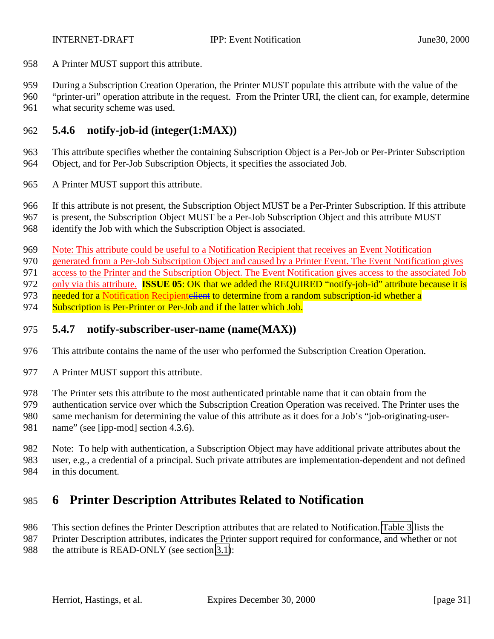<span id="page-30-0"></span>A Printer MUST support this attribute.

During a Subscription Creation Operation, the Printer MUST populate this attribute with the value of the

 "printer-uri" operation attribute in the request. From the Printer URI, the client can, for example, determine what security scheme was used.

# **5.4.6 notify-job-id (integer(1:MAX))**

 This attribute specifies whether the containing Subscription Object is a Per-Job or Per-Printer Subscription Object, and for Per-Job Subscription Objects, it specifies the associated Job.

A Printer MUST support this attribute.

If this attribute is not present, the Subscription Object MUST be a Per-Printer Subscription. If this attribute

is present, the Subscription Object MUST be a Per-Job Subscription Object and this attribute MUST

identify the Job with which the Subscription Object is associated.

Note: This attribute could be useful to a Notification Recipient that receives an Event Notification

generated from a Per-Job Subscription Object and caused by a Printer Event. The Event Notification gives

971 access to the Printer and the Subscription Object. The Event Notification gives access to the associated Job

only via this attribute. **ISSUE 05**: OK that we added the REQUIRED "notify-job-id" attribute because it is

973 needed for a Notification Recipientelient to determine from a random subscription-id whether a

974 Subscription is Per-Printer or Per-Job and if the latter which Job.

### **5.4.7 notify-subscriber-user-name (name(MAX))**

- This attribute contains the name of the user who performed the Subscription Creation Operation.
- 977 A Printer MUST support this attribute.
- The Printer sets this attribute to the most authenticated printable name that it can obtain from the
- authentication service over which the Subscription Creation Operation was received. The Printer uses the
- same mechanism for determining the value of this attribute as it does for a Job's "job-originating-user-981 name" (see [ipp-mod] section 4.3.6).

 Note: To help with authentication, a Subscription Object may have additional private attributes about the user, e.g., a credential of a principal. Such private attributes are implementation-dependent and not defined in this document.

# **6 Printer Description Attributes Related to Notification**

 This section defines the Printer Description attributes that are related to Notification. [Table 3](#page-31-0) lists the Printer Description attributes, indicates the Printer support required for conformance, and whether or not

988 the attribute is READ-ONLY (see section [3.1\)](#page-10-0):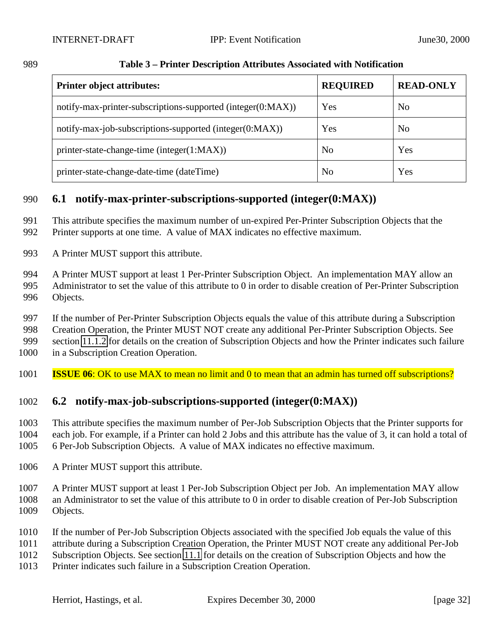| <b>Printer object attributes:</b>                           | <b>REQUIRED</b> | <b>READ-ONLY</b> |
|-------------------------------------------------------------|-----------------|------------------|
| notify-max-printer-subscriptions-supported (integer(0:MAX)) | Yes             | N <sub>0</sub>   |
| notify-max-job-subscriptions-supported (integer(0:MAX))     | Yes             | N <sub>0</sub>   |
| printer-state-change-time (integer(1:MAX))                  | N <sub>0</sub>  | Yes              |
| printer-state-change-date-time (dateTime)                   | N <sub>0</sub>  | Yes              |

#### <span id="page-31-0"></span>**Table 3 – Printer Description Attributes Associated with Notification**

# **6.1 notify-max-printer-subscriptions-supported (integer(0:MAX))**

- This attribute specifies the maximum number of un-expired Per-Printer Subscription Objects that the
- Printer supports at one time. A value of MAX indicates no effective maximum.
- A Printer MUST support this attribute.
- A Printer MUST support at least 1 Per-Printer Subscription Object. An implementation MAY allow an Administrator to set the value of this attribute to 0 in order to disable creation of Per-Printer Subscription Objects.
- If the number of Per-Printer Subscription Objects equals the value of this attribute during a Subscription
- Creation Operation, the Printer MUST NOT create any additional Per-Printer Subscription Objects. See
- section [11.1.2](#page-44-0) for details on the creation of Subscription Objects and how the Printer indicates such failure
- in a Subscription Creation Operation.
- **ISSUE 06**: OK to use MAX to mean no limit and 0 to mean that an admin has turned off subscriptions?

# **6.2 notify-max-job-subscriptions-supported (integer(0:MAX))**

 This attribute specifies the maximum number of Per-Job Subscription Objects that the Printer supports for each job. For example, if a Printer can hold 2 Jobs and this attribute has the value of 3, it can hold a total of 6 Per-Job Subscription Objects. A value of MAX indicates no effective maximum.

- A Printer MUST support this attribute.
- A Printer MUST support at least 1 Per-Job Subscription Object per Job. An implementation MAY allow an Administrator to set the value of this attribute to 0 in order to disable creation of Per-Job Subscription Objects.
- If the number of Per-Job Subscription Objects associated with the specified Job equals the value of this
- attribute during a Subscription Creation Operation, the Printer MUST NOT create any additional Per-Job
- Subscription Objects. See section [11.1](#page-42-0) for details on the creation of Subscription Objects and how the
- Printer indicates such failure in a Subscription Creation Operation.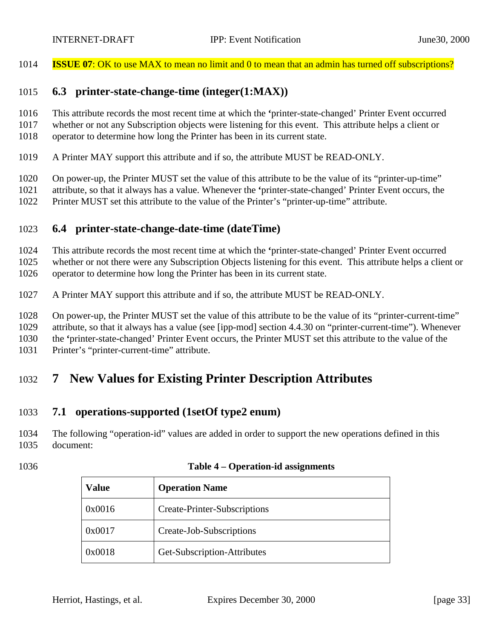<span id="page-32-0"></span>

**ISSUE 07**: OK to use MAX to mean no limit and 0 to mean that an admin has turned off subscriptions?

#### **6.3 printer-state-change-time (integer(1:MAX))**

This attribute records the most recent time at which the **'**printer-state-changed' Printer Event occurred

- whether or not any Subscription objects were listening for this event. This attribute helps a client or
- operator to determine how long the Printer has been in its current state.
- A Printer MAY support this attribute and if so, the attribute MUST be READ-ONLY.
- On power-up, the Printer MUST set the value of this attribute to be the value of its "printer-up-time"
- attribute, so that it always has a value. Whenever the **'**printer-state-changed' Printer Event occurs, the
- Printer MUST set this attribute to the value of the Printer's "printer-up-time" attribute.

### **6.4 printer-state-change-date-time (dateTime)**

This attribute records the most recent time at which the **'**printer-state-changed' Printer Event occurred

whether or not there were any Subscription Objects listening for this event. This attribute helps a client or

operator to determine how long the Printer has been in its current state.

A Printer MAY support this attribute and if so, the attribute MUST be READ-ONLY.

 On power-up, the Printer MUST set the value of this attribute to be the value of its "printer-current-time" attribute, so that it always has a value (see [ipp-mod] section 4.4.30 on "printer-current-time"). Whenever

the **'**printer-state-changed' Printer Event occurs, the Printer MUST set this attribute to the value of the

Printer's "printer-current-time" attribute.

# **7 New Values for Existing Printer Description Attributes**

# **7.1 operations-supported (1setOf type2 enum)**

 The following "operation-id" values are added in order to support the new operations defined in this document:

#### **Table 4 – Operation-id assignments**

| Value  | <b>Operation Name</b>        |
|--------|------------------------------|
| 0x0016 | Create-Printer-Subscriptions |
| 0x0017 | Create-Job-Subscriptions     |
| 0x0018 | Get-Subscription-Attributes  |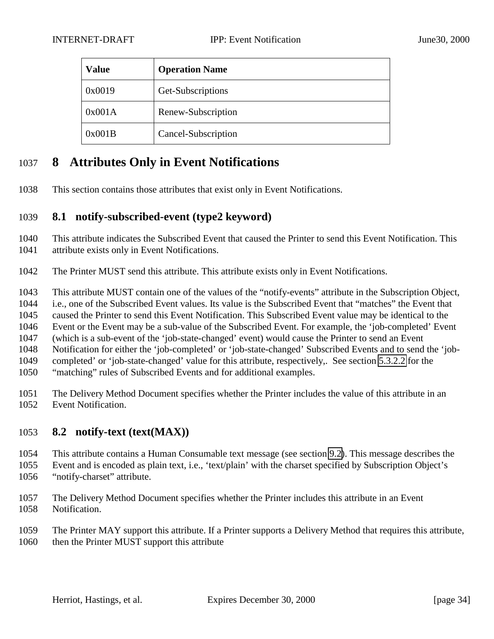<span id="page-33-0"></span>

| <b>Value</b> | <b>Operation Name</b> |
|--------------|-----------------------|
| 0x0019       | Get-Subscriptions     |
| 0x001A       | Renew-Subscription    |
| 0x001B       | Cancel-Subscription   |

# **8 Attributes Only in Event Notifications**

This section contains those attributes that exist only in Event Notifications.

## **8.1 notify-subscribed-event (type2 keyword)**

 This attribute indicates the Subscribed Event that caused the Printer to send this Event Notification. This attribute exists only in Event Notifications.

The Printer MUST send this attribute. This attribute exists only in Event Notifications.

This attribute MUST contain one of the values of the "notify-events" attribute in the Subscription Object,

i.e., one of the Subscribed Event values. Its value is the Subscribed Event that "matches" the Event that

caused the Printer to send this Event Notification. This Subscribed Event value may be identical to the

Event or the Event may be a sub-value of the Subscribed Event. For example, the 'job-completed' Event

(which is a sub-event of the 'job-state-changed' event) would cause the Printer to send an Event

Notification for either the 'job-completed' or 'job-state-changed' Subscribed Events and to send the 'job-

completed' or 'job-state-changed' value for this attribute, respectively,. See section [5.3.2.2](#page-22-0) for the

"matching" rules of Subscribed Events and for additional examples.

 The Delivery Method Document specifies whether the Printer includes the value of this attribute in an Event Notification.

# **8.2 notify-text (text(MAX))**

 This attribute contains a Human Consumable text message (see section [9.2\)](#page-37-0). This message describes the Event and is encoded as plain text, i.e., 'text/plain' with the charset specified by Subscription Object's "notify-charset" attribute.

- The Delivery Method Document specifies whether the Printer includes this attribute in an Event Notification.
- The Printer MAY support this attribute. If a Printer supports a Delivery Method that requires this attribute, 1060 then the Printer MUST support this attribute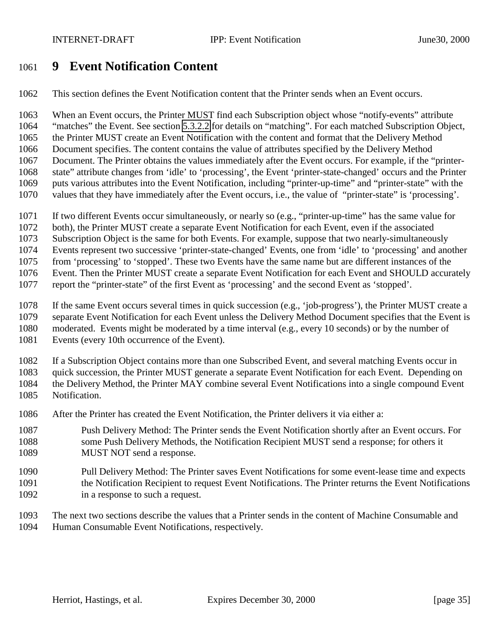# <span id="page-34-0"></span>**9 Event Notification Content**

This section defines the Event Notification content that the Printer sends when an Event occurs.

 When an Event occurs, the Printer MUST find each Subscription object whose "notify-events" attribute "matches" the Event. See section [5.3.2.2](#page-22-0) for details on "matching". For each matched Subscription Object, the Printer MUST create an Event Notification with the content and format that the Delivery Method Document specifies. The content contains the value of attributes specified by the Delivery Method Document. The Printer obtains the values immediately after the Event occurs. For example, if the "printer- state" attribute changes from 'idle' to 'processing', the Event 'printer-state-changed' occurs and the Printer puts various attributes into the Event Notification, including "printer-up-time" and "printer-state" with the values that they have immediately after the Event occurs, i.e., the value of "printer-state" is 'processing'.

- If two different Events occur simultaneously, or nearly so (e.g., "printer-up-time" has the same value for
- both), the Printer MUST create a separate Event Notification for each Event, even if the associated
- Subscription Object is the same for both Events. For example, suppose that two nearly-simultaneously

Events represent two successive 'printer-state-changed' Events, one from 'idle' to 'processing' and another

from 'processing' to 'stopped'. These two Events have the same name but are different instances of the

- Event. Then the Printer MUST create a separate Event Notification for each Event and SHOULD accurately
- report the "printer-state" of the first Event as 'processing' and the second Event as 'stopped'.
- If the same Event occurs several times in quick succession (e.g., 'job-progress'), the Printer MUST create a
- separate Event Notification for each Event unless the Delivery Method Document specifies that the Event is
- moderated. Events might be moderated by a time interval (e.g., every 10 seconds) or by the number of
- Events (every 10th occurrence of the Event).

If a Subscription Object contains more than one Subscribed Event, and several matching Events occur in

quick succession, the Printer MUST generate a separate Event Notification for each Event. Depending on

- the Delivery Method, the Printer MAY combine several Event Notifications into a single compound Event
- Notification.
- After the Printer has created the Event Notification, the Printer delivers it via either a:
- Push Delivery Method: The Printer sends the Event Notification shortly after an Event occurs. For some Push Delivery Methods, the Notification Recipient MUST send a response; for others it 1089 MUST NOT send a response.
- Pull Delivery Method: The Printer saves Event Notifications for some event-lease time and expects 1091 the Notification Recipient to request Event Notifications. The Printer returns the Event Notifications 1092 in a response to such a request.
- The next two sections describe the values that a Printer sends in the content of Machine Consumable and Human Consumable Event Notifications, respectively.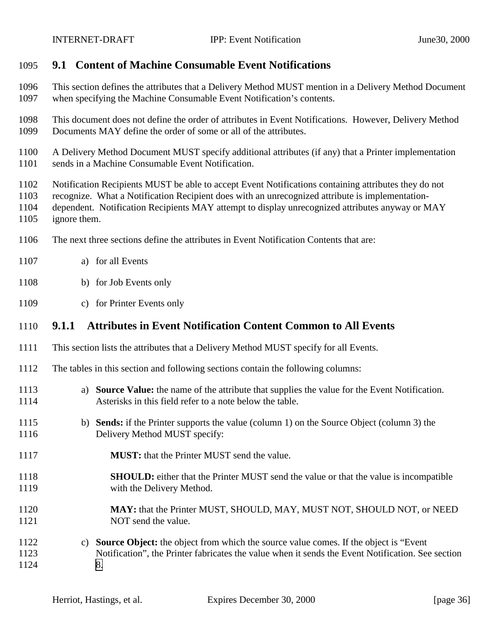<span id="page-35-0"></span>

## **9.1 Content of Machine Consumable Event Notifications**

- This section defines the attributes that a Delivery Method MUST mention in a Delivery Method Document when specifying the Machine Consumable Event Notification's contents.
- This document does not define the order of attributes in Event Notifications. However, Delivery Method Documents MAY define the order of some or all of the attributes.
- A Delivery Method Document MUST specify additional attributes (if any) that a Printer implementation sends in a Machine Consumable Event Notification.
- Notification Recipients MUST be able to accept Event Notifications containing attributes they do not
- recognize. What a Notification Recipient does with an unrecognized attribute is implementation-
- dependent. Notification Recipients MAY attempt to display unrecognized attributes anyway or MAY ignore them.
- 
- The next three sections define the attributes in Event Notification Contents that are:
- a) for all Events
- b) for Job Events only
- c) for Printer Events only

## **9.1.1 Attributes in Event Notification Content Common to All Events**

- This section lists the attributes that a Delivery Method MUST specify for all Events.
- The tables in this section and following sections contain the following columns:
- a) **Source Value:** the name of the attribute that supplies the value for the Event Notification. Asterisks in this field refer to a note below the table.
- b) **Sends:** if the Printer supports the value (column 1) on the Source Object (column 3) the 1116 Delivery Method MUST specify:
- **MUST:** that the Printer MUST send the value.
- **SHOULD:** either that the Printer MUST send the value or that the value is incompatible 1119 with the Delivery Method.
- **MAY:** that the Printer MUST, SHOULD, MAY, MUST NOT, SHOULD NOT, or NEED 1121 NOT send the value.
- c) **Source Object:** the object from which the source value comes. If the object is "Event Notification", the Printer fabricates the value when it sends the Event Notification. See section [8.](#page-33-0)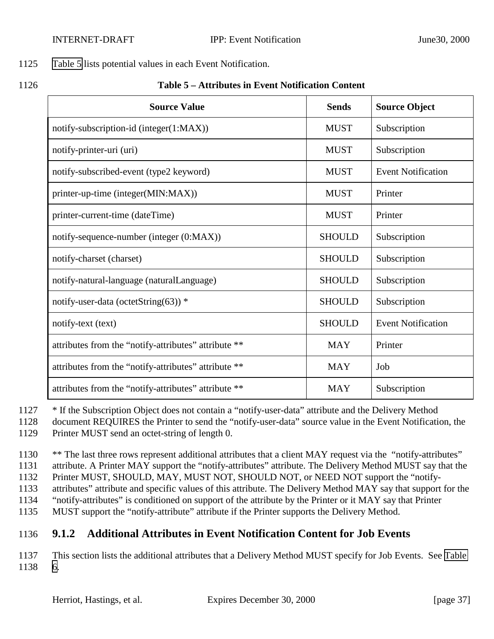#### 1125 Table 5 lists potential values in each Event Notification.

1126 **Table 5 – Attributes in Event Notification Content**

| <b>Source Value</b>                                  | <b>Sends</b>  | <b>Source Object</b>      |
|------------------------------------------------------|---------------|---------------------------|
| notify-subscription-id (integer(1:MAX))              | <b>MUST</b>   | Subscription              |
| notify-printer-uri (uri)                             | <b>MUST</b>   | Subscription              |
| notify-subscribed-event (type2 keyword)              | <b>MUST</b>   | <b>Event Notification</b> |
| printer-up-time (integer(MIN:MAX))                   | <b>MUST</b>   | Printer                   |
| printer-current-time (dateTime)                      | <b>MUST</b>   | Printer                   |
| notify-sequence-number (integer (0:MAX))             | <b>SHOULD</b> | Subscription              |
| notify-charset (charset)                             | <b>SHOULD</b> | Subscription              |
| notify-natural-language (naturalLanguage)            | <b>SHOULD</b> | Subscription              |
| notify-user-data (octetString(63)) $*$               | <b>SHOULD</b> | Subscription              |
| notify-text (text)                                   | <b>SHOULD</b> | <b>Event Notification</b> |
| attributes from the "notify-attributes" attribute ** | <b>MAY</b>    | Printer                   |
| attributes from the "notify-attributes" attribute ** | <b>MAY</b>    | Job                       |
| attributes from the "notify-attributes" attribute ** | <b>MAY</b>    | Subscription              |

1127 \* If the Subscription Object does not contain a "notify-user-data" attribute and the Delivery Method

1128 document REQUIRES the Printer to send the "notify-user-data" source value in the Event Notification, the 1129 Printer MUST send an octet-string of length 0.

1130 \*\* The last three rows represent additional attributes that a client MAY request via the "notify-attributes" 1131 attribute. A Printer MAY support the "notify-attributes" attribute. The Delivery Method MUST say that the 1132 Printer MUST, SHOULD, MAY, MUST NOT, SHOULD NOT, or NEED NOT support the "notify-

1133 attributes" attribute and specific values of this attribute. The Delivery Method MAY say that support for the 1134 "notify-attributes" is conditioned on support of the attribute by the Printer or it MAY say that Printer

1135 MUST support the "notify-attribute" attribute if the Printer supports the Delivery Method.

## 1136 **9.1.2 Additional Attributes in Event Notification Content for Job Events**

1137 This section lists the additional attributes that a Delivery Method MUST specify for Job Events. See [Table](#page-37-0) 1138 [6.](#page-37-0)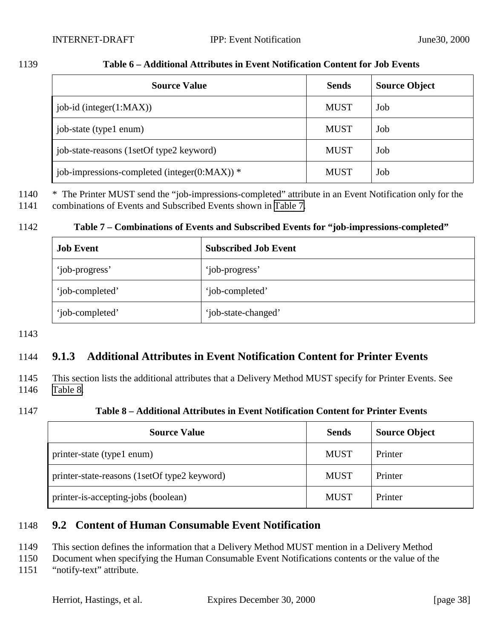<span id="page-37-0"></span>1139 **Table 6 – Additional Attributes in Event Notification Content for Job Events**

# Source Value Sends Sends Source Object job-id (integer(1:MAX)) MUST Job job-state (type1 enum) MUST Job job-state-reasons (1setOf type2 keyword) MUST | Job

1140 \* The Printer MUST send the "job-impressions-completed" attribute in an Event Notification only for the

1141 combinations of Events and Subscribed Events shown in Table 7.

#### 1142 **Table 7 – Combinations of Events and Subscribed Events for "job-impressions-completed"**

job-impressions-completed (integer(0:MAX))  $*$  MUST | Job

| <b>Job Event</b> | <b>Subscribed Job Event</b> |
|------------------|-----------------------------|
| 'job-progress'   | 'job-progress'              |
| 'job-completed'  | 'job-completed'             |
| 'job-completed'  | 'job-state-changed'         |

1143

### 1144 **9.1.3 Additional Attributes in Event Notification Content for Printer Events**

1145 This section lists the additional attributes that a Delivery Method MUST specify for Printer Events. See 1146 Table 8.

#### 1147 **Table 8 – Additional Attributes in Event Notification Content for Printer Events**

| <b>Source Value</b>                          | <b>Sends</b> | <b>Source Object</b> |
|----------------------------------------------|--------------|----------------------|
| printer-state (type1 enum)                   | <b>MUST</b>  | Printer              |
| printer-state-reasons (1setOf type2 keyword) | <b>MUST</b>  | Printer              |
| printer-is-accepting-jobs (boolean)          | <b>MUST</b>  | Printer              |

#### 1148 **9.2 Content of Human Consumable Event Notification**

1149 This section defines the information that a Delivery Method MUST mention in a Delivery Method

1150 Document when specifying the Human Consumable Event Notifications contents or the value of the

1151 "notify-text" attribute.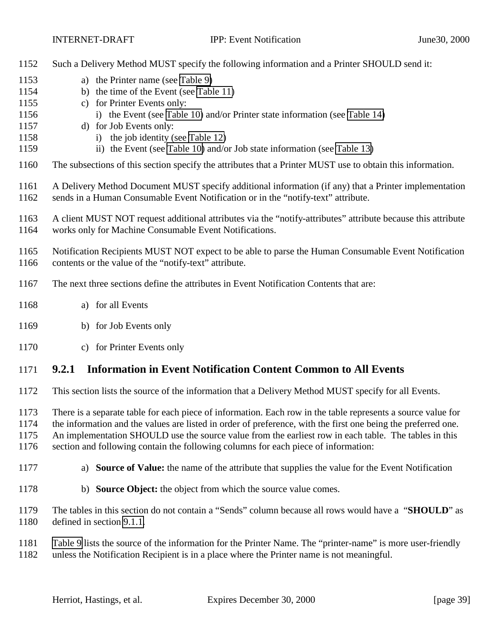| 1152                         | Such a Delivery Method MUST specify the following information and a Printer SHOULD send it:                                                                                                                                                                                                                                                                                                                                  |
|------------------------------|------------------------------------------------------------------------------------------------------------------------------------------------------------------------------------------------------------------------------------------------------------------------------------------------------------------------------------------------------------------------------------------------------------------------------|
| 1153<br>1154<br>1155         | a) the Printer name (see Table 9)<br>b) the time of the Event (see Table 11)<br>c) for Printer Events only:                                                                                                                                                                                                                                                                                                                  |
| 1156<br>1157<br>1158         | i) the Event (see Table 10) and/or Printer state information (see Table 14)<br>d) for Job Events only:<br>i) the job identity (see Table 12)                                                                                                                                                                                                                                                                                 |
| 1159                         | ii) the Event (see Table 10) and/or Job state information (see Table 13)                                                                                                                                                                                                                                                                                                                                                     |
| 1160                         | The subsections of this section specify the attributes that a Printer MUST use to obtain this information.                                                                                                                                                                                                                                                                                                                   |
| 1161<br>1162                 | A Delivery Method Document MUST specify additional information (if any) that a Printer implementation<br>sends in a Human Consumable Event Notification or in the "notify-text" attribute.                                                                                                                                                                                                                                   |
| 1163<br>1164                 | A client MUST NOT request additional attributes via the "notify-attributes" attribute because this attribute<br>works only for Machine Consumable Event Notifications.                                                                                                                                                                                                                                                       |
| 1165<br>1166                 | Notification Recipients MUST NOT expect to be able to parse the Human Consumable Event Notification<br>contents or the value of the "notify-text" attribute.                                                                                                                                                                                                                                                                 |
| 1167                         | The next three sections define the attributes in Event Notification Contents that are:                                                                                                                                                                                                                                                                                                                                       |
| 1168                         | a) for all Events                                                                                                                                                                                                                                                                                                                                                                                                            |
| 1169                         | b) for Job Events only                                                                                                                                                                                                                                                                                                                                                                                                       |
| 1170                         | c) for Printer Events only                                                                                                                                                                                                                                                                                                                                                                                                   |
| 1171                         | <b>Information in Event Notification Content Common to All Events</b><br>9.2.1                                                                                                                                                                                                                                                                                                                                               |
| 1172                         | This section lists the source of the information that a Delivery Method MUST specify for all Events.                                                                                                                                                                                                                                                                                                                         |
| 1173<br>1174<br>1175<br>1176 | There is a separate table for each piece of information. Each row in the table represents a source value for<br>the information and the values are listed in order of preference, with the first one being the preferred one.<br>An implementation SHOULD use the source value from the earliest row in each table. The tables in this<br>section and following contain the following columns for each piece of information: |
| 1177                         | <b>Source of Value:</b> the name of the attribute that supplies the value for the Event Notification<br>a)                                                                                                                                                                                                                                                                                                                   |
| 1178                         | b) Source Object: the object from which the source value comes.                                                                                                                                                                                                                                                                                                                                                              |
| 1179<br>1180                 | The tables in this section do not contain a "Sends" column because all rows would have a "SHOULD" as<br>defined in section 9.1.1.                                                                                                                                                                                                                                                                                            |

[Table 9](#page-39-0) lists the source of the information for the Printer Name. The "printer-name" is more user-friendly

unless the Notification Recipient is in a place where the Printer name is not meaningful.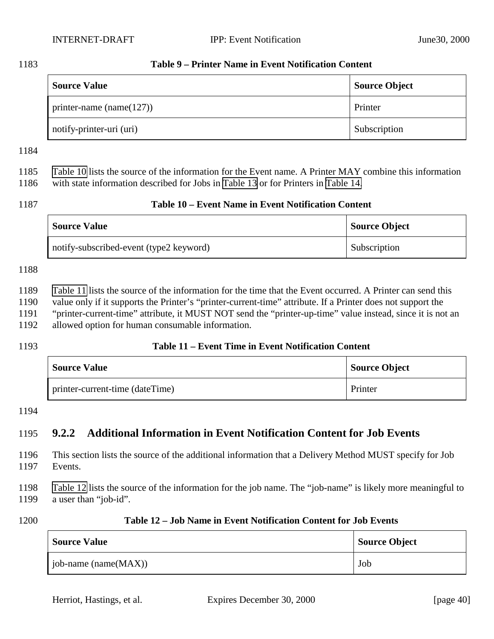#### <span id="page-39-0"></span>**Table 9 – Printer Name in Event Notification Content**

| <b>Source Value</b>          | <b>Source Object</b> |
|------------------------------|----------------------|
| printer-name (name $(127)$ ) | Printer              |
| notify-printer-uri (uri)     | Subscription         |

 Table 10 lists the source of the information for the Event name. A Printer MAY combine this information with state information described for Jobs in [Table 13](#page-40-0) or for Printers in [Table 14.](#page-40-0)

#### **Table 10 – Event Name in Event Notification Content**

| <b>Source Value</b>                     | <b>Source Object</b> |
|-----------------------------------------|----------------------|
| notify-subscribed-event (type2 keyword) | Subscription         |

#### 

Table 11 lists the source of the information for the time that the Event occurred. A Printer can send this

value only if it supports the Printer's "printer-current-time" attribute. If a Printer does not support the

"printer-current-time" attribute, it MUST NOT send the "printer-up-time" value instead, since it is not an

- allowed option for human consumable information.
- 

#### **Table 11 – Event Time in Event Notification Content**

| <b>Source Value</b>             | Source Object |
|---------------------------------|---------------|
| printer-current-time (dateTime) | Printer       |

#### 

## **9.2.2 Additional Information in Event Notification Content for Job Events**

 This section lists the source of the additional information that a Delivery Method MUST specify for Job Events.

 Table 12 lists the source of the information for the job name. The "job-name" is likely more meaningful to a user than "job-id".

| 1200<br>Table 12 – Job Name in Event Notification Content for Job Events |
|--------------------------------------------------------------------------|
|--------------------------------------------------------------------------|

| <b>Source Value</b>      | <b>Source Object</b> |
|--------------------------|----------------------|
| job-name (name $(MAX)$ ) | Job                  |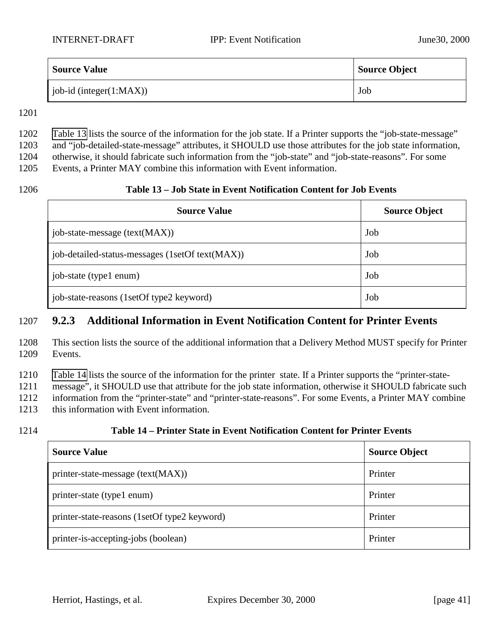<span id="page-40-0"></span>

| <b>Source Value</b>         | <b>Source Object</b> |
|-----------------------------|----------------------|
| job-id (integer $(1:MAX)$ ) | Job                  |

1201

## 1202 Table 13 lists the source of the information for the job state. If a Printer supports the "job-state-message"

1203 and "job-detailed-state-message" attributes, it SHOULD use those attributes for the job state information,

1204 otherwise, it should fabricate such information from the "job-state" and "job-state-reasons". For some

1205 Events, a Printer MAY combine this information with Event information.

#### 1206 **Table 13 – Job State in Event Notification Content for Job Events**

| <b>Source Value</b>                             | <b>Source Object</b> |
|-------------------------------------------------|----------------------|
| job-state-message (text(MAX))                   | Job                  |
| job-detailed-status-messages (1setOf text(MAX)) | Job                  |
| job-state (type1 enum)                          | Job                  |
| job-state-reasons (1setOf type2 keyword)        | Job                  |

#### 1207 **9.2.3 Additional Information in Event Notification Content for Printer Events**

1208 This section lists the source of the additional information that a Delivery Method MUST specify for Printer 1209 Events.

1210 Table 14 lists the source of the information for the printer state. If a Printer supports the "printer-state-

1211 message", it SHOULD use that attribute for the job state information, otherwise it SHOULD fabricate such

1212 information from the "printer-state" and "printer-state-reasons". For some Events, a Printer MAY combine

1213 this information with Event information.

### 1214 **Table 14 – Printer State in Event Notification Content for Printer Events**

| <b>Source Value</b>                          | <b>Source Object</b> |
|----------------------------------------------|----------------------|
| printer-state-message (text(MAX))            | Printer              |
| printer-state (type1 enum)                   | Printer              |
| printer-state-reasons (1setOf type2 keyword) | Printer              |
| printer-is-accepting-jobs (boolean)          | Printer              |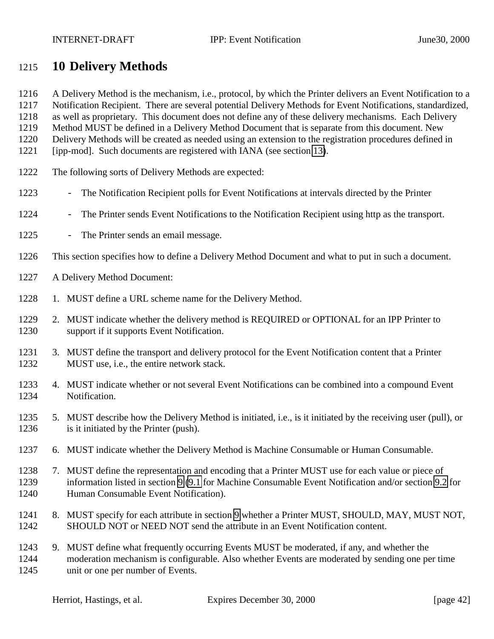## <span id="page-41-0"></span>**10 Delivery Methods**

- A Delivery Method is the mechanism, i.e., protocol, by which the Printer delivers an Event Notification to a
- Notification Recipient. There are several potential Delivery Methods for Event Notifications, standardized,
- as well as proprietary. This document does not define any of these delivery mechanisms. Each Delivery Method MUST be defined in a Delivery Method Document that is separate from this document. New
- Delivery Methods will be created as needed using an extension to the registration procedures defined in
- [ipp-mod]. Such documents are registered with IANA (see section [13\)](#page-57-0).
- The following sorts of Delivery Methods are expected:
- 1223 The Notification Recipient polls for Event Notifications at intervals directed by the Printer
- 1224 The Printer sends Event Notifications to the Notification Recipient using http as the transport.
- 1225 The Printer sends an email message.
- This section specifies how to define a Delivery Method Document and what to put in such a document.
- A Delivery Method Document:
- 1228 1. MUST define a URL scheme name for the Delivery Method.
- 2. MUST indicate whether the delivery method is REQUIRED or OPTIONAL for an IPP Printer to support if it supports Event Notification.
- 3. MUST define the transport and delivery protocol for the Event Notification content that a Printer MUST use, i.e., the entire network stack.
- 4. MUST indicate whether or not several Event Notifications can be combined into a compound Event Notification.
- 5. MUST describe how the Delivery Method is initiated, i.e., is it initiated by the receiving user (pull), or is it initiated by the Printer (push).
- 6. MUST indicate whether the Delivery Method is Machine Consumable or Human Consumable.
- 7. MUST define the representation and encoding that a Printer MUST use for each value or piece of information listed in section [9](#page-34-0) [\(9.1](#page-35-0) for Machine Consumable Event Notification and/or section [9.2](#page-37-0) for Human Consumable Event Notification).
- 1241 8. MUST specify for each attribute in section [9](#page-34-0) whether a Printer MUST, SHOULD, MAY, MUST NOT, SHOULD NOT or NEED NOT send the attribute in an Event Notification content.
- 9. MUST define what frequently occurring Events MUST be moderated, if any, and whether the moderation mechanism is configurable. Also whether Events are moderated by sending one per time unit or one per number of Events.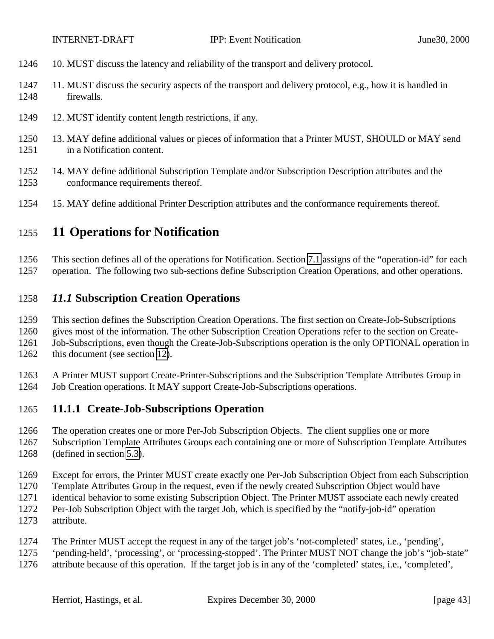- <span id="page-42-0"></span>10. MUST discuss the latency and reliability of the transport and delivery protocol.
- 11. MUST discuss the security aspects of the transport and delivery protocol, e.g., how it is handled in firewalls.
- 12. MUST identify content length restrictions, if any.
- 13. MAY define additional values or pieces of information that a Printer MUST, SHOULD or MAY send in a Notification content.
- 14. MAY define additional Subscription Template and/or Subscription Description attributes and the conformance requirements thereof.
- 15. MAY define additional Printer Description attributes and the conformance requirements thereof.

## **11 Operations for Notification**

This section defines all of the operations for Notification. Section [7.1](#page-32-0) assigns of the "operation-id" for each

operation. The following two sub-sections define Subscription Creation Operations, and other operations.

### *11.1* **Subscription Creation Operations**

This section defines the Subscription Creation Operations. The first section on Create-Job-Subscriptions

gives most of the information. The other Subscription Creation Operations refer to the section on Create-

Job-Subscriptions, even though the Create-Job-Subscriptions operation is the only OPTIONAL operation in

1262 this document (see section [12\)](#page-56-0).

 A Printer MUST support Create-Printer-Subscriptions and the Subscription Template Attributes Group in Job Creation operations. It MAY support Create-Job-Subscriptions operations.

### **11.1.1 Create-Job-Subscriptions Operation**

The operation creates one or more Per-Job Subscription Objects. The client supplies one or more

 Subscription Template Attributes Groups each containing one or more of Subscription Template Attributes (defined in section [5.3\)](#page-17-0).

Except for errors, the Printer MUST create exactly one Per-Job Subscription Object from each Subscription

Template Attributes Group in the request, even if the newly created Subscription Object would have

- identical behavior to some existing Subscription Object. The Printer MUST associate each newly created
- Per-Job Subscription Object with the target Job, which is specified by the "notify-job-id" operation
- attribute.
- The Printer MUST accept the request in any of the target job's 'not-completed' states, i.e., 'pending',
- 'pending-held', 'processing', or 'processing-stopped'. The Printer MUST NOT change the job's "job-state"
- attribute because of this operation. If the target job is in any of the 'completed' states, i.e., 'completed',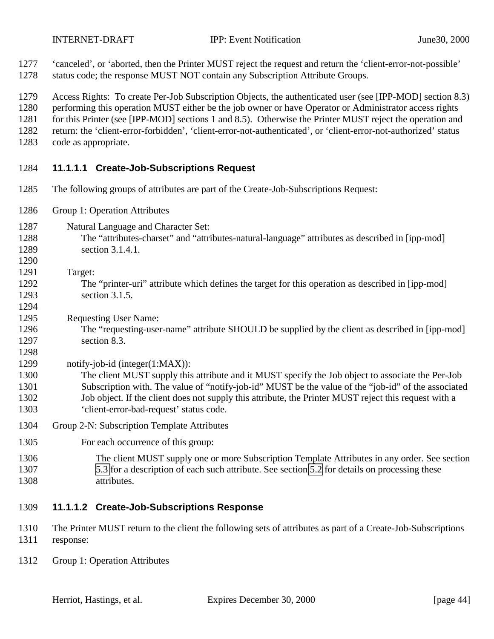<span id="page-43-0"></span>

- 'canceled', or 'aborted, then the Printer MUST reject the request and return the 'client-error-not-possible' status code; the response MUST NOT contain any Subscription Attribute Groups.
- Access Rights: To create Per-Job Subscription Objects, the authenticated user (see [IPP-MOD] section 8.3)
- performing this operation MUST either be the job owner or have Operator or Administrator access rights
- 1281 for this Printer (see [IPP-MOD] sections 1 and 8.5). Otherwise the Printer MUST reject the operation and
- return: the 'client-error-forbidden', 'client-error-not-authenticated', or 'client-error-not-authorized' status
- code as appropriate.

### **11.1.1.1 Create-Job-Subscriptions Request**

- The following groups of attributes are part of the Create-Job-Subscriptions Request:
- Group 1: Operation Attributes
- Natural Language and Character Set:
- The "attributes-charset" and "attributes-natural-language" attributes as described in [ipp-mod] section 3.1.4.1.
- Target:

- The "printer-uri" attribute which defines the target for this operation as described in [ipp-mod] section 3.1.5.
- Requesting User Name:
- The "requesting-user-name" attribute SHOULD be supplied by the client as described in [ipp-mod] section 8.3.
- 1299 notify-job-id (integer(1:MAX)):
- The client MUST supply this attribute and it MUST specify the Job object to associate the Per-Job Subscription with. The value of "notify-job-id" MUST be the value of the "job-id" of the associated Job object. If the client does not supply this attribute, the Printer MUST reject this request with a 'client-error-bad-request' status code.
- Group 2-N: Subscription Template Attributes
- 1305 For each occurrence of this group:
- The client MUST supply one or more Subscription Template Attributes in any order. See section [5.3](#page-17-0) for a description of each such attribute. See section [5.2](#page-14-0) for details on processing these attributes.
- **11.1.1.2 Create-Job-Subscriptions Response**
- The Printer MUST return to the client the following sets of attributes as part of a Create-Job-Subscriptions response:
- Group 1: Operation Attributes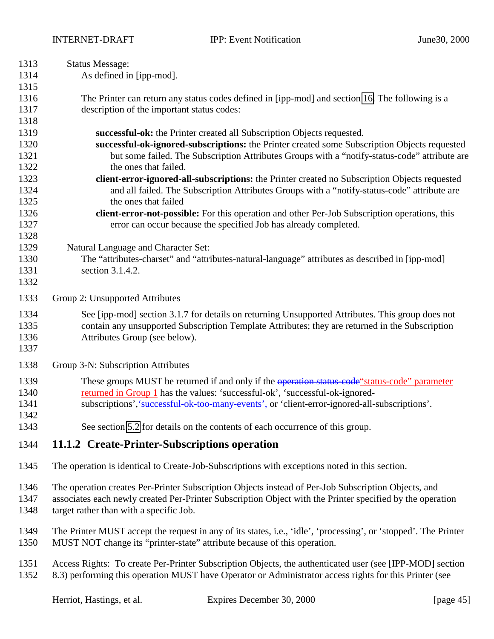<span id="page-44-0"></span>

| 1313 | <b>Status Message:</b>                                                                                          |  |
|------|-----------------------------------------------------------------------------------------------------------------|--|
| 1314 | As defined in [ipp-mod].                                                                                        |  |
| 1315 |                                                                                                                 |  |
| 1316 | The Printer can return any status codes defined in [ipp-mod] and section 16. The following is a                 |  |
| 1317 | description of the important status codes:                                                                      |  |
| 1318 |                                                                                                                 |  |
| 1319 | successful-ok: the Printer created all Subscription Objects requested.                                          |  |
| 1320 | successful-ok-ignored-subscriptions: the Printer created some Subscription Objects requested                    |  |
| 1321 | but some failed. The Subscription Attributes Groups with a "notify-status-code" attribute are                   |  |
| 1322 | the ones that failed.                                                                                           |  |
| 1323 | client-error-ignored-all-subscriptions: the Printer created no Subscription Objects requested                   |  |
| 1324 | and all failed. The Subscription Attributes Groups with a "notify-status-code" attribute are                    |  |
| 1325 | the ones that failed                                                                                            |  |
| 1326 | client-error-not-possible: For this operation and other Per-Job Subscription operations, this                   |  |
| 1327 | error can occur because the specified Job has already completed.                                                |  |
| 1328 |                                                                                                                 |  |
| 1329 | Natural Language and Character Set:                                                                             |  |
| 1330 | The "attributes-charset" and "attributes-natural-language" attributes as described in [ipp-mod]                 |  |
| 1331 | section 3.1.4.2.                                                                                                |  |
| 1332 |                                                                                                                 |  |
| 1333 | Group 2: Unsupported Attributes                                                                                 |  |
| 1334 | See [ipp-mod] section 3.1.7 for details on returning Unsupported Attributes. This group does not                |  |
| 1335 | contain any unsupported Subscription Template Attributes; they are returned in the Subscription                 |  |
| 1336 | Attributes Group (see below).                                                                                   |  |
| 1337 |                                                                                                                 |  |
| 1338 | Group 3-N: Subscription Attributes                                                                              |  |
| 1339 | These groups MUST be returned if and only if the operation status-code" status-code" parameter                  |  |
| 1340 | returned in Group 1 has the values: 'successful-ok', 'successful-ok-ignored-                                    |  |
| 1341 | subscriptions', successful ok-too-many-events', or 'client-error-ignored-all-subscriptions'.                    |  |
| 1342 |                                                                                                                 |  |
| 1343 | See section 5.2 for details on the contents of each occurrence of this group.                                   |  |
| 1344 | 11.1.2 Create-Printer-Subscriptions operation                                                                   |  |
| 1345 | The operation is identical to Create-Job-Subscriptions with exceptions noted in this section.                   |  |
| 1346 | The operation creates Per-Printer Subscription Objects instead of Per-Job Subscription Objects, and             |  |
| 1347 | associates each newly created Per-Printer Subscription Object with the Printer specified by the operation       |  |
| 1348 | target rather than with a specific Job.                                                                         |  |
| 1349 | The Printer MUST accept the request in any of its states, i.e., 'idle', 'processing', or 'stopped'. The Printer |  |
| 1350 | MUST NOT change its "printer-state" attribute because of this operation.                                        |  |
|      |                                                                                                                 |  |
| 1351 | Access Rights: To create Per-Printer Subscription Objects, the authenticated user (see [IPP-MOD] section        |  |
| 1352 | 8.3) performing this operation MUST have Operator or Administrator access rights for this Printer (see          |  |

Herriot, Hastings, et al. Expires December 30, 2000 [page 45]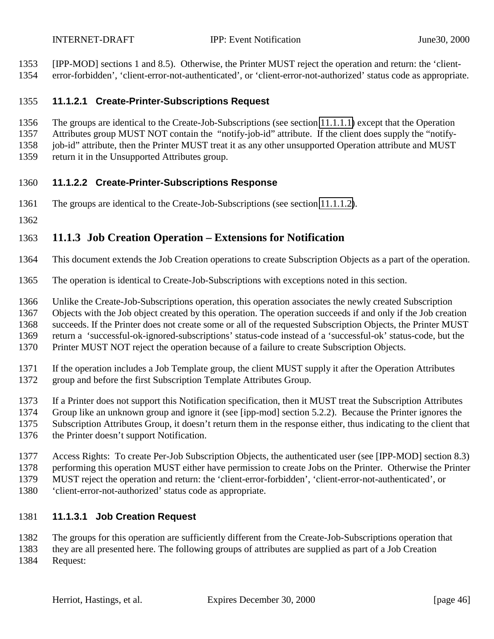<span id="page-45-0"></span>[IPP-MOD] sections 1 and 8.5). Otherwise, the Printer MUST reject the operation and return: the 'client-

error-forbidden', 'client-error-not-authenticated', or 'client-error-not-authorized' status code as appropriate.

#### **11.1.2.1 Create-Printer-Subscriptions Request**

The groups are identical to the Create-Job-Subscriptions (see section [11.1.1.1\)](#page-43-0) except that the Operation

Attributes group MUST NOT contain the "notify-job-id" attribute. If the client does supply the "notify-

1358 job-id" attribute, then the Printer MUST treat it as any other unsupported Operation attribute and MUST

return it in the Unsupported Attributes group.

### **11.1.2.2 Create-Printer-Subscriptions Response**

- The groups are identical to the Create-Job-Subscriptions (see section [11.1.1.2\)](#page-43-0).
- 

### **11.1.3 Job Creation Operation – Extensions for Notification**

- This document extends the Job Creation operations to create Subscription Objects as a part of the operation.
- The operation is identical to Create-Job-Subscriptions with exceptions noted in this section.
- Unlike the Create-Job-Subscriptions operation, this operation associates the newly created Subscription

Objects with the Job object created by this operation. The operation succeeds if and only if the Job creation

succeeds. If the Printer does not create some or all of the requested Subscription Objects, the Printer MUST

return a 'successful-ok-ignored-subscriptions' status-code instead of a 'successful-ok' status-code, but the

- Printer MUST NOT reject the operation because of a failure to create Subscription Objects.
- If the operation includes a Job Template group, the client MUST supply it after the Operation Attributes
- group and before the first Subscription Template Attributes Group.
- If a Printer does not support this Notification specification, then it MUST treat the Subscription Attributes
- Group like an unknown group and ignore it (see [ipp-mod] section 5.2.2). Because the Printer ignores the
- Subscription Attributes Group, it doesn't return them in the response either, thus indicating to the client that
- the Printer doesn't support Notification.
- Access Rights: To create Per-Job Subscription Objects, the authenticated user (see [IPP-MOD] section 8.3)
- performing this operation MUST either have permission to create Jobs on the Printer. Otherwise the Printer
- MUST reject the operation and return: the 'client-error-forbidden', 'client-error-not-authenticated', or
- 'client-error-not-authorized' status code as appropriate.

## **11.1.3.1 Job Creation Request**

- The groups for this operation are sufficiently different from the Create-Job-Subscriptions operation that
- they are all presented here. The following groups of attributes are supplied as part of a Job Creation Request: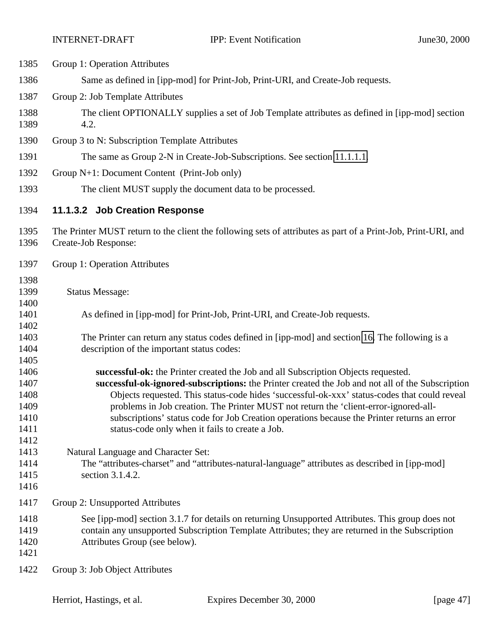| 1385                                                 | Group 1: Operation Attributes                                                                                                                                                                                                                                                                                                                                                                                                                                                                                                    |  |
|------------------------------------------------------|----------------------------------------------------------------------------------------------------------------------------------------------------------------------------------------------------------------------------------------------------------------------------------------------------------------------------------------------------------------------------------------------------------------------------------------------------------------------------------------------------------------------------------|--|
| 1386                                                 | Same as defined in [ipp-mod] for Print-Job, Print-URI, and Create-Job requests.                                                                                                                                                                                                                                                                                                                                                                                                                                                  |  |
| 1387                                                 | Group 2: Job Template Attributes                                                                                                                                                                                                                                                                                                                                                                                                                                                                                                 |  |
| 1388<br>1389                                         | The client OPTIONALLY supplies a set of Job Template attributes as defined in [ipp-mod] section<br>4.2.                                                                                                                                                                                                                                                                                                                                                                                                                          |  |
| 1390                                                 | Group 3 to N: Subscription Template Attributes                                                                                                                                                                                                                                                                                                                                                                                                                                                                                   |  |
| 1391                                                 | The same as Group 2-N in Create-Job-Subscriptions. See section 11.1.1.1.                                                                                                                                                                                                                                                                                                                                                                                                                                                         |  |
| 1392                                                 | Group N+1: Document Content (Print-Job only)                                                                                                                                                                                                                                                                                                                                                                                                                                                                                     |  |
| 1393                                                 | The client MUST supply the document data to be processed.                                                                                                                                                                                                                                                                                                                                                                                                                                                                        |  |
| 1394                                                 | 11.1.3.2 Job Creation Response                                                                                                                                                                                                                                                                                                                                                                                                                                                                                                   |  |
| 1395<br>1396                                         | The Printer MUST return to the client the following sets of attributes as part of a Print-Job, Print-URI, and<br>Create-Job Response:                                                                                                                                                                                                                                                                                                                                                                                            |  |
| 1397                                                 | Group 1: Operation Attributes                                                                                                                                                                                                                                                                                                                                                                                                                                                                                                    |  |
| 1398<br>1399<br>1400                                 | <b>Status Message:</b>                                                                                                                                                                                                                                                                                                                                                                                                                                                                                                           |  |
| 1401<br>1402                                         | As defined in [ipp-mod] for Print-Job, Print-URI, and Create-Job requests.                                                                                                                                                                                                                                                                                                                                                                                                                                                       |  |
| 1403<br>1404<br>1405                                 | The Printer can return any status codes defined in [ipp-mod] and section 16. The following is a<br>description of the important status codes:                                                                                                                                                                                                                                                                                                                                                                                    |  |
| 1406<br>1407<br>1408<br>1409<br>1410<br>1411<br>1412 | successful-ok: the Printer created the Job and all Subscription Objects requested.<br>successful-ok-ignored-subscriptions: the Printer created the Job and not all of the Subscription<br>Objects requested. This status-code hides 'successful-ok-xxx' status-codes that could reveal<br>problems in Job creation. The Printer MUST not return the 'client-error-ignored-all-<br>subscriptions' status code for Job Creation operations because the Printer returns an error<br>status-code only when it fails to create a Job. |  |
| 1413<br>1414<br>1415<br>1416                         | Natural Language and Character Set:<br>The "attributes-charset" and "attributes-natural-language" attributes as described in [ipp-mod]<br>section 3.1.4.2.                                                                                                                                                                                                                                                                                                                                                                       |  |
| 1417                                                 | Group 2: Unsupported Attributes                                                                                                                                                                                                                                                                                                                                                                                                                                                                                                  |  |
| 1418<br>1419<br>1420<br>1421                         | See [ipp-mod] section 3.1.7 for details on returning Unsupported Attributes. This group does not<br>contain any unsupported Subscription Template Attributes; they are returned in the Subscription<br>Attributes Group (see below).                                                                                                                                                                                                                                                                                             |  |

Group 3: Job Object Attributes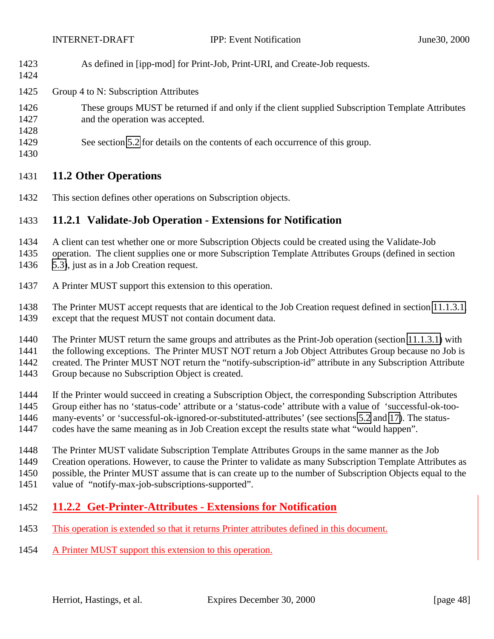<span id="page-47-0"></span>As defined in [ipp-mod] for Print-Job, Print-URI, and Create-Job requests.

#### Group 4 to N: Subscription Attributes

- These groups MUST be returned if and only if the client supplied Subscription Template Attributes and the operation was accepted.
- See section [5.2](#page-14-0) for details on the contents of each occurrence of this group.
- 

## **11.2 Other Operations**

This section defines other operations on Subscription objects.

### **11.2.1 Validate-Job Operation - Extensions for Notification**

- A client can test whether one or more Subscription Objects could be created using the Validate-Job
- operation. The client supplies one or more Subscription Template Attributes Groups (defined in section [5.3\)](#page-17-0), just as in a Job Creation request.
- A Printer MUST support this extension to this operation.
- The Printer MUST accept requests that are identical to the Job Creation request defined in section [11.1.3.1,](#page-45-0) except that the request MUST not contain document data.
- The Printer MUST return the same groups and attributes as the Print-Job operation (section [11.1.3.1\)](#page-45-0) with
- the following exceptions. The Printer MUST NOT return a Job Object Attributes Group because no Job is

created. The Printer MUST NOT return the "notify-subscription-id" attribute in any Subscription Attribute

- Group because no Subscription Object is created.
- If the Printer would succeed in creating a Subscription Object, the corresponding Subscription Attributes Group either has no 'status-code' attribute or a 'status-code' attribute with a value of 'successful-ok-too-
- many-events' or 'successful-ok-ignored-or-substituted-attributes' (see sections [5.2](#page-14-0) and [17\)](#page-59-0). The status-
- codes have the same meaning as in Job Creation except the results state what "would happen".
- The Printer MUST validate Subscription Template Attributes Groups in the same manner as the Job
- Creation operations. However, to cause the Printer to validate as many Subscription Template Attributes as
- possible, the Printer MUST assume that is can create up to the number of Subscription Objects equal to the
- value of "notify-max-job-subscriptions-supported".

## **11.2.2 Get-Printer-Attributes - Extensions for Notification**

- This operation is extended so that it returns Printer attributes defined in this document.
- A Printer MUST support this extension to this operation.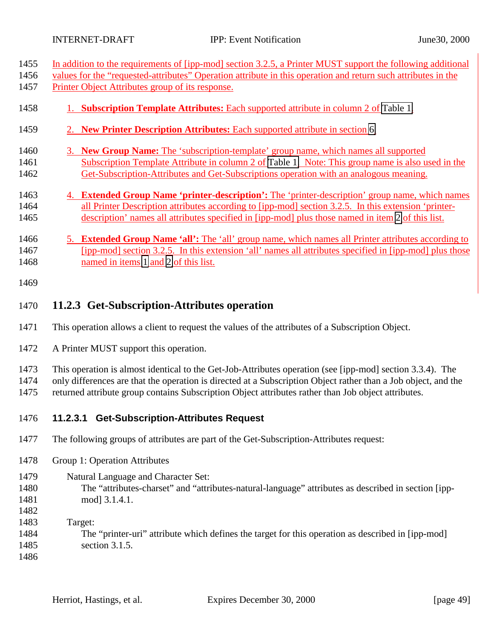<span id="page-48-0"></span>

1455 In addition to the requirements of [ipp-mod] section 3.2.5, a Printer MUST support the following additional 1456 values for the "requested-attributes" Operation attribute in this operation and return such attributes in the

| 1457                         | Printer Object Attributes group of its response.                                                                                                                                                                                                                                                                                   |  |
|------------------------------|------------------------------------------------------------------------------------------------------------------------------------------------------------------------------------------------------------------------------------------------------------------------------------------------------------------------------------|--|
| 1458                         | 1. Subscription Template Attributes: Each supported attribute in column 2 of Table 1.                                                                                                                                                                                                                                              |  |
| 1459                         | 2. New Printer Description Attributes: Each supported attribute in section 6.                                                                                                                                                                                                                                                      |  |
| 1460<br>1461<br>1462         | 3. New Group Name: The 'subscription-template' group name, which names all supported<br>Subscription Template Attribute in column 2 of Table 1. Note: This group name is also used in the<br>Get-Subscription-Attributes and Get-Subscriptions operation with an analogous meaning.                                                |  |
| 1463<br>1464<br>1465         | 4. Extended Group Name 'printer-description': The 'printer-description' group name, which names<br>all Printer Description attributes according to [ipp-mod] section 3.2.5. In this extension 'printer-<br>description' names all attributes specified in [ipp-mod] plus those named in item 2 of this list.                       |  |
| 1466<br>1467<br>1468         | <b>Extended Group Name 'all':</b> The 'all' group name, which names all Printer attributes according to<br>5.<br>[ipp-mod] section 3.2.5. In this extension 'all' names all attributes specified in [ipp-mod] plus those<br>named in items 1 and 2 of this list.                                                                   |  |
| 1469                         |                                                                                                                                                                                                                                                                                                                                    |  |
| 1470                         | 11.2.3 Get-Subscription-Attributes operation                                                                                                                                                                                                                                                                                       |  |
| 1471                         | This operation allows a client to request the values of the attributes of a Subscription Object.                                                                                                                                                                                                                                   |  |
| 1472                         | A Printer MUST support this operation.                                                                                                                                                                                                                                                                                             |  |
| 1473<br>1474<br>1475         | This operation is almost identical to the Get-Job-Attributes operation (see [ipp-mod] section 3.3.4). The<br>only differences are that the operation is directed at a Subscription Object rather than a Job object, and the<br>returned attribute group contains Subscription Object attributes rather than Job object attributes. |  |
| 1476                         | <b>Get-Subscription-Attributes Request</b><br>11.2.3.1                                                                                                                                                                                                                                                                             |  |
| 1477                         | The following groups of attributes are part of the Get-Subscription-Attributes request:                                                                                                                                                                                                                                            |  |
| 1478                         | Group 1: Operation Attributes                                                                                                                                                                                                                                                                                                      |  |
| 1479<br>1480<br>1481<br>1482 | Natural Language and Character Set:<br>The "attributes-charset" and "attributes-natural-language" attributes as described in section [ipp-<br>mod] 3.1.4.1.                                                                                                                                                                        |  |
| 1483<br>1484                 | Target:<br>The "printer-uri" attribute which defines the target for this operation as described in [ipp-mod]                                                                                                                                                                                                                       |  |

- section 3.1.5.
-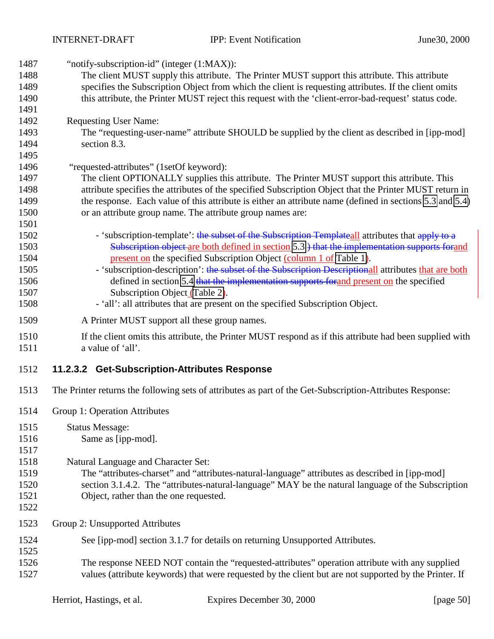INTERNET-DRAFT IPP: Event Notification June30, 2000

<span id="page-49-0"></span>

| 1487<br>1488<br>1489<br>1490<br>1491                 | "notify-subscription-id" (integer (1:MAX)):<br>The client MUST supply this attribute. The Printer MUST support this attribute. This attribute<br>specifies the Subscription Object from which the client is requesting attributes. If the client omits<br>this attribute, the Printer MUST reject this request with the 'client-error-bad-request' status code.                                                                                                                                                                                                                                   |
|------------------------------------------------------|---------------------------------------------------------------------------------------------------------------------------------------------------------------------------------------------------------------------------------------------------------------------------------------------------------------------------------------------------------------------------------------------------------------------------------------------------------------------------------------------------------------------------------------------------------------------------------------------------|
| 1492<br>1493<br>1494<br>1495                         | <b>Requesting User Name:</b><br>The "requesting-user-name" attribute SHOULD be supplied by the client as described in [ipp-mod]<br>section 8.3.                                                                                                                                                                                                                                                                                                                                                                                                                                                   |
| 1496<br>1497<br>1498<br>1499<br>1500<br>1501         | "requested-attributes" (1setOf keyword):<br>The client OPTIONALLY supplies this attribute. The Printer MUST support this attribute. This<br>attribute specifies the attributes of the specified Subscription Object that the Printer MUST return in<br>the response. Each value of this attribute is either an attribute name (defined in sections 5.3 and 5.4)<br>or an attribute group name. The attribute group names are:                                                                                                                                                                     |
| 1502<br>1503<br>1504<br>1505<br>1506<br>1507<br>1508 | - 'subscription-template': the subset of the Subscription Templateall attributes that apply to a<br>Subscription object are both defined in section 5.3 ) that the implementation supports for and<br>present on the specified Subscription Object (column 1 of Table 1).<br>- 'subscription-description': the subset of the Subscription Descriptionall attributes that are both<br>defined in section 5.4 that the implementation supports for and present on the specified<br>Subscription Object (Table 2).<br>- 'all': all attributes that are present on the specified Subscription Object. |
| 1509                                                 | A Printer MUST support all these group names.                                                                                                                                                                                                                                                                                                                                                                                                                                                                                                                                                     |
| 1510<br>1511                                         | If the client omits this attribute, the Printer MUST respond as if this attribute had been supplied with<br>a value of 'all'.                                                                                                                                                                                                                                                                                                                                                                                                                                                                     |
| 1512                                                 | 11.2.3.2 Get-Subscription-Attributes Response                                                                                                                                                                                                                                                                                                                                                                                                                                                                                                                                                     |
| 1513                                                 | The Printer returns the following sets of attributes as part of the Get-Subscription-Attributes Response:                                                                                                                                                                                                                                                                                                                                                                                                                                                                                         |
| 1514                                                 | Group 1: Operation Attributes                                                                                                                                                                                                                                                                                                                                                                                                                                                                                                                                                                     |
| 1515<br>1516<br>1517                                 | <b>Status Message:</b><br>Same as [ipp-mod].                                                                                                                                                                                                                                                                                                                                                                                                                                                                                                                                                      |
| 1518<br>1519<br>1520<br>1521<br>1522                 | Natural Language and Character Set:<br>The "attributes-charset" and "attributes-natural-language" attributes as described in [ipp-mod]<br>section 3.1.4.2. The "attributes-natural-language" MAY be the natural language of the Subscription<br>Object, rather than the one requested.                                                                                                                                                                                                                                                                                                            |
| 1523                                                 | Group 2: Unsupported Attributes                                                                                                                                                                                                                                                                                                                                                                                                                                                                                                                                                                   |
| 1524<br>1525<br>1526<br>1527                         | See [ipp-mod] section 3.1.7 for details on returning Unsupported Attributes.<br>The response NEED NOT contain the "requested-attributes" operation attribute with any supplied<br>values (attribute keywords) that were requested by the client but are not supported by the Printer. If                                                                                                                                                                                                                                                                                                          |
|                                                      |                                                                                                                                                                                                                                                                                                                                                                                                                                                                                                                                                                                                   |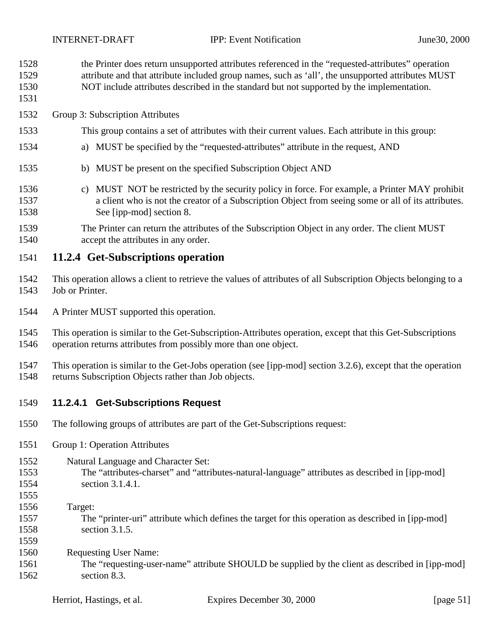<span id="page-50-0"></span>

the Printer does return unsupported attributes referenced in the "requested-attributes" operation

- attribute and that attribute included group names, such as 'all', the unsupported attributes MUST
- NOT include attributes described in the standard but not supported by the implementation.
- 
- Group 3: Subscription Attributes
- This group contains a set of attributes with their current values. Each attribute in this group:
- a) MUST be specified by the "requested-attributes" attribute in the request, AND
- b) MUST be present on the specified Subscription Object AND
- c) MUST NOT be restricted by the security policy in force. For example, a Printer MAY prohibit a client who is not the creator of a Subscription Object from seeing some or all of its attributes. See [ipp-mod] section 8.
- The Printer can return the attributes of the Subscription Object in any order. The client MUST accept the attributes in any order.

#### **11.2.4 Get-Subscriptions operation**

- This operation allows a client to retrieve the values of attributes of all Subscription Objects belonging to a Job or Printer.
- A Printer MUST supported this operation.
- This operation is similar to the Get-Subscription-Attributes operation, except that this Get-Subscriptions operation returns attributes from possibly more than one object.
- This operation is similar to the Get-Jobs operation (see [ipp-mod] section 3.2.6), except that the operation returns Subscription Objects rather than Job objects.

#### **11.2.4.1 Get-Subscriptions Request**

- The following groups of attributes are part of the Get-Subscriptions request:
- Group 1: Operation Attributes
- Natural Language and Character Set:
- The "attributes-charset" and "attributes-natural-language" attributes as described in [ipp-mod] section 3.1.4.1.
- 

- Target:
- The "printer-uri" attribute which defines the target for this operation as described in [ipp-mod] section 3.1.5.
- Requesting User Name:
- The "requesting-user-name" attribute SHOULD be supplied by the client as described in [ipp-mod] section 8.3.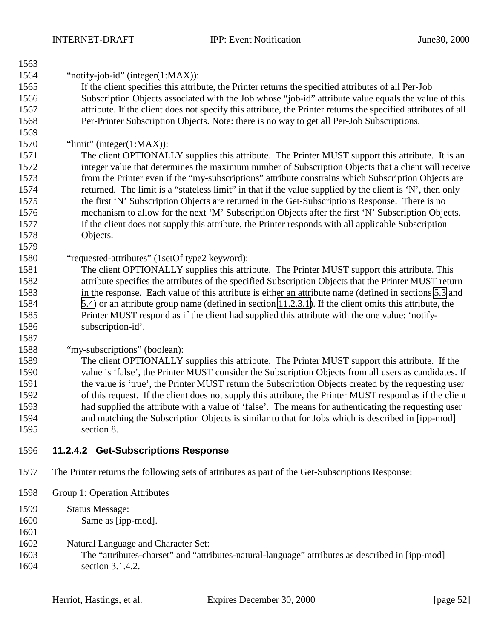| 1563         |                                                                                                                 |
|--------------|-----------------------------------------------------------------------------------------------------------------|
| 1564         | "notify-job-id" (integer $(1:MAX)$ ):                                                                           |
| 1565         | If the client specifies this attribute, the Printer returns the specified attributes of all Per-Job             |
| 1566         | Subscription Objects associated with the Job whose "job-id" attribute value equals the value of this            |
| 1567         | attribute. If the client does not specify this attribute, the Printer returns the specified attributes of all   |
| 1568         | Per-Printer Subscription Objects. Note: there is no way to get all Per-Job Subscriptions.                       |
| 1569         |                                                                                                                 |
| 1570         | " $\lim$ it" (integer(1:MAX)):                                                                                  |
| 1571         | The client OPTIONALLY supplies this attribute. The Printer MUST support this attribute. It is an                |
| 1572         | integer value that determines the maximum number of Subscription Objects that a client will receive             |
| 1573         | from the Printer even if the "my-subscriptions" attribute constrains which Subscription Objects are             |
| 1574         | returned. The limit is a "stateless limit" in that if the value supplied by the client is 'N', then only        |
| 1575         | the first 'N' Subscription Objects are returned in the Get-Subscriptions Response. There is no                  |
| 1576         | mechanism to allow for the next 'M' Subscription Objects after the first 'N' Subscription Objects.              |
| 1577         | If the client does not supply this attribute, the Printer responds with all applicable Subscription             |
| 1578         | Objects.                                                                                                        |
| 1579         |                                                                                                                 |
| 1580         | "requested-attributes" (1setOf type2 keyword):                                                                  |
| 1581         | The client OPTIONALLY supplies this attribute. The Printer MUST support this attribute. This                    |
| 1582         | attribute specifies the attributes of the specified Subscription Objects that the Printer MUST return           |
| 1583         | in the response. Each value of this attribute is either an attribute name (defined in sections 5.3 and          |
| 1584         | 5.4) or an attribute group name (defined in section 11.2.3.1). If the client omits this attribute, the          |
| 1585         | Printer MUST respond as if the client had supplied this attribute with the one value: 'notify-                  |
| 1586         | subscription-id'.                                                                                               |
| 1587         |                                                                                                                 |
| 1588         | "my-subscriptions" (boolean):                                                                                   |
| 1589         | The client OPTIONALLY supplies this attribute. The Printer MUST support this attribute. If the                  |
| 1590         | value is 'false', the Printer MUST consider the Subscription Objects from all users as candidates. If           |
| 1591         | the value is 'true', the Printer MUST return the Subscription Objects created by the requesting user            |
| 1592         | of this request. If the client does not supply this attribute, the Printer MUST respond as if the client        |
| 1593         | had supplied the attribute with a value of 'false'. The means for authenticating the requesting user            |
| 1594<br>1595 | and matching the Subscription Objects is similar to that for Jobs which is described in [ipp-mod]<br>section 8. |
|              |                                                                                                                 |
| 1596         | 11.2.4.2 Get-Subscriptions Response                                                                             |
| 1597         | The Printer returns the following sets of attributes as part of the Get-Subscriptions Response:                 |
| 1598         | Group 1: Operation Attributes                                                                                   |
| 1599         | <b>Status Message:</b>                                                                                          |
| 1600         | Same as [ipp-mod].                                                                                              |
|              |                                                                                                                 |

Natural Language and Character Set:

 The "attributes-charset" and "attributes-natural-language" attributes as described in [ipp-mod] section 3.1.4.2.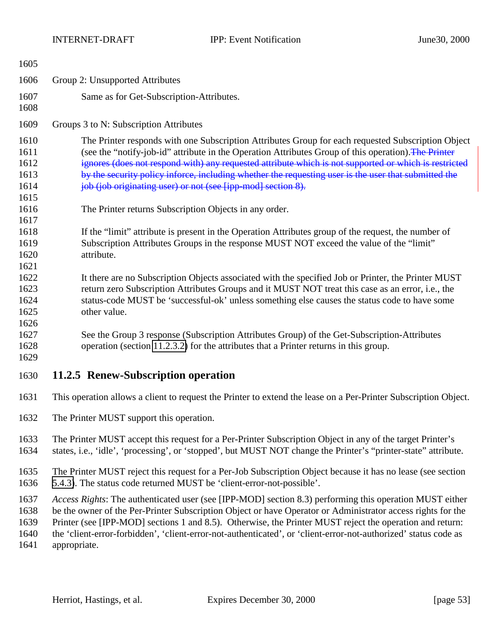<span id="page-52-0"></span>

| 1605                                         |                                                                                                                                                                                                                                                                                                                                                                                                                                                                                             |  |
|----------------------------------------------|---------------------------------------------------------------------------------------------------------------------------------------------------------------------------------------------------------------------------------------------------------------------------------------------------------------------------------------------------------------------------------------------------------------------------------------------------------------------------------------------|--|
| 1606                                         | Group 2: Unsupported Attributes                                                                                                                                                                                                                                                                                                                                                                                                                                                             |  |
| 1607<br>1608                                 | Same as for Get-Subscription-Attributes.                                                                                                                                                                                                                                                                                                                                                                                                                                                    |  |
| 1609                                         | Groups 3 to N: Subscription Attributes                                                                                                                                                                                                                                                                                                                                                                                                                                                      |  |
| 1610<br>1611<br>1612<br>1613<br>1614<br>1615 | The Printer responds with one Subscription Attributes Group for each requested Subscription Object<br>(see the "notify-job-id" attribute in the Operation Attributes Group of this operation). The Printer<br>ignores (does not respond with) any requested attribute which is not supported or which is restricted<br>by the security policy inforce, including whether the requesting user is the user that submitted the<br>job (job originating user) or not (see [ipp-mod] section 8). |  |
| 1616                                         | The Printer returns Subscription Objects in any order.                                                                                                                                                                                                                                                                                                                                                                                                                                      |  |
| 1617<br>1618<br>1619<br>1620                 | If the "limit" attribute is present in the Operation Attributes group of the request, the number of<br>Subscription Attributes Groups in the response MUST NOT exceed the value of the "limit"<br>attribute.                                                                                                                                                                                                                                                                                |  |
| 1621<br>1622<br>1623<br>1624<br>1625         | It there are no Subscription Objects associated with the specified Job or Printer, the Printer MUST<br>return zero Subscription Attributes Groups and it MUST NOT treat this case as an error, i.e., the<br>status-code MUST be 'successful-ok' unless something else causes the status code to have some<br>other value.                                                                                                                                                                   |  |
| 1626<br>1627<br>1628<br>1629                 | See the Group 3 response (Subscription Attributes Group) of the Get-Subscription-Attributes<br>operation (section 11.2.3.2) for the attributes that a Printer returns in this group.                                                                                                                                                                                                                                                                                                        |  |
| 1630                                         | 11.2.5 Renew-Subscription operation                                                                                                                                                                                                                                                                                                                                                                                                                                                         |  |
| 1631                                         | This operation allows a client to request the Printer to extend the lease on a Per-Printer Subscription Object.                                                                                                                                                                                                                                                                                                                                                                             |  |
| 1632                                         | The Printer MUST support this operation.                                                                                                                                                                                                                                                                                                                                                                                                                                                    |  |
| 1633<br>1634                                 | The Printer MUST accept this request for a Per-Printer Subscription Object in any of the target Printer's<br>states, i.e., 'idle', 'processing', or 'stopped', but MUST NOT change the Printer's "printer-state" attribute.                                                                                                                                                                                                                                                                 |  |
| 1635<br>1636                                 | The Printer MUST reject this request for a Per-Job Subscription Object because it has no lease (see section<br>5.4.3). The status code returned MUST be 'client-error-not-possible'.                                                                                                                                                                                                                                                                                                        |  |
| 1637<br>1638<br>1639<br>1640<br>1641         | Access Rights: The authenticated user (see [IPP-MOD] section 8.3) performing this operation MUST either<br>be the owner of the Per-Printer Subscription Object or have Operator or Administrator access rights for the<br>Printer (see [IPP-MOD] sections 1 and 8.5). Otherwise, the Printer MUST reject the operation and return:<br>the 'client-error-forbidden', 'client-error-not-authenticated', or 'client-error-not-authorized' status code as<br>appropriate.                       |  |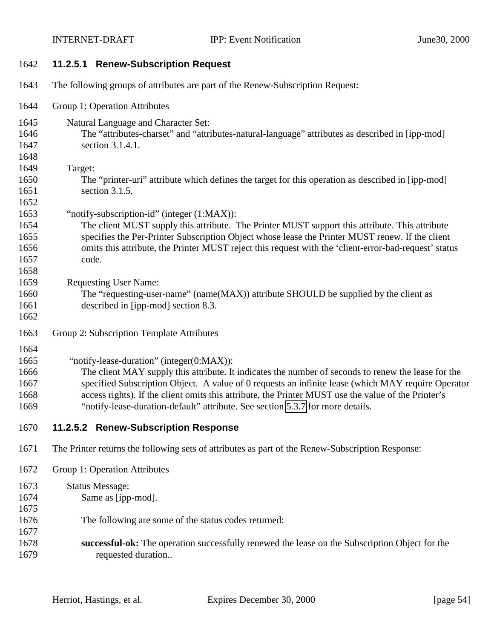- **11.2.5.1 Renew-Subscription Request**
- The following groups of attributes are part of the Renew-Subscription Request:
- Group 1: Operation Attributes
- Natural Language and Character Set: The "attributes-charset" and "attributes-natural-language" attributes as described in [ipp-mod] section 3.1.4.1. Target:
- The "printer-uri" attribute which defines the target for this operation as described in [ipp-mod] section 3.1.5.
- "notify-subscription-id" (integer (1:MAX)):
- The client MUST supply this attribute. The Printer MUST support this attribute. This attribute specifies the Per-Printer Subscription Object whose lease the Printer MUST renew. If the client omits this attribute, the Printer MUST reject this request with the 'client-error-bad-request' status code.
- Requesting User Name:
- The "requesting-user-name" (name(MAX)) attribute SHOULD be supplied by the client as described in [ipp-mod] section 8.3.
- 

- Group 2: Subscription Template Attributes
- 

1665 "notify-lease-duration" (integer(0:MAX)):

 The client MAY supply this attribute. It indicates the number of seconds to renew the lease for the specified Subscription Object. A value of 0 requests an infinite lease (which MAY require Operator access rights). If the client omits this attribute, the Printer MUST use the value of the Printer's "notify-lease-duration-default" attribute. See section [5.3.7](#page-25-0) for more details.

- **11.2.5.2 Renew-Subscription Response**
- The Printer returns the following sets of attributes as part of the Renew-Subscription Response:
- Group 1: Operation Attributes
- Status Message: Same as [ipp-mod]. The following are some of the status codes returned: **successful-ok:** The operation successfully renewed the lease on the Subscription Object for the requested duration..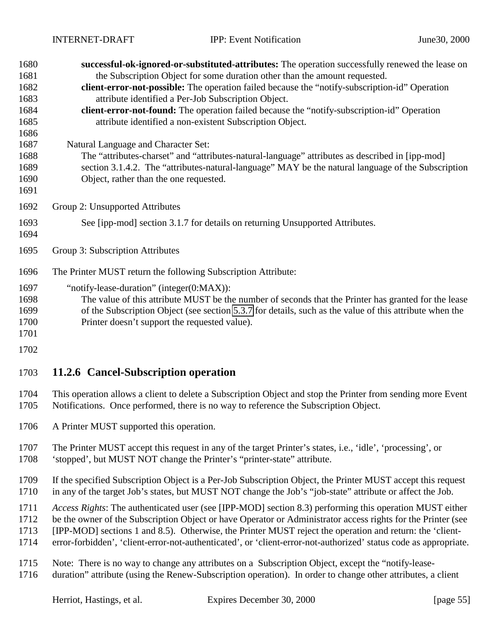<span id="page-54-0"></span>

| 1680 | successful-ok-ignored-or-substituted-attributes: The operation successfully renewed the lease on              |  |
|------|---------------------------------------------------------------------------------------------------------------|--|
| 1681 | the Subscription Object for some duration other than the amount requested.                                    |  |
| 1682 | client-error-not-possible: The operation failed because the "notify-subscription-id" Operation                |  |
| 1683 | attribute identified a Per-Job Subscription Object.                                                           |  |
| 1684 | client-error-not-found: The operation failed because the "notify-subscription-id" Operation                   |  |
| 1685 | attribute identified a non-existent Subscription Object.                                                      |  |
| 1686 |                                                                                                               |  |
| 1687 | Natural Language and Character Set:                                                                           |  |
| 1688 | The "attributes-charset" and "attributes-natural-language" attributes as described in [ipp-mod]               |  |
| 1689 | section 3.1.4.2. The "attributes-natural-language" MAY be the natural language of the Subscription            |  |
| 1690 | Object, rather than the one requested.                                                                        |  |
| 1691 |                                                                                                               |  |
| 1692 | Group 2: Unsupported Attributes                                                                               |  |
| 1693 | See [ipp-mod] section 3.1.7 for details on returning Unsupported Attributes.                                  |  |
| 1694 |                                                                                                               |  |
| 1695 | Group 3: Subscription Attributes                                                                              |  |
| 1696 | The Printer MUST return the following Subscription Attribute:                                                 |  |
| 1697 | "notify-lease-duration" (integer(0:MAX)):                                                                     |  |
| 1698 | The value of this attribute MUST be the number of seconds that the Printer has granted for the lease          |  |
| 1699 | of the Subscription Object (see section 5.3.7 for details, such as the value of this attribute when the       |  |
| 1700 | Printer doesn't support the requested value).                                                                 |  |
| 1701 |                                                                                                               |  |
| 1702 |                                                                                                               |  |
| 1703 | 11.2.6 Cancel-Subscription operation                                                                          |  |
| 1704 | This suggestion allows a gligat to delate a Cylegovintian Object and standles Duinter from sonding mone Front |  |

- This operation allows a client to delete a Subscription Object and stop the Printer from sending more Event Notifications. Once performed, there is no way to reference the Subscription Object.
- A Printer MUST supported this operation.
- The Printer MUST accept this request in any of the target Printer's states, i.e., 'idle', 'processing', or
- 'stopped', but MUST NOT change the Printer's "printer-state" attribute.
- If the specified Subscription Object is a Per-Job Subscription Object, the Printer MUST accept this request in any of the target Job's states, but MUST NOT change the Job's "job-state" attribute or affect the Job.
- *Access Rights*: The authenticated user (see [IPP-MOD] section 8.3) performing this operation MUST either
- be the owner of the Subscription Object or have Operator or Administrator access rights for the Printer (see
- [IPP-MOD] sections 1 and 8.5). Otherwise, the Printer MUST reject the operation and return: the 'client-
- error-forbidden', 'client-error-not-authenticated', or 'client-error-not-authorized' status code as appropriate.
- Note: There is no way to change any attributes on a Subscription Object, except the "notify-lease-
- duration" attribute (using the Renew-Subscription operation). In order to change other attributes, a client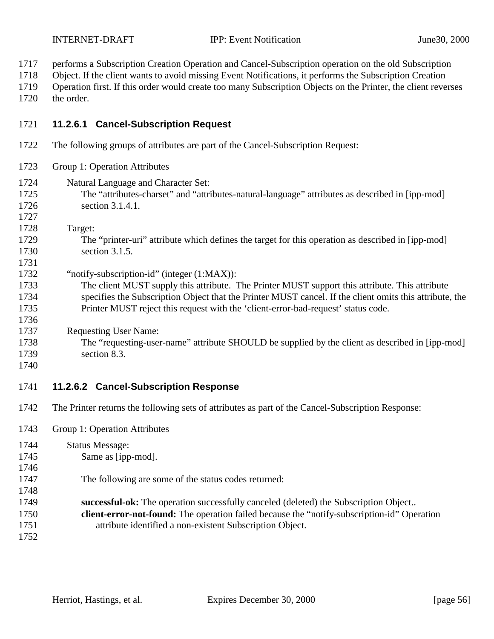performs a Subscription Creation Operation and Cancel-Subscription operation on the old Subscription

Object. If the client wants to avoid missing Event Notifications, it performs the Subscription Creation

 Operation first. If this order would create too many Subscription Objects on the Printer, the client reverses the order.

#### **11.2.6.1 Cancel-Subscription Request**

- The following groups of attributes are part of the Cancel-Subscription Request:
- Group 1: Operation Attributes
- Natural Language and Character Set:
	- The "attributes-charset" and "attributes-natural-language" attributes as described in [ipp-mod] section 3.1.4.1.
	- Target:
	- The "printer-uri" attribute which defines the target for this operation as described in [ipp-mod] section 3.1.5.
	- "notify-subscription-id" (integer (1:MAX)):
	- The client MUST supply this attribute. The Printer MUST support this attribute. This attribute specifies the Subscription Object that the Printer MUST cancel. If the client omits this attribute, the Printer MUST reject this request with the 'client-error-bad-request' status code.
	- Requesting User Name:
	- The "requesting-user-name" attribute SHOULD be supplied by the client as described in [ipp-mod] section 8.3.
	-

#### **11.2.6.2 Cancel-Subscription Response**

- The Printer returns the following sets of attributes as part of the Cancel-Subscription Response:
- Group 1: Operation Attributes

| 1744 | <b>Status Message:</b>                                                                             |
|------|----------------------------------------------------------------------------------------------------|
| 1745 | Same as [ipp-mod].                                                                                 |
| 1746 |                                                                                                    |
| 1747 | The following are some of the status codes returned:                                               |
| 1748 |                                                                                                    |
| 1749 | successful-ok: The operation successfully canceled (deleted) the Subscription Object               |
| 1750 | <b>client-error-not-found:</b> The operation failed because the "notify-subscription-id" Operation |
| 1751 | attribute identified a non-existent Subscription Object.                                           |
| 1752 |                                                                                                    |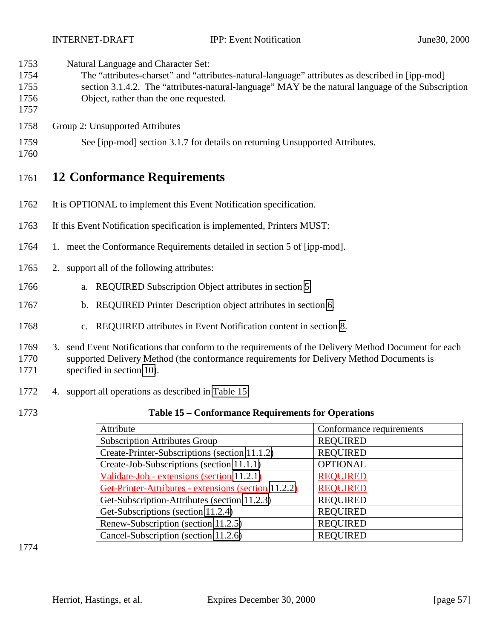<span id="page-56-0"></span>Natural Language and Character Set:

- The "attributes-charset" and "attributes-natural-language" attributes as described in [ipp-mod] section 3.1.4.2. The "attributes-natural-language" MAY be the natural language of the Subscription
- Object, rather than the one requested.
- Group 2: Unsupported Attributes
- See [ipp-mod] section 3.1.7 for details on returning Unsupported Attributes.
- 

## **12 Conformance Requirements**

- It is OPTIONAL to implement this Event Notification specification.
- If this Event Notification specification is implemented, Printers MUST:
- 1. meet the Conformance Requirements detailed in section 5 of [ipp-mod].
- 2. support all of the following attributes:
- a. REQUIRED Subscription Object attributes in section [5.](#page-12-0)
- b. REQUIRED Printer Description object attributes in section [6.](#page-30-0)
- c. REQUIRED attributes in Event Notification content in section [8.](#page-33-0)
- 3. send Event Notifications that conform to the requirements of the Delivery Method Document for each supported Delivery Method (the conformance requirements for Delivery Method Documents is specified in section [10\)](#page-41-0).
- 4. support all operations as described in Table 15:
- 

#### **Table 15 – Conformance Requirements for Operations**

| Attribute                                            | Conformance requirements |
|------------------------------------------------------|--------------------------|
| <b>Subscription Attributes Group</b>                 | <b>REQUIRED</b>          |
| Create-Printer-Subscriptions (section 11.1.2)        | <b>REQUIRED</b>          |
| Create-Job-Subscriptions (section 11.1.1)            | <b>OPTIONAL</b>          |
| Validate-Job - extensions (section 11.2.1)           | <b>REQUIRED</b>          |
| Get-Printer-Attributes - extensions (section 11.2.2) | <b>REQUIRED</b>          |
| Get-Subscription-Attributes (section 11.2.3)         | <b>REQUIRED</b>          |
| Get-Subscriptions (section 11.2.4)                   | <b>REQUIRED</b>          |
| Renew-Subscription (section 11.2.5)                  | <b>REQUIRED</b>          |
| Cancel-Subscription (section 11.2.6)                 | <b>REOUIRED</b>          |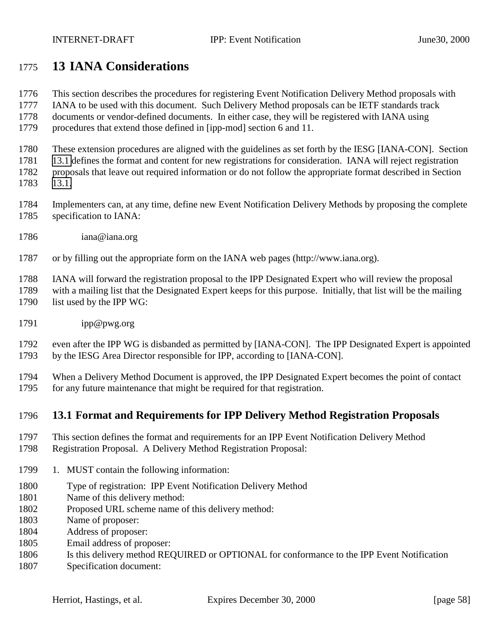## <span id="page-57-0"></span>**13 IANA Considerations**

- This section describes the procedures for registering Event Notification Delivery Method proposals with
- IANA to be used with this document. Such Delivery Method proposals can be IETF standards track
- documents or vendor-defined documents. In either case, they will be registered with IANA using
- procedures that extend those defined in [ipp-mod] section 6 and 11.

These extension procedures are aligned with the guidelines as set forth by the IESG [IANA-CON]. Section

13.1 defines the format and content for new registrations for consideration. IANA will reject registration

 proposals that leave out required information or do not follow the appropriate format described in Section 13.1.

- Implementers can, at any time, define new Event Notification Delivery Methods by proposing the complete specification to IANA:
- iana@iana.org

or by filling out the appropriate form on the IANA web pages (http://www.iana.org).

IANA will forward the registration proposal to the IPP Designated Expert who will review the proposal

with a mailing list that the Designated Expert keeps for this purpose. Initially, that list will be the mailing

- 1790 list used by the IPP WG:
- ipp@pwg.org

 even after the IPP WG is disbanded as permitted by [IANA-CON]. The IPP Designated Expert is appointed by the IESG Area Director responsible for IPP, according to [IANA-CON].

 When a Delivery Method Document is approved, the IPP Designated Expert becomes the point of contact for any future maintenance that might be required for that registration.

### **13.1 Format and Requirements for IPP Delivery Method Registration Proposals**

- This section defines the format and requirements for an IPP Event Notification Delivery Method
- Registration Proposal. A Delivery Method Registration Proposal:
- 1799 1. MUST contain the following information:
- Type of registration: IPP Event Notification Delivery Method
- Name of this delivery method:
- Proposed URL scheme name of this delivery method:
- Name of proposer:
- Address of proposer:
- Email address of proposer:
- Is this delivery method REQUIRED or OPTIONAL for conformance to the IPP Event Notification
- Specification document: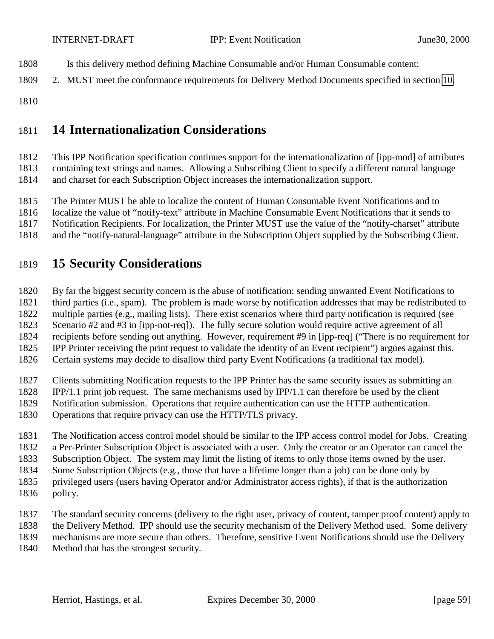- Is this delivery method defining Machine Consumable and/or Human Consumable content:
- 2. MUST meet the conformance requirements for Delivery Method Documents specified in section [10.](#page-41-0)
- 

## **14 Internationalization Considerations**

 This IPP Notification specification continues support for the internationalization of [ipp-mod] of attributes containing text strings and names. Allowing a Subscribing Client to specify a different natural language and charset for each Subscription Object increases the internationalization support.

The Printer MUST be able to localize the content of Human Consumable Event Notifications and to

localize the value of "notify-text" attribute in Machine Consumable Event Notifications that it sends to

Notification Recipients. For localization, the Printer MUST use the value of the "notify-charset" attribute

and the "notify-natural-language" attribute in the Subscription Object supplied by the Subscribing Client.

## **15 Security Considerations**

By far the biggest security concern is the abuse of notification: sending unwanted Event Notifications to

third parties (i.e., spam). The problem is made worse by notification addresses that may be redistributed to

multiple parties (e.g., mailing lists). There exist scenarios where third party notification is required (see

Scenario #2 and #3 in [ipp-not-req]). The fully secure solution would require active agreement of all

 recipients before sending out anything. However, requirement #9 in [ipp-req] ("There is no requirement for IPP Printer receiving the print request to validate the identity of an Event recipient") argues against this.

Certain systems may decide to disallow third party Event Notifications (a traditional fax model).

Clients submitting Notification requests to the IPP Printer has the same security issues as submitting an

- IPP/1.1 print job request. The same mechanisms used by IPP/1.1 can therefore be used by the client
- Notification submission. Operations that require authentication can use the HTTP authentication.
- Operations that require privacy can use the HTTP/TLS privacy.

The Notification access control model should be similar to the IPP access control model for Jobs. Creating

a Per-Printer Subscription Object is associated with a user. Only the creator or an Operator can cancel the

Subscription Object. The system may limit the listing of items to only those items owned by the user.

Some Subscription Objects (e.g., those that have a lifetime longer than a job) can be done only by

- privileged users (users having Operator and/or Administrator access rights), if that is the authorization
- policy.

 The standard security concerns (delivery to the right user, privacy of content, tamper proof content) apply to the Delivery Method. IPP should use the security mechanism of the Delivery Method used. Some delivery

mechanisms are more secure than others. Therefore, sensitive Event Notifications should use the Delivery

Method that has the strongest security.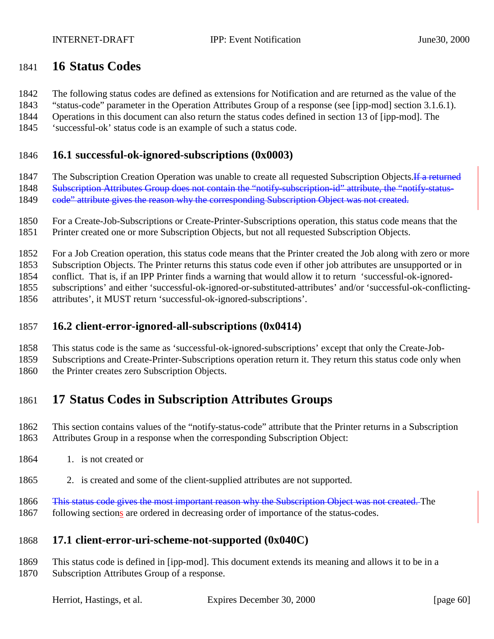## <span id="page-59-0"></span>**16 Status Codes**

The following status codes are defined as extensions for Notification and are returned as the value of the

"status-code" parameter in the Operation Attributes Group of a response (see [ipp-mod] section 3.1.6.1).

Operations in this document can also return the status codes defined in section 13 of [ipp-mod]. The

'successful-ok' status code is an example of such a status code.

#### **16.1 successful-ok-ignored-subscriptions (0x0003)**

1847 The Subscription Creation Operation was unable to create all requested Subscription Objects. If a returned

1848 Subscription Attributes Group does not contain the "notify-subscription-id" attribute, the "notify-status-

1849 code" attribute gives the reason why the corresponding Subscription Object was not created.

 For a Create-Job-Subscriptions or Create-Printer-Subscriptions operation, this status code means that the Printer created one or more Subscription Objects, but not all requested Subscription Objects.

For a Job Creation operation, this status code means that the Printer created the Job along with zero or more

Subscription Objects. The Printer returns this status code even if other job attributes are unsupported or in

conflict. That is, if an IPP Printer finds a warning that would allow it to return 'successful-ok-ignored-

subscriptions' and either 'successful-ok-ignored-or-substituted-attributes' and/or 'successful-ok-conflicting-

attributes', it MUST return 'successful-ok-ignored-subscriptions'.

### **16.2 client-error-ignored-all-subscriptions (0x0414)**

This status code is the same as 'successful-ok-ignored-subscriptions' except that only the Create-Job-

Subscriptions and Create-Printer-Subscriptions operation return it. They return this status code only when

the Printer creates zero Subscription Objects.

## **17 Status Codes in Subscription Attributes Groups**

- This section contains values of the "notify-status-code" attribute that the Printer returns in a Subscription Attributes Group in a response when the corresponding Subscription Object:
- 1864 1. is not created or
- 2. is created and some of the client-supplied attributes are not supported.
- 1866 This status code gives the most important reason why the Subscription Object was not created. The
- 1867 following sections are ordered in decreasing order of importance of the status-codes.

### **17.1 client-error-uri-scheme-not-supported (0x040C)**

 This status code is defined in [ipp-mod]. This document extends its meaning and allows it to be in a Subscription Attributes Group of a response.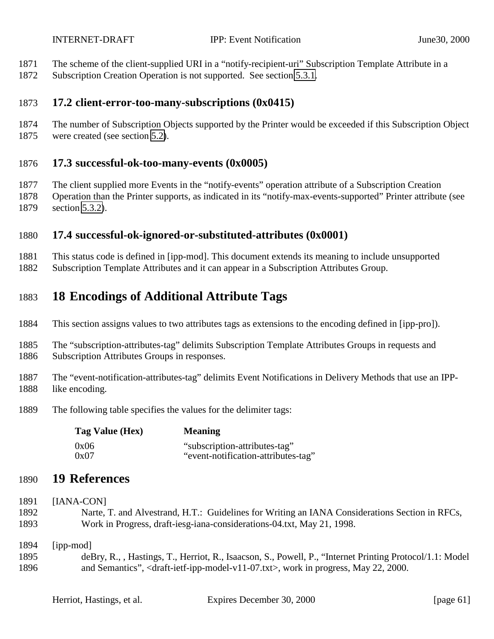- The scheme of the client-supplied URI in a "notify-recipient-uri" Subscription Template Attribute in a
- Subscription Creation Operation is not supported. See section [5.3.1.](#page-17-0)

#### **17.2 client-error-too-many-subscriptions (0x0415)**

 The number of Subscription Objects supported by the Printer would be exceeded if this Subscription Object were created (see section [5.2\)](#page-14-0).

#### **17.3 successful-ok-too-many-events (0x0005)**

 The client supplied more Events in the "notify-events" operation attribute of a Subscription Creation Operation than the Printer supports, as indicated in its "notify-max-events-supported" Printer attribute (see section [5.3.2\)](#page-17-0).

### **17.4 successful-ok-ignored-or-substituted-attributes (0x0001)**

 This status code is defined in [ipp-mod]. This document extends its meaning to include unsupported Subscription Template Attributes and it can appear in a Subscription Attributes Group.

## **18 Encodings of Additional Attribute Tags**

- This section assigns values to two attributes tags as extensions to the encoding defined in [ipp-pro]).
- The "subscription-attributes-tag" delimits Subscription Template Attributes Groups in requests and Subscription Attributes Groups in responses.
- 
- The "event-notification-attributes-tag" delimits Event Notifications in Delivery Methods that use an IPP-like encoding.
- The following table specifies the values for the delimiter tags:

| Tag Value (Hex) | <b>Meaning</b>                      |
|-----------------|-------------------------------------|
| 0x06            | "subscription-attributes-tag"       |
| 0x07            | "event-notification-attributes-tag" |

### **19 References**

- [IANA-CON]
- Narte, T. and Alvestrand, H.T.: Guidelines for Writing an IANA Considerations Section in RFCs, Work in Progress, draft-iesg-iana-considerations-04.txt, May 21, 1998.
- [ipp-mod]
- deBry, R., , Hastings, T., Herriot, R., Isaacson, S., Powell, P., "Internet Printing Protocol/1.1: Model and Semantics", <draft-ietf-ipp-model-v11-07.txt>, work in progress, May 22, 2000.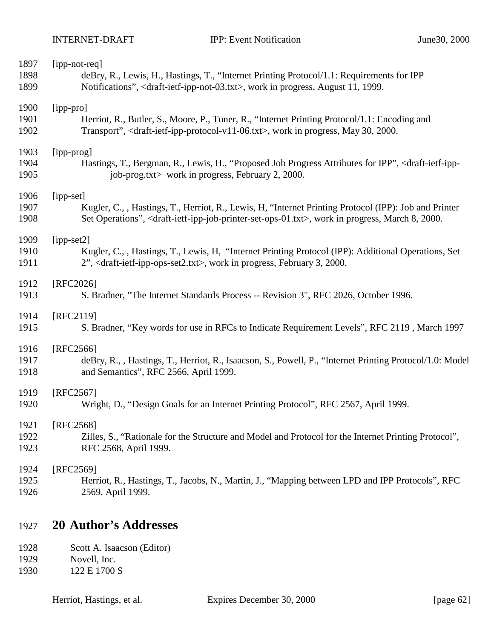| 1897 | [ipp-not-req]                                                                                                                              |
|------|--------------------------------------------------------------------------------------------------------------------------------------------|
| 1898 | deBry, R., Lewis, H., Hastings, T., "Internet Printing Protocol/1.1: Requirements for IPP                                                  |
| 1899 | Notifications", <draft-ietf-ipp-not-03.txt>, work in progress, August 11, 1999.</draft-ietf-ipp-not-03.txt>                                |
| 1900 | [ipp-pro]                                                                                                                                  |
| 1901 | Herriot, R., Butler, S., Moore, P., Tuner, R., "Internet Printing Protocol/1.1: Encoding and                                               |
| 1902 | Transport", <draft-ietf-ipp-protocol-v11-06.txt>, work in progress, May 30, 2000.</draft-ietf-ipp-protocol-v11-06.txt>                     |
| 1903 | [ipp-prog]                                                                                                                                 |
| 1904 | Hastings, T., Bergman, R., Lewis, H., "Proposed Job Progress Attributes for IPP", <draft-ietf-ipp-< td=""></draft-ietf-ipp-<>              |
| 1905 | job-prog.txt> work in progress, February 2, 2000.                                                                                          |
| 1906 | [ipp-set]                                                                                                                                  |
| 1907 | Kugler, C., , Hastings, T., Herriot, R., Lewis, H. "Internet Printing Protocol (IPP): Job and Printer                                      |
| 1908 | Set Operations", <draft-ietf-ipp-job-printer-set-ops-01.txt>, work in progress, March 8, 2000.</draft-ietf-ipp-job-printer-set-ops-01.txt> |
| 1909 | [ipp-set2]                                                                                                                                 |
| 1910 | Kugler, C., , Hastings, T., Lewis, H. "Internet Printing Protocol (IPP): Additional Operations, Set                                        |
| 1911 | 2", <draft-ietf-ipp-ops-set2.txt>, work in progress, February 3, 2000.</draft-ietf-ipp-ops-set2.txt>                                       |
| 1912 | [RFC2026]                                                                                                                                  |
| 1913 | S. Bradner, "The Internet Standards Process -- Revision 3", RFC 2026, October 1996.                                                        |
| 1914 | [RFC2119]                                                                                                                                  |
| 1915 | S. Bradner, "Key words for use in RFCs to Indicate Requirement Levels", RFC 2119, March 1997                                               |
| 1916 | $[RFC2566]$                                                                                                                                |
| 1917 | deBry, R., , Hastings, T., Herriot, R., Isaacson, S., Powell, P., "Internet Printing Protocol/1.0: Model                                   |
| 1918 | and Semantics", RFC 2566, April 1999.                                                                                                      |
| 1919 | [RFC2567]                                                                                                                                  |
| 1920 | Wright, D., "Design Goals for an Internet Printing Protocol", RFC 2567, April 1999.                                                        |
| 1921 | [RFC2568]                                                                                                                                  |
| 1922 | Zilles, S., "Rationale for the Structure and Model and Protocol for the Internet Printing Protocol",                                       |
| 1923 | RFC 2568, April 1999.                                                                                                                      |
| 1924 | [RFC2569]                                                                                                                                  |
| 1925 | Herriot, R., Hastings, T., Jacobs, N., Martin, J., "Mapping between LPD and IPP Protocols", RFC                                            |
| 1926 | 2569, April 1999.                                                                                                                          |
|      |                                                                                                                                            |

## **20 Author's Addresses**

| 1928 | Scott A. Isaacson (Editor) |
|------|----------------------------|
| 1929 | Novell, Inc.               |
| 1930 | 122 E 1700 S               |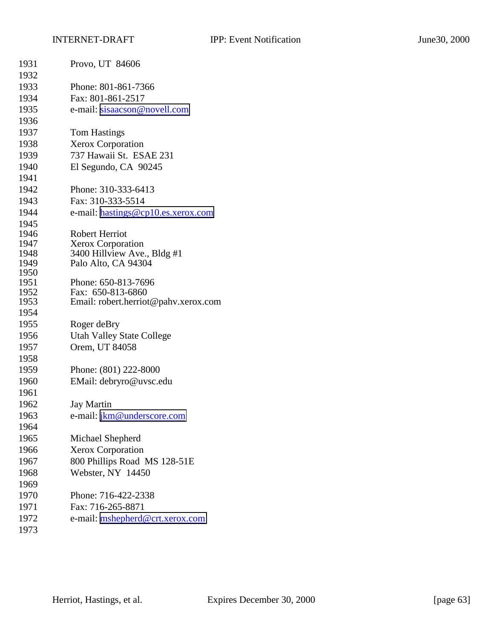| 1931 | Provo, UT 84606                      |
|------|--------------------------------------|
| 1932 |                                      |
| 1933 | Phone: 801-861-7366                  |
| 1934 | Fax: 801-861-2517                    |
| 1935 | e-mail: sisaacson@novell.com         |
| 1936 |                                      |
| 1937 | <b>Tom Hastings</b>                  |
| 1938 | <b>Xerox Corporation</b>             |
| 1939 | 737 Hawaii St. ESAE 231              |
| 1940 | El Segundo, CA 90245                 |
| 1941 |                                      |
| 1942 | Phone: 310-333-6413                  |
| 1943 | Fax: 310-333-5514                    |
| 1944 | e-mail: hastings@cp10.es.xerox.com   |
| 1945 |                                      |
| 1946 | <b>Robert Herriot</b>                |
| 1947 | <b>Xerox Corporation</b>             |
| 1948 | 3400 Hillview Ave., Bldg #1          |
| 1949 | Palo Alto, CA 94304                  |
| 1950 |                                      |
| 1951 | Phone: 650-813-7696                  |
| 1952 | Fax: 650-813-6860                    |
| 1953 | Email: robert.herriot@pahv.xerox.com |
| 1954 |                                      |
| 1955 | Roger deBry                          |
| 1956 | <b>Utah Valley State College</b>     |
| 1957 | Orem, UT 84058                       |
| 1958 |                                      |
| 1959 | Phone: (801) 222-8000                |
| 1960 | EMail: debryro@uvsc.edu              |
| 1961 |                                      |
| 1962 | <b>Jay Martin</b>                    |
| 1963 | e-mail: jkm@underscore.com           |
| 1964 |                                      |
| 1965 | Michael Shepherd                     |
| 1966 | Xerox Corporation                    |
| 1967 | 800 Phillips Road MS 128-51E         |
| 1968 | Webster, NY 14450                    |
| 1969 |                                      |
| 1970 | Phone: 716-422-2338                  |
| 1971 | Fax: 716-265-8871                    |
| 1972 | e-mail: mshepherd@crt.xerox.com      |
|      |                                      |
| 1973 |                                      |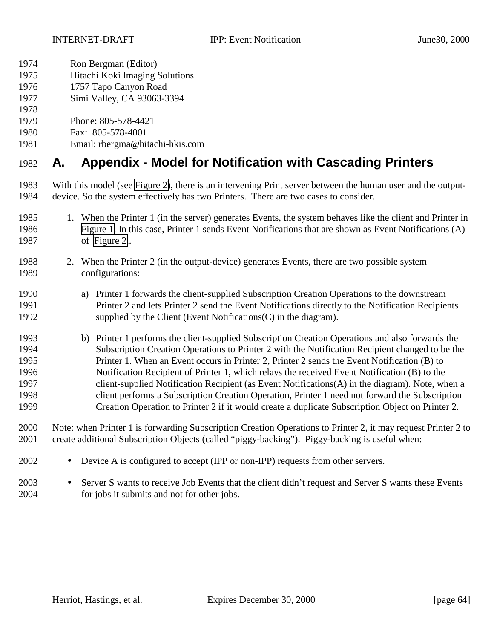- Ron Bergman (Editor)
- Hitachi Koki Imaging Solutions
- 1757 Tapo Canyon Road
- Simi Valley, CA 93063-3394
- 
- Phone: 805-578-4421
- Fax: 805-578-4001
- Email: rbergma@hitachi-hkis.com

## **A. Appendix - Model for Notification with Cascading Printers**

- With this model (see [Figure 2\)](#page-64-0), there is an intervening Print server between the human user and the output-device. So the system effectively has two Printers. There are two cases to consider.
- 1. When the Printer 1 (in the server) generates Events, the system behaves like the client and Printer in [Figure 1.](#page-9-0) In this case, Printer 1 sends Event Notifications that are shown as Event Notifications (A) of [Figure 2,](#page-64-0).
- 2. When the Printer 2 (in the output-device) generates Events, there are two possible system configurations:
- a) Printer 1 forwards the client-supplied Subscription Creation Operations to the downstream Printer 2 and lets Printer 2 send the Event Notifications directly to the Notification Recipients supplied by the Client (Event Notifications(C) in the diagram).
- b) Printer 1 performs the client-supplied Subscription Creation Operations and also forwards the Subscription Creation Operations to Printer 2 with the Notification Recipient changed to be the Printer 1. When an Event occurs in Printer 2, Printer 2 sends the Event Notification (B) to Notification Recipient of Printer 1, which relays the received Event Notification (B) to the client-supplied Notification Recipient (as Event Notifications(A) in the diagram). Note, when a client performs a Subscription Creation Operation, Printer 1 need not forward the Subscription Creation Operation to Printer 2 if it would create a duplicate Subscription Object on Printer 2.
- Note: when Printer 1 is forwarding Subscription Creation Operations to Printer 2, it may request Printer 2 to create additional Subscription Objects (called "piggy-backing"). Piggy-backing is useful when:
- Device A is configured to accept (IPP or non-IPP) requests from other servers.
- Server S wants to receive Job Events that the client didn't request and Server S wants these Events for jobs it submits and not for other jobs.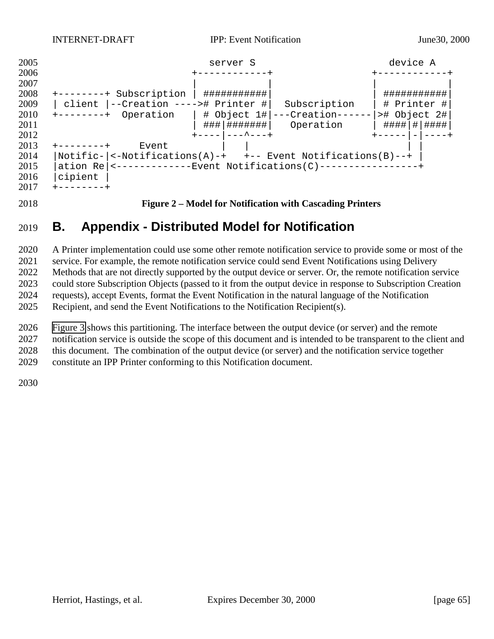<span id="page-64-0"></span>

#### **Figure 2 – Model for Notification with Cascading Printers**

## **B. Appendix - Distributed Model for Notification**

 A Printer implementation could use some other remote notification service to provide some or most of the service. For example, the remote notification service could send Event Notifications using Delivery Methods that are not directly supported by the output device or server. Or, the remote notification service could store Subscription Objects (passed to it from the output device in response to Subscription Creation requests), accept Events, format the Event Notification in the natural language of the Notification Recipient, and send the Event Notifications to the Notification Recipient(s).

[Figure 3](#page-65-0) shows this partitioning. The interface between the output device (or server) and the remote

notification service is outside the scope of this document and is intended to be transparent to the client and

this document. The combination of the output device (or server) and the notification service together

constitute an IPP Printer conforming to this Notification document.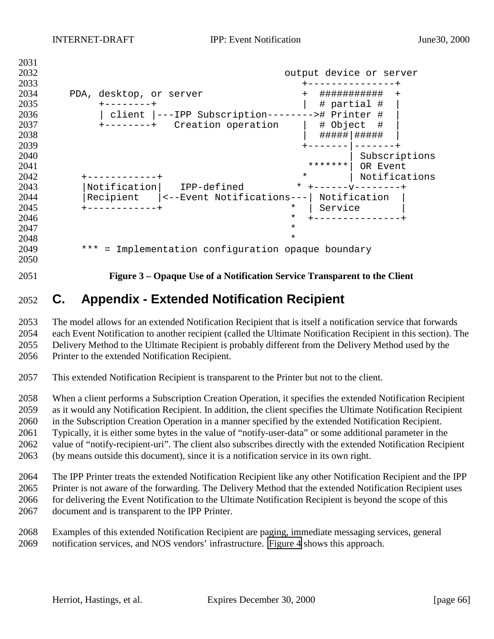output device or server +---------------+ 2034 PDA, desktop, or server + ############## + +--------+ | # partial # | 2031 12:1, 2001 12:1, 2001<br>2035 +--------+<br>2036 | client |---IPP Subscription--------># Printer # |<br>2037 +--------+ Creation operation | # Object # |  $+-----+$  Creation operation | #####|##### | +-------|-------+ 2040 | Subscriptions \*\*\*\*\*\*\*| OR Event +------------+ \* | Notifications |Notification| IPP-defined \* +------v--------+ |Recipient |<--Event Notifications---| Notification +------------+ \* | Service | \* +---------------+ **\***  \* \*\*\* = Implementation configuration opaque boundary 

<span id="page-65-0"></span>

**Figure 3 – Opaque Use of a Notification Service Transparent to the Client**

## **C. Appendix - Extended Notification Recipient**

 The model allows for an extended Notification Recipient that is itself a notification service that forwards each Event Notification to another recipient (called the Ultimate Notification Recipient in this section). The Delivery Method to the Ultimate Recipient is probably different from the Delivery Method used by the Printer to the extended Notification Recipient.

This extended Notification Recipient is transparent to the Printer but not to the client.

 When a client performs a Subscription Creation Operation, it specifies the extended Notification Recipient as it would any Notification Recipient. In addition, the client specifies the Ultimate Notification Recipient in the Subscription Creation Operation in a manner specified by the extended Notification Recipient. Typically, it is either some bytes in the value of "notify-user-data" or some additional parameter in the value of "notify-recipient-uri". The client also subscribes directly with the extended Notification Recipient (by means outside this document), since it is a notification service in its own right.

 The IPP Printer treats the extended Notification Recipient like any other Notification Recipient and the IPP Printer is not aware of the forwarding. The Delivery Method that the extended Notification Recipient uses 2066 for delivering the Event Notification to the Ultimate Notification Recipient is beyond the scope of this document and is transparent to the IPP Printer.

 Examples of this extended Notification Recipient are paging, immediate messaging services, general notification services, and NOS vendors' infrastructure. [Figure 4](#page-66-0) shows this approach.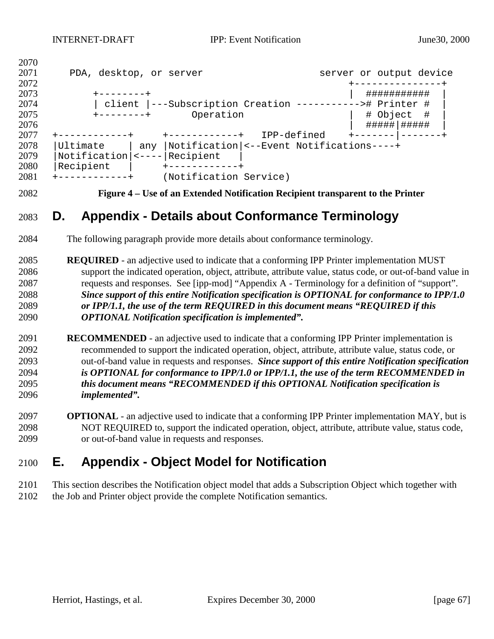<span id="page-66-0"></span>

| 2070 |                         |                                                                                                                                                                                                                                                                                                                                                                                                                                    |             |                         |               |  |
|------|-------------------------|------------------------------------------------------------------------------------------------------------------------------------------------------------------------------------------------------------------------------------------------------------------------------------------------------------------------------------------------------------------------------------------------------------------------------------|-------------|-------------------------|---------------|--|
| 2071 | PDA, desktop, or server |                                                                                                                                                                                                                                                                                                                                                                                                                                    |             | server or output device |               |  |
| 2072 |                         |                                                                                                                                                                                                                                                                                                                                                                                                                                    |             |                         |               |  |
| 2073 | $+ - - - - - - - +$     |                                                                                                                                                                                                                                                                                                                                                                                                                                    |             |                         | ###########   |  |
| 2074 |                         | client  ---Subscription Creation -----------># Printer #                                                                                                                                                                                                                                                                                                                                                                           |             |                         |               |  |
| 2075 | $+ - - - - - - - +$     | Operation                                                                                                                                                                                                                                                                                                                                                                                                                          |             | # Object                | - #           |  |
| 2076 |                         |                                                                                                                                                                                                                                                                                                                                                                                                                                    |             |                         | #####   ##### |  |
| 2077 |                         | -----------+                                                                                                                                                                                                                                                                                                                                                                                                                       | IPP-defined |                         |               |  |
| 2078 | Ultimate                | any  Notification  <--Event Notifications----+                                                                                                                                                                                                                                                                                                                                                                                     |             |                         |               |  |
| 2079 | Notification            | $\left  \right $ $\left  \right $ $\left  \right $ $\left  \right $ $\left  \right $ $\left  \right $ $\left  \right $ $\left  \right $ $\left  \right $ $\left  \right $ $\left  \right $ $\left  \right $ $\left  \right $ $\left  \right $ $\left  \right $ $\left  \right $ $\left  \right $ $\left  \right $ $\left  \right $ $\left  \right $ $\left  \right $ $\left  \right $ $\left  \right $ $\left  \right $ $\left  \$ |             |                         |               |  |
| 2080 | Recipient               |                                                                                                                                                                                                                                                                                                                                                                                                                                    |             |                         |               |  |
| 2081 | $- - - - - - - - - - +$ | (Notification Service)                                                                                                                                                                                                                                                                                                                                                                                                             |             |                         |               |  |

**Figure 4 – Use of an Extended Notification Recipient transparent to the Printer**

## **D. Appendix - Details about Conformance Terminology**

- The following paragraph provide more details about conformance terminology.
- **REQUIRED**  an adjective used to indicate that a conforming IPP Printer implementation MUST support the indicated operation, object, attribute, attribute value, status code, or out-of-band value in requests and responses. See [ipp-mod] "Appendix A - Terminology for a definition of "support". *Since support of this entire Notification specification is OPTIONAL for conformance to IPP/1.0 or IPP/1.1, the use of the term REQUIRED in this document means "REQUIRED if this OPTIONAL Notification specification is implemented".*
- **RECOMMENDED**  an adjective used to indicate that a conforming IPP Printer implementation is recommended to support the indicated operation, object, attribute, attribute value, status code, or out-of-band value in requests and responses. *Since support of this entire Notification specification is OPTIONAL for conformance to IPP/1.0 or IPP/1.1, the use of the term RECOMMENDED in this document means "RECOMMENDED if this OPTIONAL Notification specification is implemented".*
- **OPTIONAL**  an adjective used to indicate that a conforming IPP Printer implementation MAY, but is NOT REQUIRED to, support the indicated operation, object, attribute, attribute value, status code, or out-of-band value in requests and responses.

## **E. Appendix - Object Model for Notification**

 This section describes the Notification object model that adds a Subscription Object which together with the Job and Printer object provide the complete Notification semantics.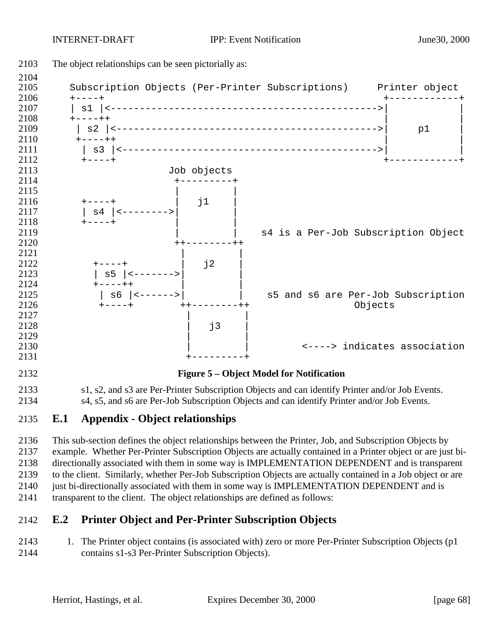

 This sub-section defines the object relationships between the Printer, Job, and Subscription Objects by example. Whether Per-Printer Subscription Objects are actually contained in a Printer object or are just bi- directionally associated with them in some way is IMPLEMENTATION DEPENDENT and is transparent to the client. Similarly, whether Per-Job Subscription Objects are actually contained in a Job object or are 2140 just bi-directionally associated with them in some way is IMPLEMENTATION DEPENDENT and is transparent to the client. The object relationships are defined as follows:

### **E.2 Printer Object and Per-Printer Subscription Objects**

2143 1. The Printer object contains (is associated with) zero or more Per-Printer Subscription Objects (p1 contains s1-s3 Per-Printer Subscription Objects).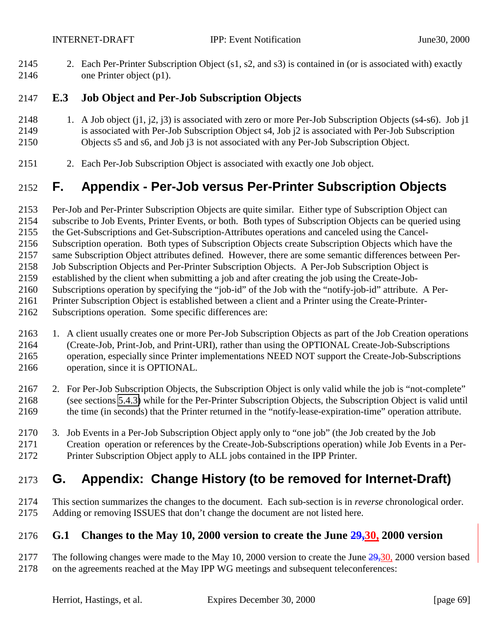2. Each Per-Printer Subscription Object (s1, s2, and s3) is contained in (or is associated with) exactly one Printer object (p1).

### **E.3 Job Object and Per-Job Subscription Objects**

- 2148 1. A Job object (j1, j2, j3) is associated with zero or more Per-Job Subscription Objects (s4-s6). Job j1 is associated with Per-Job Subscription Object s4, Job j2 is associated with Per-Job Subscription Objects s5 and s6, and Job j3 is not associated with any Per-Job Subscription Object.
- 2. Each Per-Job Subscription Object is associated with exactly one Job object.

## **F. Appendix - Per-Job versus Per-Printer Subscription Objects**

Per-Job and Per-Printer Subscription Objects are quite similar. Either type of Subscription Object can

- subscribe to Job Events, Printer Events, or both. Both types of Subscription Objects can be queried using
- the Get-Subscriptions and Get-Subscription-Attributes operations and canceled using the Cancel-
- Subscription operation. Both types of Subscription Objects create Subscription Objects which have the

same Subscription Object attributes defined. However, there are some semantic differences between Per-

- Job Subscription Objects and Per-Printer Subscription Objects. A Per-Job Subscription Object is
- established by the client when submitting a job and after creating the job using the Create-Job-
- Subscriptions operation by specifying the "job-id" of the Job with the "notify-job-id" attribute. A Per-
- Printer Subscription Object is established between a client and a Printer using the Create-Printer-
- Subscriptions operation. Some specific differences are:
- 1. A client usually creates one or more Per-Job Subscription Objects as part of the Job Creation operations (Create-Job, Print-Job, and Print-URI), rather than using the OPTIONAL Create-Job-Subscriptions operation, especially since Printer implementations NEED NOT support the Create-Job-Subscriptions operation, since it is OPTIONAL.
- 2. For Per-Job Subscription Objects, the Subscription Object is only valid while the job is "not-complete" (see sections [5.4.3\)](#page-29-0) while for the Per-Printer Subscription Objects, the Subscription Object is valid until the time (in seconds) that the Printer returned in the "notify-lease-expiration-time" operation attribute.
- 3. Job Events in a Per-Job Subscription Object apply only to "one job" (the Job created by the Job Creation operation or references by the Create-Job-Subscriptions operation) while Job Events in a Per-Printer Subscription Object apply to ALL jobs contained in the IPP Printer.

## **G. Appendix: Change History (to be removed for Internet-Draft)**

 This section summarizes the changes to the document. Each sub-section is in *reverse* chronological order. Adding or removing ISSUES that don't change the document are not listed here.

## **G.1 Changes to the May 10, 2000 version to create the June 29,30, 2000 version**

2177 The following changes were made to the May 10, 2000 version to create the June  $\frac{29,30}{,}$  2000 version based on the agreements reached at the May IPP WG meetings and subsequent teleconferences: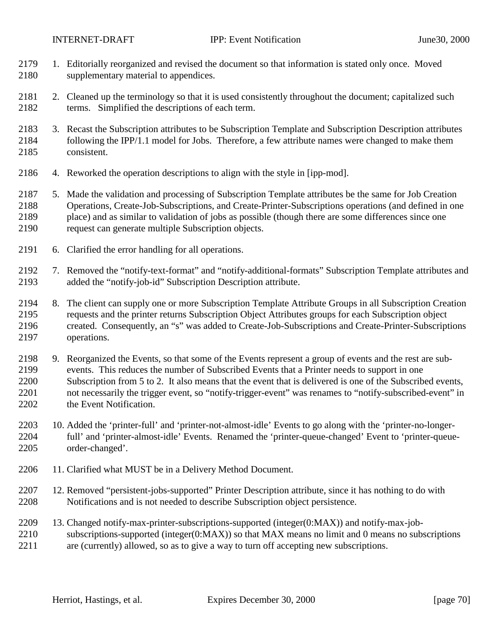- 1. Editorially reorganized and revised the document so that information is stated only once. Moved supplementary material to appendices.
- 2. Cleaned up the terminology so that it is used consistently throughout the document; capitalized such terms. Simplified the descriptions of each term.
- 3. Recast the Subscription attributes to be Subscription Template and Subscription Description attributes following the IPP/1.1 model for Jobs. Therefore, a few attribute names were changed to make them consistent.
- 4. Reworked the operation descriptions to align with the style in [ipp-mod].
- 5. Made the validation and processing of Subscription Template attributes be the same for Job Creation Operations, Create-Job-Subscriptions, and Create-Printer-Subscriptions operations (and defined in one place) and as similar to validation of jobs as possible (though there are some differences since one request can generate multiple Subscription objects.
- 6. Clarified the error handling for all operations.
- 7. Removed the "notify-text-format" and "notify-additional-formats" Subscription Template attributes and added the "notify-job-id" Subscription Description attribute.
- 8. The client can supply one or more Subscription Template Attribute Groups in all Subscription Creation requests and the printer returns Subscription Object Attributes groups for each Subscription object created. Consequently, an "s" was added to Create-Job-Subscriptions and Create-Printer-Subscriptions operations.
- 9. Reorganized the Events, so that some of the Events represent a group of events and the rest are sub- events. This reduces the number of Subscribed Events that a Printer needs to support in one Subscription from 5 to 2. It also means that the event that is delivered is one of the Subscribed events, not necessarily the trigger event, so "notify-trigger-event" was renames to "notify-subscribed-event" in 2202 the Event Notification.
- 10. Added the 'printer-full' and 'printer-not-almost-idle' Events to go along with the 'printer-no-longer- full' and 'printer-almost-idle' Events. Renamed the 'printer-queue-changed' Event to 'printer-queue-order-changed'.
- 11. Clarified what MUST be in a Delivery Method Document.
- 12. Removed "persistent-jobs-supported" Printer Description attribute, since it has nothing to do with Notifications and is not needed to describe Subscription object persistence.
- 13. Changed notify-max-printer-subscriptions-supported (integer(0:MAX)) and notify-max-job- subscriptions-supported (integer(0:MAX)) so that MAX means no limit and 0 means no subscriptions are (currently) allowed, so as to give a way to turn off accepting new subscriptions.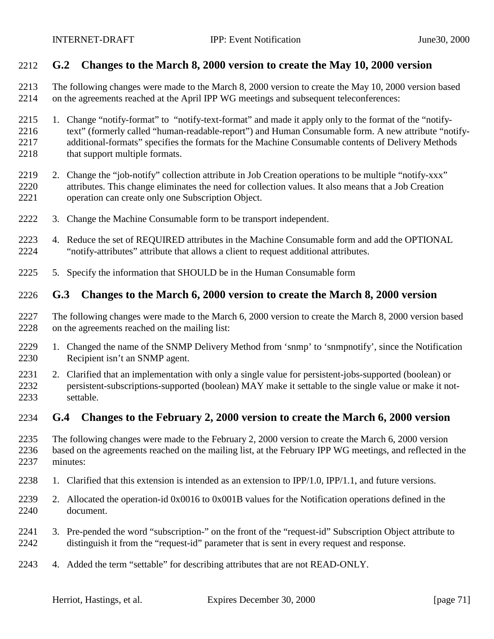#### **G.2 Changes to the March 8, 2000 version to create the May 10, 2000 version**

- The following changes were made to the March 8, 2000 version to create the May 10, 2000 version based on the agreements reached at the April IPP WG meetings and subsequent teleconferences:
- 1. Change "notify-format" to "notify-text-format" and made it apply only to the format of the "notify-2216 text" (formerly called "human-readable-report") and Human Consumable form. A new attribute "notify- additional-formats" specifies the formats for the Machine Consumable contents of Delivery Methods 2218 that support multiple formats.
- 2219 2. Change the "job-notify" collection attribute in Job Creation operations to be multiple "notify-xxx" attributes. This change eliminates the need for collection values. It also means that a Job Creation operation can create only one Subscription Object.
- 3. Change the Machine Consumable form to be transport independent.
- 4. Reduce the set of REQUIRED attributes in the Machine Consumable form and add the OPTIONAL "notify-attributes" attribute that allows a client to request additional attributes.
- 5. Specify the information that SHOULD be in the Human Consumable form

#### **G.3 Changes to the March 6, 2000 version to create the March 8, 2000 version**

- The following changes were made to the March 6, 2000 version to create the March 8, 2000 version based on the agreements reached on the mailing list:
- 1. Changed the name of the SNMP Delivery Method from 'snmp' to 'snmpnotify', since the Notification Recipient isn't an SNMP agent.
- 2. Clarified that an implementation with only a single value for persistent-jobs-supported (boolean) or persistent-subscriptions-supported (boolean) MAY make it settable to the single value or make it not-settable.

#### **G.4 Changes to the February 2, 2000 version to create the March 6, 2000 version**

- The following changes were made to the February 2, 2000 version to create the March 6, 2000 version based on the agreements reached on the mailing list, at the February IPP WG meetings, and reflected in the minutes:
- 1. Clarified that this extension is intended as an extension to IPP/1.0, IPP/1.1, and future versions.
- 2. Allocated the operation-id 0x0016 to 0x001B values for the Notification operations defined in the document.
- 3. Pre-pended the word "subscription-" on the front of the "request-id" Subscription Object attribute to distinguish it from the "request-id" parameter that is sent in every request and response.
- 4. Added the term "settable" for describing attributes that are not READ-ONLY.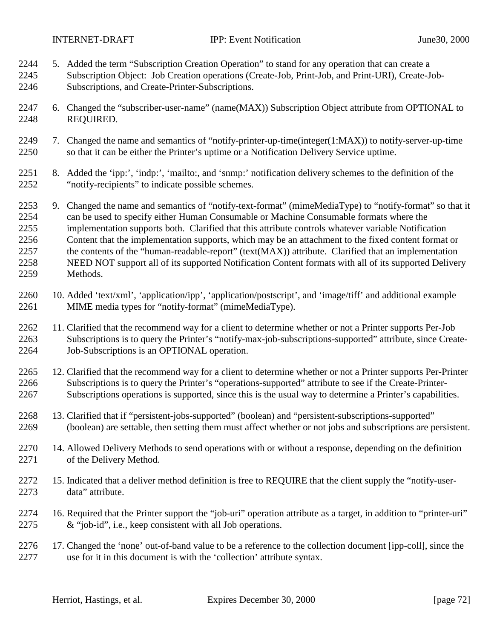- 5. Added the term "Subscription Creation Operation" to stand for any operation that can create a Subscription Object: Job Creation operations (Create-Job, Print-Job, and Print-URI), Create-Job-Subscriptions, and Create-Printer-Subscriptions.
- 6. Changed the "subscriber-user-name" (name(MAX)) Subscription Object attribute from OPTIONAL to REQUIRED.
- 7. Changed the name and semantics of "notify-printer-up-time(integer(1:MAX)) to notify-server-up-time so that it can be either the Printer's uptime or a Notification Delivery Service uptime.
- 8. Added the 'ipp:', 'indp:', 'mailto:, and 'snmp:' notification delivery schemes to the definition of the "notify-recipients" to indicate possible schemes.
- 9. Changed the name and semantics of "notify-text-format" (mimeMediaType) to "notify-format" so that it can be used to specify either Human Consumable or Machine Consumable formats where the implementation supports both. Clarified that this attribute controls whatever variable Notification Content that the implementation supports, which may be an attachment to the fixed content format or 2257 the contents of the "human-readable-report" (text(MAX)) attribute. Clarified that an implementation NEED NOT support all of its supported Notification Content formats with all of its supported Delivery Methods.
- 10. Added 'text/xml', 'application/ipp', 'application/postscript', and 'image/tiff' and additional example MIME media types for "notify-format" (mimeMediaType).
- 11. Clarified that the recommend way for a client to determine whether or not a Printer supports Per-Job Subscriptions is to query the Printer's "notify-max-job-subscriptions-supported" attribute, since Create-Job-Subscriptions is an OPTIONAL operation.
- 12. Clarified that the recommend way for a client to determine whether or not a Printer supports Per-Printer Subscriptions is to query the Printer's "operations-supported" attribute to see if the Create-Printer-Subscriptions operations is supported, since this is the usual way to determine a Printer's capabilities.
- 13. Clarified that if "persistent-jobs-supported" (boolean) and "persistent-subscriptions-supported" (boolean) are settable, then setting them must affect whether or not jobs and subscriptions are persistent.
- 14. Allowed Delivery Methods to send operations with or without a response, depending on the definition of the Delivery Method.
- 2272 15. Indicated that a deliver method definition is free to REQUIRE that the client supply the "notify-user-data" attribute.
- 16. Required that the Printer support the "job-uri" operation attribute as a target, in addition to "printer-uri" & "job-id", i.e., keep consistent with all Job operations.
- 17. Changed the 'none' out-of-band value to be a reference to the collection document [ipp-coll], since the use for it in this document is with the 'collection' attribute syntax.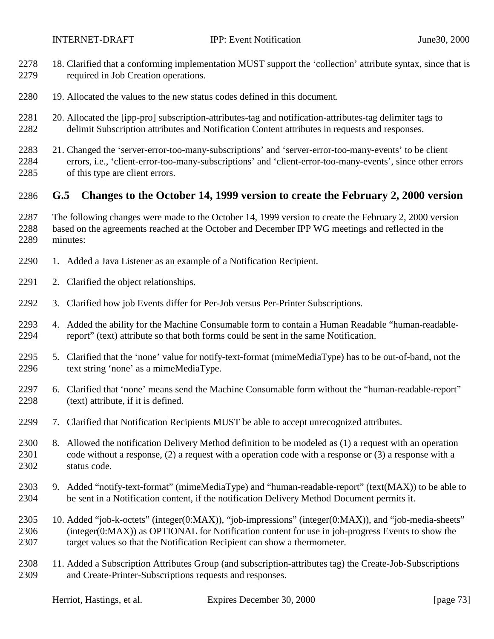- 18. Clarified that a conforming implementation MUST support the 'collection' attribute syntax, since that is required in Job Creation operations.
- 19. Allocated the values to the new status codes defined in this document.
- 20. Allocated the [ipp-pro] subscription-attributes-tag and notification-attributes-tag delimiter tags to delimit Subscription attributes and Notification Content attributes in requests and responses.
- 21. Changed the 'server-error-too-many-subscriptions' and 'server-error-too-many-events' to be client errors, i.e., 'client-error-too-many-subscriptions' and 'client-error-too-many-events', since other errors of this type are client errors.

## **G.5 Changes to the October 14, 1999 version to create the February 2, 2000 version**

- The following changes were made to the October 14, 1999 version to create the February 2, 2000 version based on the agreements reached at the October and December IPP WG meetings and reflected in the minutes:
- 1. Added a Java Listener as an example of a Notification Recipient.
- 2. Clarified the object relationships.
- 3. Clarified how job Events differ for Per-Job versus Per-Printer Subscriptions.
- 4. Added the ability for the Machine Consumable form to contain a Human Readable "human-readable-report" (text) attribute so that both forms could be sent in the same Notification.
- 5. Clarified that the 'none' value for notify-text-format (mimeMediaType) has to be out-of-band, not the text string 'none' as a mimeMediaType.
- 6. Clarified that 'none' means send the Machine Consumable form without the "human-readable-report" (text) attribute, if it is defined.
- 7. Clarified that Notification Recipients MUST be able to accept unrecognized attributes.
- 8. Allowed the notification Delivery Method definition to be modeled as (1) a request with an operation code without a response, (2) a request with a operation code with a response or (3) a response with a status code.
- 9. Added "notify-text-format" (mimeMediaType) and "human-readable-report" (text(MAX)) to be able to be sent in a Notification content, if the notification Delivery Method Document permits it.
- 10. Added "job-k-octets" (integer(0:MAX)), "job-impressions" (integer(0:MAX)), and "job-media-sheets" (integer(0:MAX)) as OPTIONAL for Notification content for use in job-progress Events to show the target values so that the Notification Recipient can show a thermometer.
- 11. Added a Subscription Attributes Group (and subscription-attributes tag) the Create-Job-Subscriptions and Create-Printer-Subscriptions requests and responses.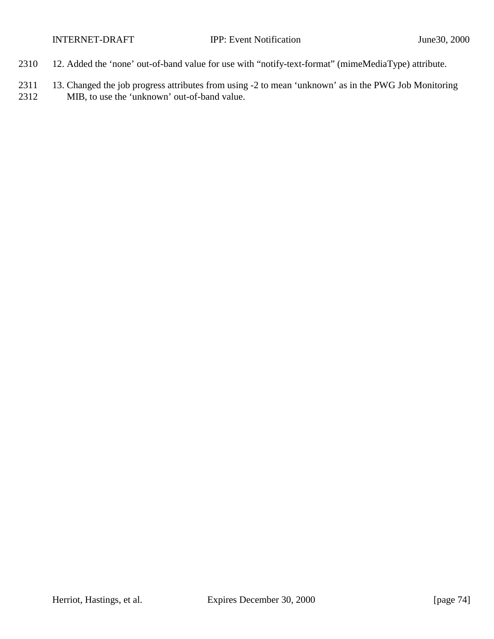- 2310 12. Added the 'none' out-of-band value for use with "notify-text-format" (mimeMediaType) attribute.
- 2311 13. Changed the job progress attributes from using -2 to mean 'unknown' as in the PWG Job Monitoring 2312 MIB, to use the 'unknown' out-of-band value.